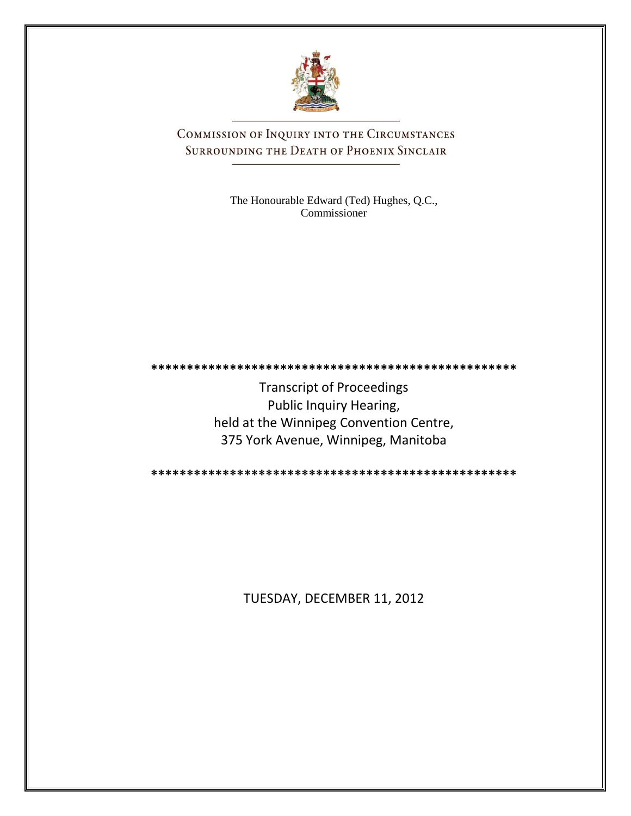

COMMISSION OF INQUIRY INTO THE CIRCUMSTANCES SURROUNDING THE DEATH OF PHOENIX SINCLAIR

> The Honourable Edward (Ted) Hughes, Q.C., Commissioner

**\*\*\*\*\*\*\*\*\*\*\*\*\*\*\*\*\*\*\*\*\*\*\*\*\*\*\*\*\*\*\*\*\*\*\*\*\*\*\*\*\*\*\*\*\*\*\*\*\*\*\***

Transcript of Proceedings Public Inquiry Hearing, held at the Winnipeg Convention Centre, 375 York Avenue, Winnipeg, Manitoba

**\*\*\*\*\*\*\*\*\*\*\*\*\*\*\*\*\*\*\*\*\*\*\*\*\*\*\*\*\*\*\*\*\*\*\*\*\*\*\*\*\*\*\*\*\*\*\*\*\*\*\***

TUESDAY, DECEMBER 11, 2012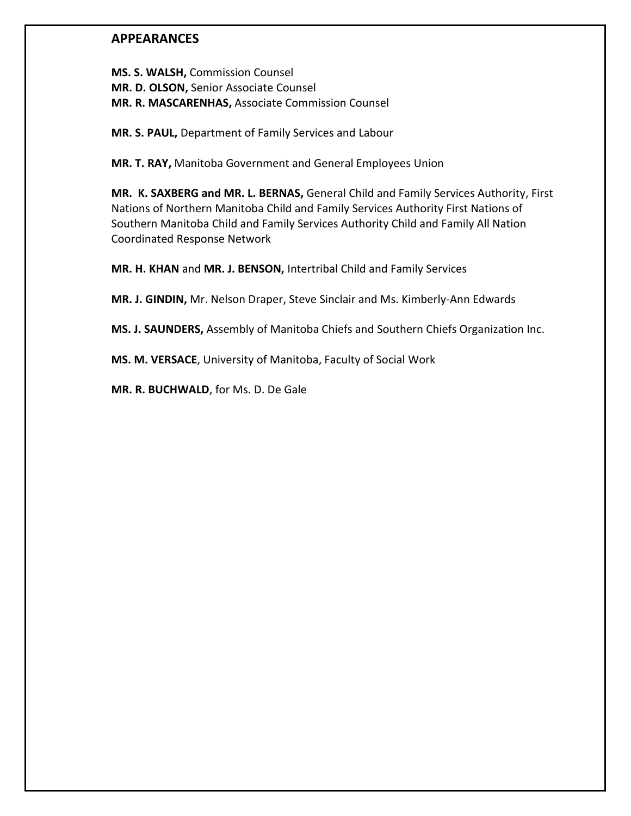## **APPEARANCES**

**MS. S. WALSH,** Commission Counsel **MR. D. OLSON,** Senior Associate Counsel **MR. R. MASCARENHAS,** Associate Commission Counsel

**MR. S. PAUL,** Department of Family Services and Labour

**MR. T. RAY,** Manitoba Government and General Employees Union

**MR. K. SAXBERG and MR. L. BERNAS,** General Child and Family Services Authority, First Nations of Northern Manitoba Child and Family Services Authority First Nations of Southern Manitoba Child and Family Services Authority Child and Family All Nation Coordinated Response Network

**MR. H. KHAN** and **MR. J. BENSON,** Intertribal Child and Family Services

**MR. J. GINDIN,** Mr. Nelson Draper, Steve Sinclair and Ms. Kimberly-Ann Edwards

**MS. J. SAUNDERS,** Assembly of Manitoba Chiefs and Southern Chiefs Organization Inc.

**MS. M. VERSACE**, University of Manitoba, Faculty of Social Work

**MR. R. BUCHWALD**, for Ms. D. De Gale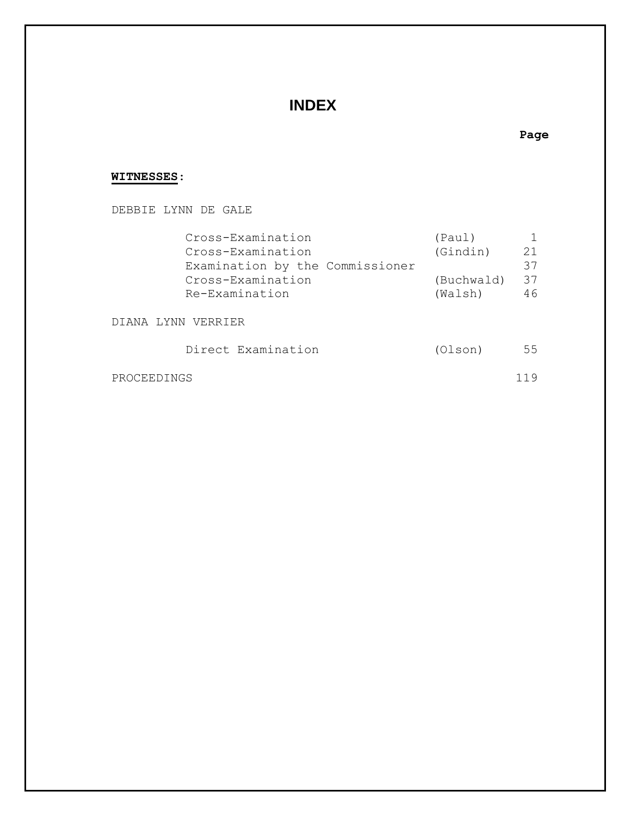# **INDEX**

### **Page**

### **WITNESSES**:

DEBBIE LYNN DE GALE

| Cross-Examination<br>Cross-Examination                                 | (Paul)<br>(Gindin)    | 21             |  |  |
|------------------------------------------------------------------------|-----------------------|----------------|--|--|
| Examination by the Commissioner<br>Cross-Examination<br>Re-Examination | (Buchwald)<br>(Walsh) | 37<br>37<br>46 |  |  |
| LYNN VERRIER<br>DTANA                                                  |                       |                |  |  |
| Direct Examination                                                     | (Olson)               | 55             |  |  |
| PROCEEDINGS                                                            |                       | 119            |  |  |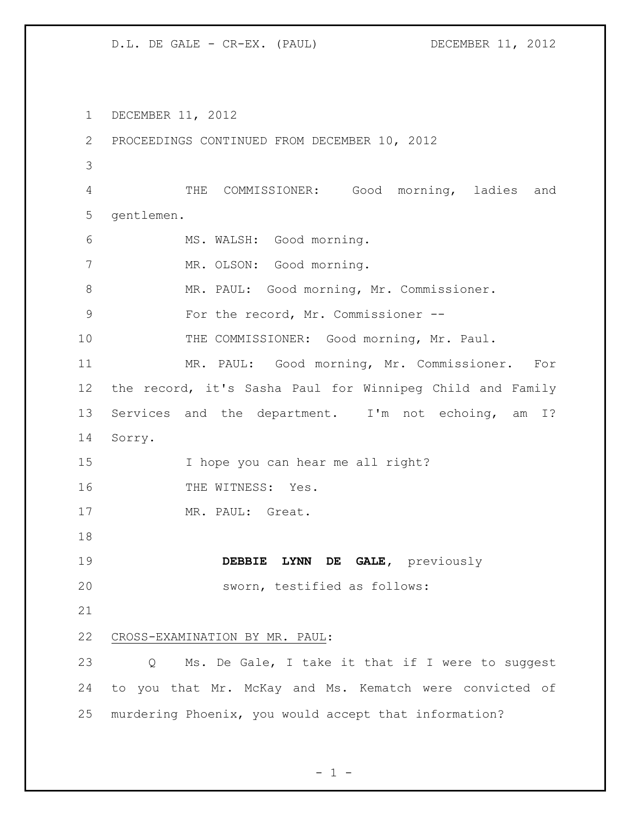DECEMBER 11, 2012 PROCEEDINGS CONTINUED FROM DECEMBER 10, 2012 THE COMMISSIONER: Good morning, ladies and gentlemen. MS. WALSH: Good morning. 7 MR. OLSON: Good morning. 8 MR. PAUL: Good morning, Mr. Commissioner. 9 For the record, Mr. Commissioner -- THE COMMISSIONER: Good morning, Mr. Paul. MR. PAUL: Good morning, Mr. Commissioner. For the record, it's Sasha Paul for Winnipeg Child and Family Services and the department. I'm not echoing, am I? Sorry. I hope you can hear me all right? 16 THE WITNESS: Yes. MR. PAUL: Great. **DEBBIE LYNN DE GALE,** previously sworn, testified as follows: CROSS-EXAMINATION BY MR. PAUL: Q Ms. De Gale, I take it that if I were to suggest to you that Mr. McKay and Ms. Kematch were convicted of murdering Phoenix, you would accept that information?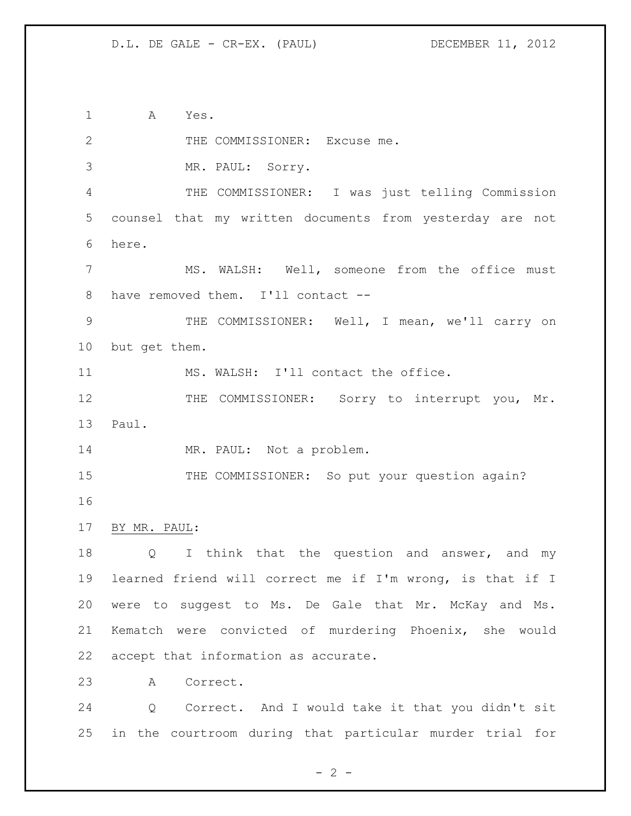A Yes.

2 THE COMMISSIONER: Excuse me. MR. PAUL: Sorry. THE COMMISSIONER: I was just telling Commission counsel that my written documents from yesterday are not here. MS. WALSH: Well, someone from the office must have removed them. I'll contact -- THE COMMISSIONER: Well, I mean, we'll carry on but get them. 11 MS. WALSH: I'll contact the office. 12 THE COMMISSIONER: Sorry to interrupt you, Mr. Paul. 14 MR. PAUL: Not a problem. 15 THE COMMISSIONER: So put your question again? BY MR. PAUL: 18 Q I think that the question and answer, and my learned friend will correct me if I'm wrong, is that if I were to suggest to Ms. De Gale that Mr. McKay and Ms. Kematch were convicted of murdering Phoenix, she would accept that information as accurate. A Correct. Q Correct. And I would take it that you didn't sit

in the courtroom during that particular murder trial for

 $- 2 -$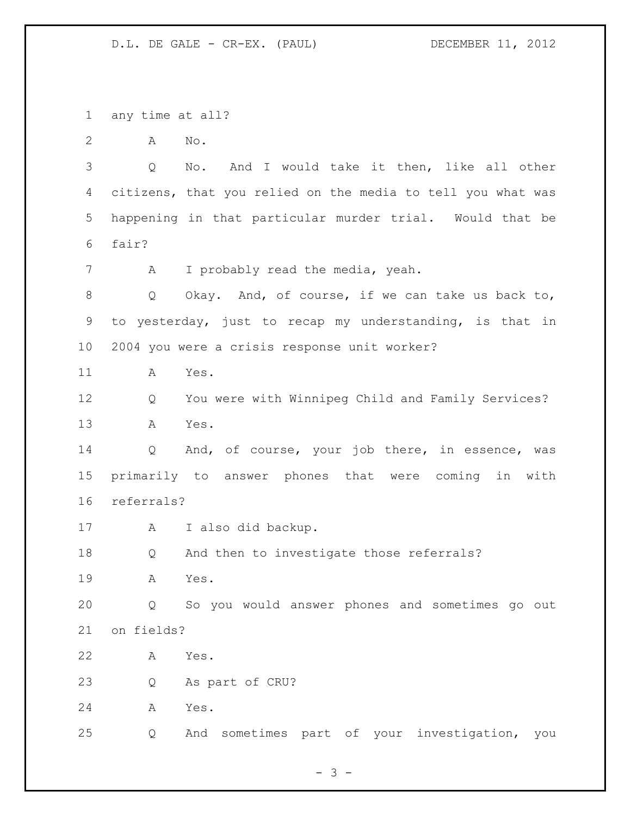any time at all?

A No.

 Q No. And I would take it then, like all other citizens, that you relied on the media to tell you what was happening in that particular murder trial. Would that be fair?

A I probably read the media, yeah.

 Q Okay. And, of course, if we can take us back to, to yesterday, just to recap my understanding, is that in 2004 you were a crisis response unit worker?

A Yes.

 Q You were with Winnipeg Child and Family Services? A Yes.

 Q And, of course, your job there, in essence, was primarily to answer phones that were coming in with referrals?

A I also did backup.

Q And then to investigate those referrals?

A Yes.

 Q So you would answer phones and sometimes go out on fields?

A Yes.

Q As part of CRU?

A Yes.

Q And sometimes part of your investigation, you

 $- 3 -$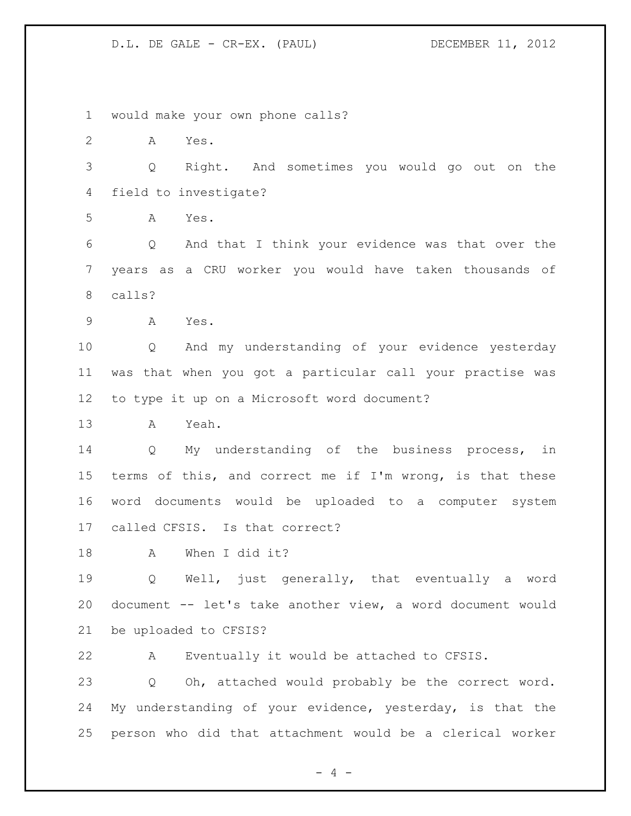would make your own phone calls? A Yes. Q Right. And sometimes you would go out on the field to investigate? A Yes. Q And that I think your evidence was that over the years as a CRU worker you would have taken thousands of calls? A Yes. Q And my understanding of your evidence yesterday was that when you got a particular call your practise was to type it up on a Microsoft word document? A Yeah. Q My understanding of the business process, in terms of this, and correct me if I'm wrong, is that these word documents would be uploaded to a computer system called CFSIS. Is that correct? A When I did it? Q Well, just generally, that eventually a word document -- let's take another view, a word document would be uploaded to CFSIS? A Eventually it would be attached to CFSIS. Q Oh, attached would probably be the correct word. My understanding of your evidence, yesterday, is that the person who did that attachment would be a clerical worker

 $- 4 -$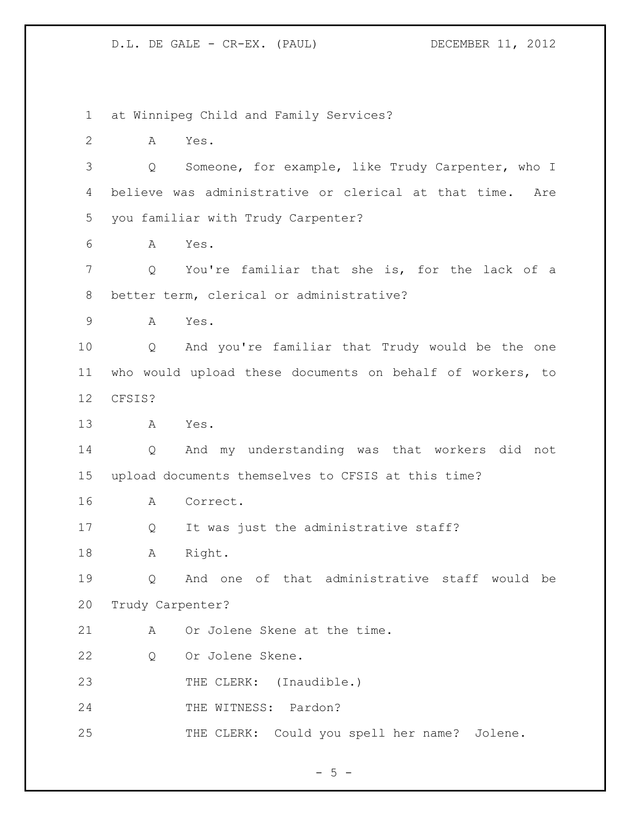at Winnipeg Child and Family Services? A Yes. Q Someone, for example, like Trudy Carpenter, who I believe was administrative or clerical at that time. Are you familiar with Trudy Carpenter? A Yes. Q You're familiar that she is, for the lack of a better term, clerical or administrative? A Yes. Q And you're familiar that Trudy would be the one who would upload these documents on behalf of workers, to CFSIS? A Yes. Q And my understanding was that workers did not upload documents themselves to CFSIS at this time? A Correct. Q It was just the administrative staff? 18 A Right. Q And one of that administrative staff would be Trudy Carpenter? 21 A Or Jolene Skene at the time. Q Or Jolene Skene. 23 THE CLERK: (Inaudible.) THE WITNESS: Pardon? THE CLERK: Could you spell her name? Jolene.

 $- 5 -$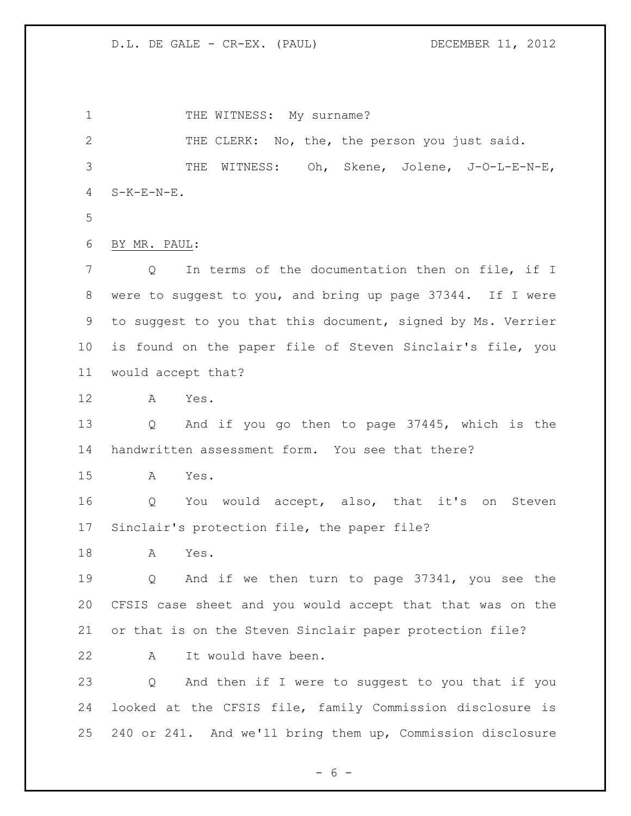1 THE WITNESS: My surname? 2 THE CLERK: No, the, the person you just said. THE WITNESS: Oh, Skene, Jolene, J-O-L-E-N-E, S-K-E-N-E. BY MR. PAUL: Q In terms of the documentation then on file, if I were to suggest to you, and bring up page 37344. If I were to suggest to you that this document, signed by Ms. Verrier is found on the paper file of Steven Sinclair's file, you would accept that? A Yes. Q And if you go then to page 37445, which is the handwritten assessment form. You see that there? A Yes. Q You would accept, also, that it's on Steven Sinclair's protection file, the paper file? A Yes. Q And if we then turn to page 37341, you see the CFSIS case sheet and you would accept that that was on the or that is on the Steven Sinclair paper protection file? A It would have been. Q And then if I were to suggest to you that if you looked at the CFSIS file, family Commission disclosure is 240 or 241. And we'll bring them up, Commission disclosure

 $- 6 -$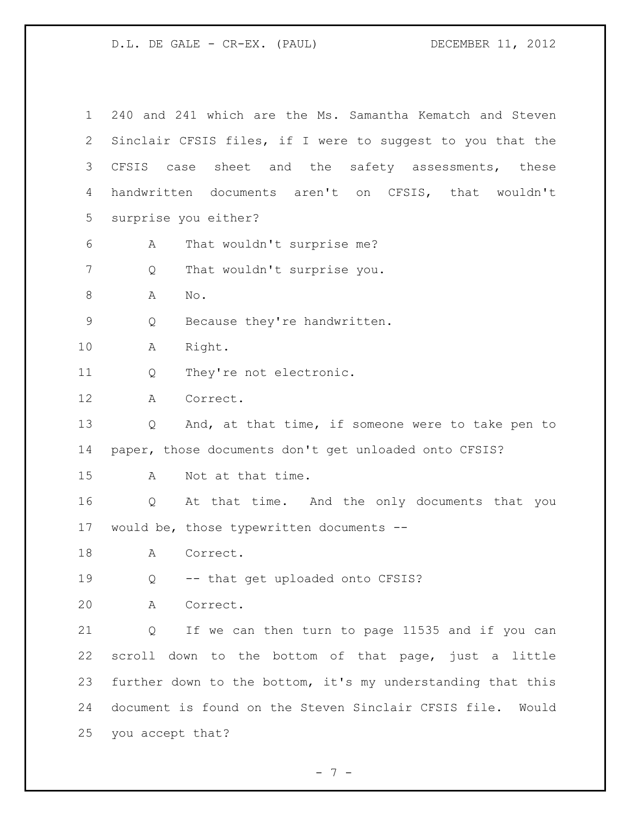| $\mathbf 1$ | 240 and 241 which are the Ms. Samantha Kematch and Steven     |
|-------------|---------------------------------------------------------------|
| 2           | Sinclair CFSIS files, if I were to suggest to you that the    |
| 3           | CFSIS<br>sheet and the safety assessments, these<br>case      |
| 4           | handwritten documents aren't on CFSIS, that wouldn't          |
| 5           | surprise you either?                                          |
| 6           | That wouldn't surprise me?<br>А                               |
| 7           | That wouldn't surprise you.<br>Q                              |
| 8           | Α<br>No.                                                      |
| $\mathsf 9$ | Because they're handwritten.<br>Q                             |
| 10          | Right.<br>A                                                   |
| 11          | They're not electronic.<br>Q                                  |
| 12          | A<br>Correct.                                                 |
| 13          | And, at that time, if someone were to take pen to<br>Q        |
| 14          | paper, those documents don't get unloaded onto CFSIS?         |
| 15          | Not at that time.<br>A                                        |
| 16          | At that time. And the only documents that you<br>Q            |
| 17          | would be, those typewritten documents --                      |
| 18          | Correct.<br>A                                                 |
| 19          | -- that get uploaded onto CFSIS?<br>Q                         |
| 20          | A<br>Correct.                                                 |
| 21          | If we can then turn to page 11535 and if you can<br>Q         |
| 22          | scroll down to the bottom of that page, just a little         |
| 23          | further down to the bottom, it's my understanding that this   |
| 24          | document is found on the Steven Sinclair CFSIS file.<br>Would |
| 25          | you accept that?                                              |

- 7 -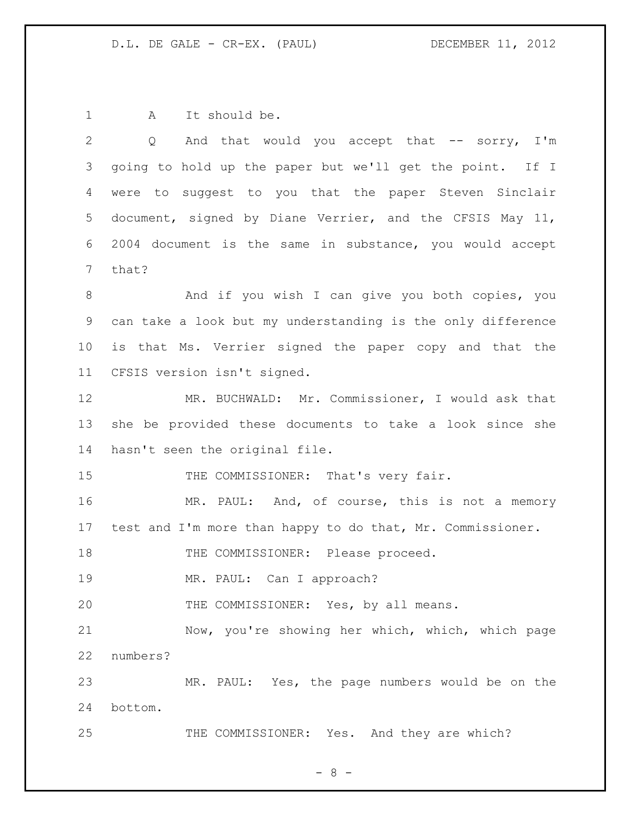1 A It should be.

| $\mathbf{2}$ | And that would you accept that $--$ sorry, I'm<br>Q         |
|--------------|-------------------------------------------------------------|
| 3            | going to hold up the paper but we'll get the point. If I    |
| 4            | were to suggest to you that the paper Steven Sinclair       |
| 5            | document, signed by Diane Verrier, and the CFSIS May 11,    |
| 6            | 2004 document is the same in substance, you would accept    |
| 7            | that?                                                       |
| 8            | And if you wish I can give you both copies, you             |
| 9            | can take a look but my understanding is the only difference |
| 10           | is that Ms. Verrier signed the paper copy and that the      |
| 11           | CFSIS version isn't signed.                                 |
| 12           | MR. BUCHWALD: Mr. Commissioner, I would ask that            |
| 13           | she be provided these documents to take a look since she    |
| 14           | hasn't seen the original file.                              |
| 15           | THE COMMISSIONER: That's very fair.                         |
| 16           | MR. PAUL: And, of course, this is not a memory              |
| 17           | test and I'm more than happy to do that, Mr. Commissioner.  |
| 18           | THE COMMISSIONER: Please proceed.                           |
| 19           | MR. PAUL: Can I approach?                                   |
| 20           | THE COMMISSIONER: Yes, by all means.                        |
| 21           | Now, you're showing her which, which, which page            |
| 22           | numbers?                                                    |
| 23           | MR. PAUL: Yes, the page numbers would be on the             |
| 24           | bottom.                                                     |
| 25           | THE COMMISSIONER: Yes. And they are which?                  |

- 8 -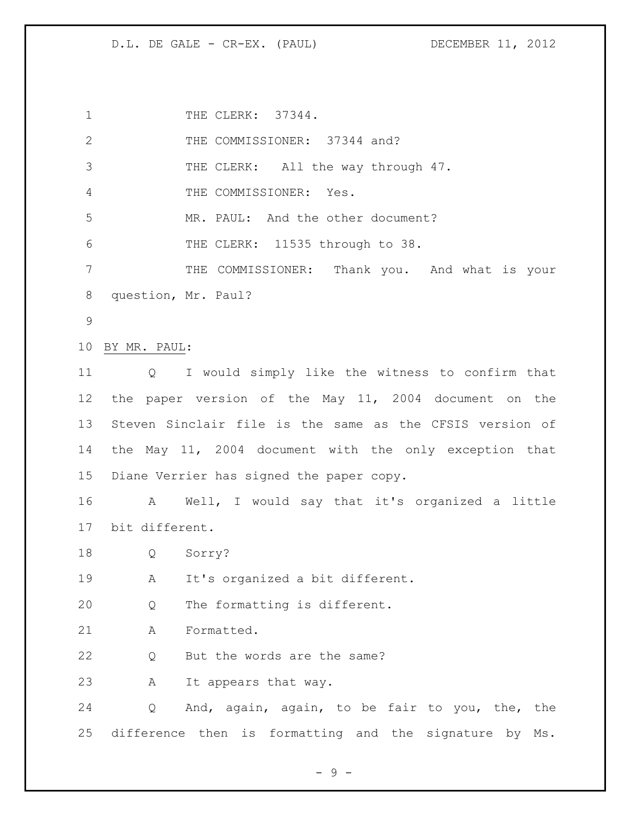1 THE CLERK: 37344. 2 THE COMMISSIONER: 37344 and? 3 THE CLERK: All the way through 47. THE COMMISSIONER: Yes. MR. PAUL: And the other document? THE CLERK: 11535 through to 38. THE COMMISSIONER: Thank you. And what is your question, Mr. Paul? BY MR. PAUL: Q I would simply like the witness to confirm that the paper version of the May 11, 2004 document on the Steven Sinclair file is the same as the CFSIS version of the May 11, 2004 document with the only exception that Diane Verrier has signed the paper copy. A Well, I would say that it's organized a little bit different. Q Sorry? A It's organized a bit different. Q The formatting is different. A Formatted. 22 Q But the words are the same? A It appears that way. Q And, again, again, to be fair to you, the, the difference then is formatting and the signature by Ms.

- 9 -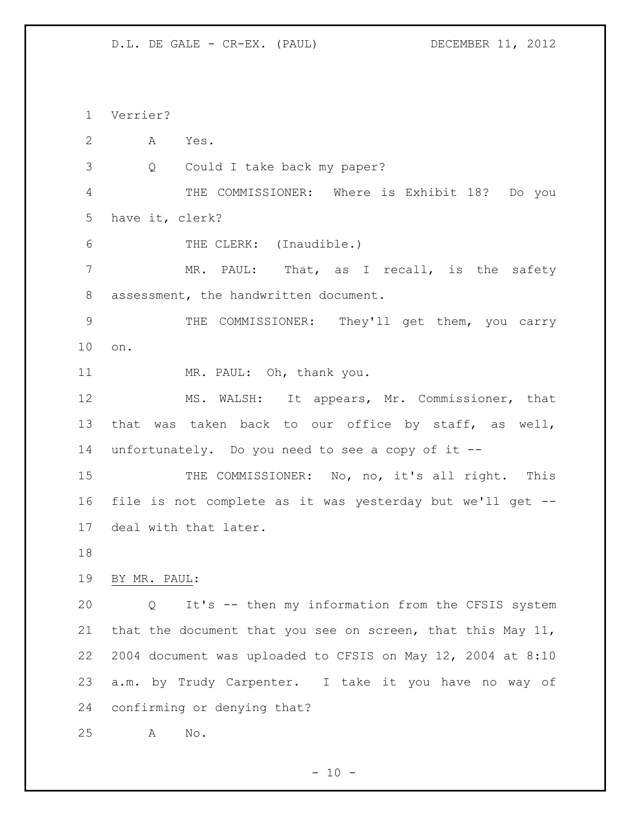Verrier? A Yes. Q Could I take back my paper? THE COMMISSIONER: Where is Exhibit 18? Do you have it, clerk? THE CLERK: (Inaudible.) 7 MR. PAUL: That, as I recall, is the safety assessment, the handwritten document. THE COMMISSIONER: They'll get them, you carry on. 11 MR. PAUL: Oh, thank you. MS. WALSH: It appears, Mr. Commissioner, that that was taken back to our office by staff, as well, unfortunately. Do you need to see a copy of it -- 15 THE COMMISSIONER: No, no, it's all right. This file is not complete as it was yesterday but we'll get -- deal with that later. BY MR. PAUL: Q It's -- then my information from the CFSIS system that the document that you see on screen, that this May 11, 2004 document was uploaded to CFSIS on May 12, 2004 at 8:10 a.m. by Trudy Carpenter. I take it you have no way of confirming or denying that? A No.

 $- 10 -$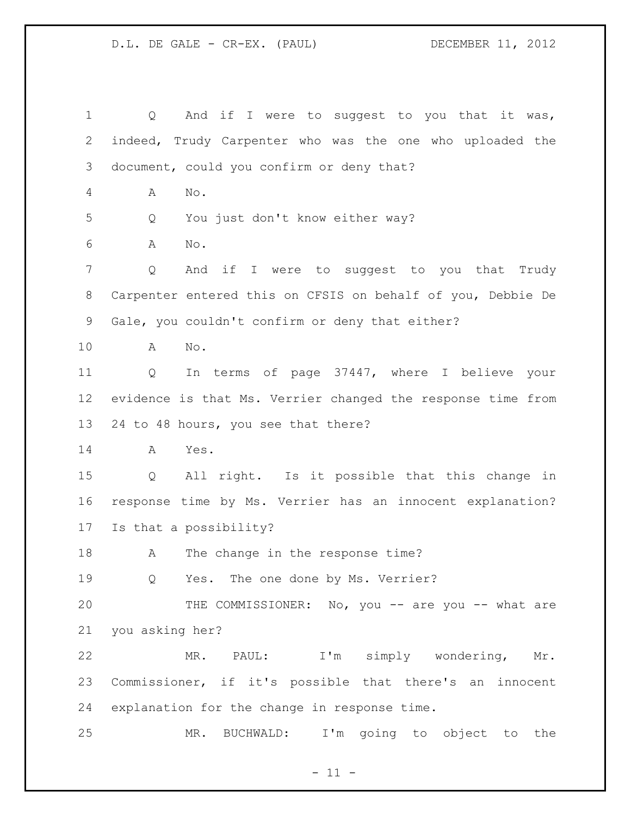1 Q And if I were to suggest to you that it was, indeed, Trudy Carpenter who was the one who uploaded the document, could you confirm or deny that? A No. Q You just don't know either way? A No. Q And if I were to suggest to you that Trudy Carpenter entered this on CFSIS on behalf of you, Debbie De Gale, you couldn't confirm or deny that either? A No. Q In terms of page 37447, where I believe your evidence is that Ms. Verrier changed the response time from 24 to 48 hours, you see that there? A Yes. Q All right. Is it possible that this change in response time by Ms. Verrier has an innocent explanation? Is that a possibility? 18 A The change in the response time? 19 O Yes. The one done by Ms. Verrier? THE COMMISSIONER: No, you -- are you -- what are you asking her? MR. PAUL: I'm simply wondering, Mr. Commissioner, if it's possible that there's an innocent explanation for the change in response time. MR. BUCHWALD: I'm going to object to the

 $-11 -$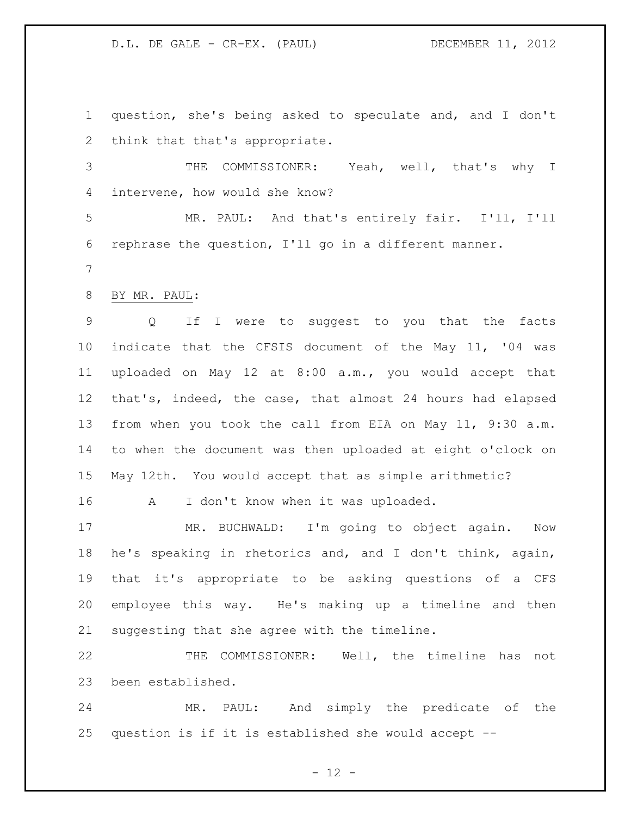question, she's being asked to speculate and, and I don't think that that's appropriate.

 THE COMMISSIONER: Yeah, well, that's why I intervene, how would she know?

 MR. PAUL: And that's entirely fair. I'll, I'll rephrase the question, I'll go in a different manner.

BY MR. PAUL:

 Q If I were to suggest to you that the facts indicate that the CFSIS document of the May 11, '04 was uploaded on May 12 at 8:00 a.m., you would accept that that's, indeed, the case, that almost 24 hours had elapsed from when you took the call from EIA on May 11, 9:30 a.m. to when the document was then uploaded at eight o'clock on May 12th. You would accept that as simple arithmetic?

A I don't know when it was uploaded.

 MR. BUCHWALD: I'm going to object again. Now he's speaking in rhetorics and, and I don't think, again, that it's appropriate to be asking questions of a CFS employee this way. He's making up a timeline and then suggesting that she agree with the timeline.

 THE COMMISSIONER: Well, the timeline has not been established.

 MR. PAUL: And simply the predicate of the question is if it is established she would accept --

 $- 12 -$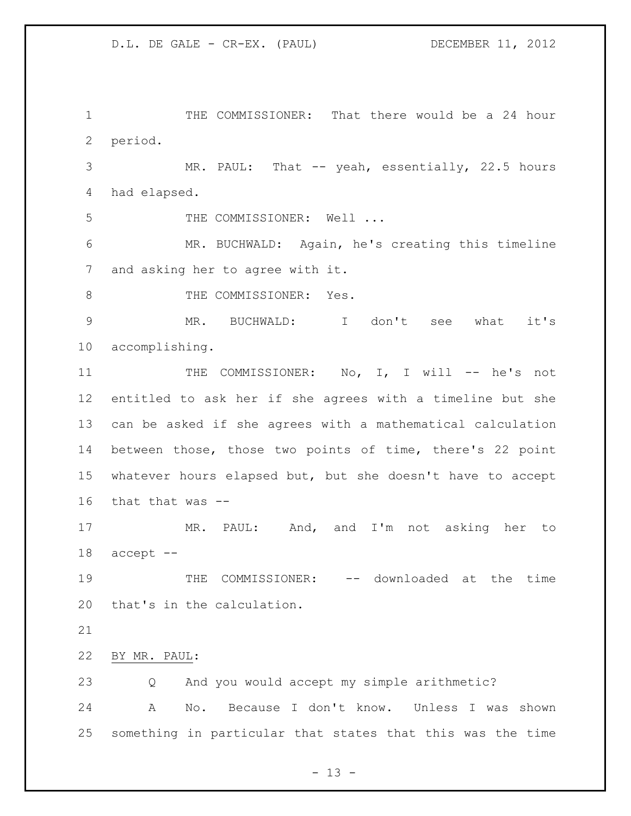THE COMMISSIONER: That there would be a 24 hour period.

 MR. PAUL: That -- yeah, essentially, 22.5 hours had elapsed.

5 THE COMMISSIONER: Well ...

 MR. BUCHWALD: Again, he's creating this timeline and asking her to agree with it.

8 THE COMMISSIONER: Yes.

 MR. BUCHWALD: I don't see what it's accomplishing.

11 THE COMMISSIONER: No, I, I will -- he's not entitled to ask her if she agrees with a timeline but she can be asked if she agrees with a mathematical calculation between those, those two points of time, there's 22 point whatever hours elapsed but, but she doesn't have to accept that that was --

 MR. PAUL: And, and I'm not asking her to accept --

19 THE COMMISSIONER: -- downloaded at the time that's in the calculation.

BY MR. PAUL:

Q And you would accept my simple arithmetic?

 A No. Because I don't know. Unless I was shown something in particular that states that this was the time

 $- 13 -$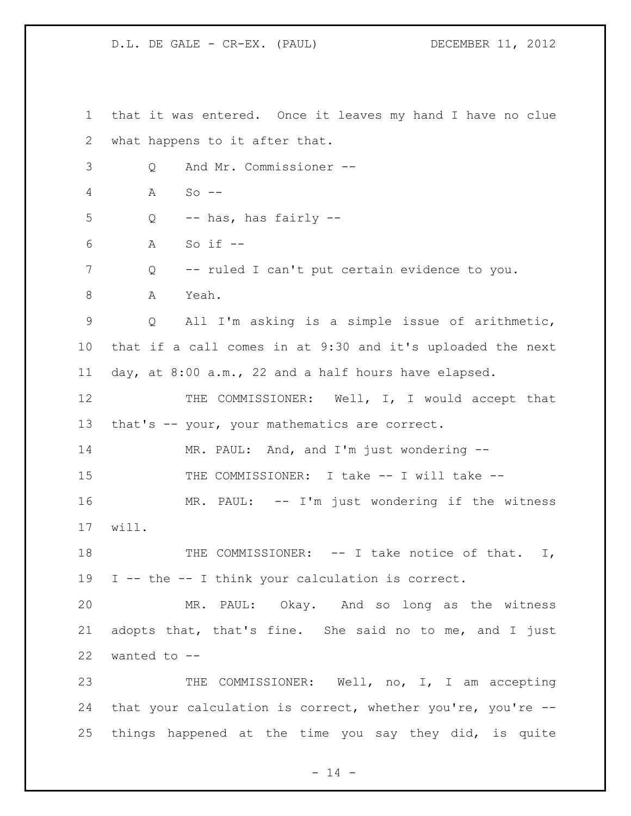that it was entered. Once it leaves my hand I have no clue what happens to it after that. Q And Mr. Commissioner -- A So --  $5 \qquad Q \qquad -- \text{ has, has fairly --}$  A So if -- Q -- ruled I can't put certain evidence to you. A Yeah. Q All I'm asking is a simple issue of arithmetic, that if a call comes in at 9:30 and it's uploaded the next day, at 8:00 a.m., 22 and a half hours have elapsed. THE COMMISSIONER: Well, I, I would accept that 13 that's -- your, your mathematics are correct. MR. PAUL: And, and I'm just wondering -- THE COMMISSIONER: I take -- I will take -- 16 MR. PAUL: -- I'm just wondering if the witness will. 18 THE COMMISSIONER: -- I take notice of that. I, I -- the -- I think your calculation is correct. MR. PAUL: Okay. And so long as the witness adopts that, that's fine. She said no to me, and I just wanted to -- THE COMMISSIONER: Well, no, I, I am accepting that your calculation is correct, whether you're, you're -- things happened at the time you say they did, is quite

 $- 14 -$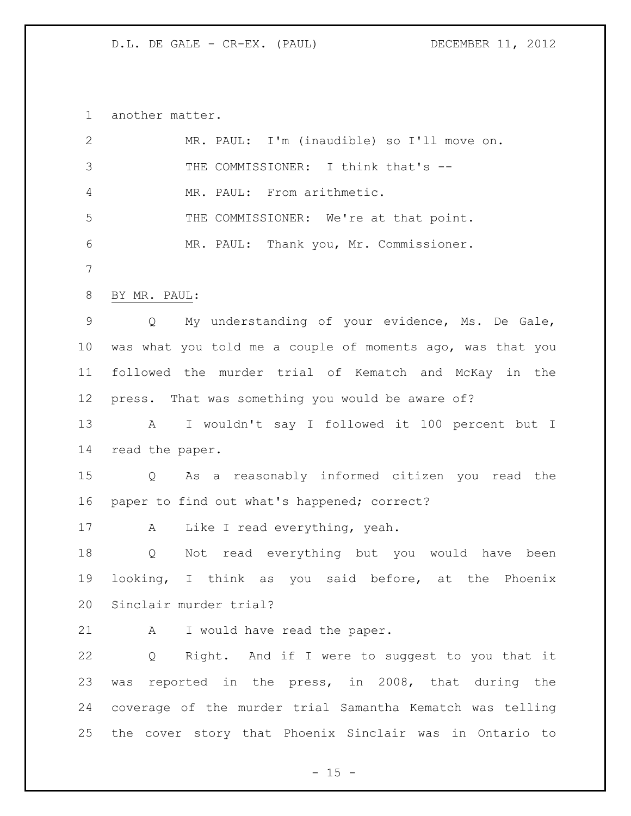another matter.

| $\mathbf{2}$ | MR. PAUL: I'm (inaudible) so I'll move on.                 |
|--------------|------------------------------------------------------------|
| 3            | THE COMMISSIONER: I think that's --                        |
| 4            | MR. PAUL: From arithmetic.                                 |
| 5            | THE COMMISSIONER: We're at that point.                     |
| 6            | MR. PAUL: Thank you, Mr. Commissioner.                     |
| 7            |                                                            |
| 8            | BY MR. PAUL:                                               |
| 9            | My understanding of your evidence, Ms. De Gale,<br>Q       |
| 10           | was what you told me a couple of moments ago, was that you |
| 11           | followed the murder trial of Kematch and McKay in the      |
| 12           | press. That was something you would be aware of?           |
| 13           | I wouldn't say I followed it 100 percent but I<br>A        |
| 14           | read the paper.                                            |
| 15           | As a reasonably informed citizen you read the<br>Q         |
| 16           | paper to find out what's happened; correct?                |
| 17           | Like I read everything, yeah.<br>A                         |
| 18           | Not read everything but you would have been<br>Q           |
| 19           | looking, I think as you said before, at the Phoenix        |
|              | 20 Sinclair murder trial?                                  |
| 21           | I would have read the paper.<br>A                          |
| 22           | Q<br>Right. And if I were to suggest to you that it        |
| 23           | was reported in the press, in 2008, that during the        |
| 24           | coverage of the murder trial Samantha Kematch was telling  |
| 25           | the cover story that Phoenix Sinclair was in Ontario to    |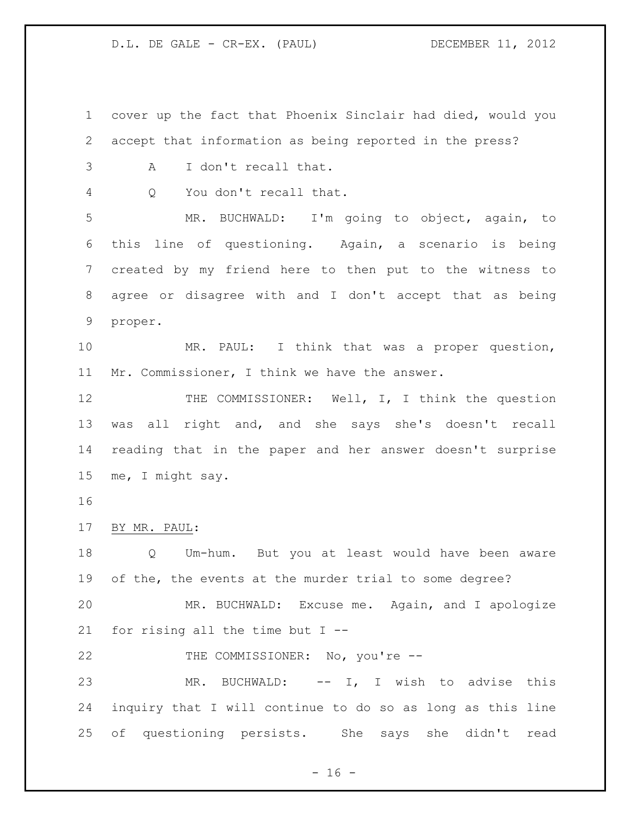cover up the fact that Phoenix Sinclair had died, would you accept that information as being reported in the press?

A I don't recall that.

Q You don't recall that.

 MR. BUCHWALD: I'm going to object, again, to this line of questioning. Again, a scenario is being created by my friend here to then put to the witness to agree or disagree with and I don't accept that as being proper.

 MR. PAUL: I think that was a proper question, Mr. Commissioner, I think we have the answer.

12 THE COMMISSIONER: Well, I, I think the question was all right and, and she says she's doesn't recall reading that in the paper and her answer doesn't surprise me, I might say.

BY MR. PAUL:

 Q Um-hum. But you at least would have been aware of the, the events at the murder trial to some degree? MR. BUCHWALD: Excuse me. Again, and I apologize for rising all the time but I --

22 THE COMMISSIONER: No, you're --

 MR. BUCHWALD: -- I, I wish to advise this inquiry that I will continue to do so as long as this line of questioning persists. She says she didn't read

 $- 16 -$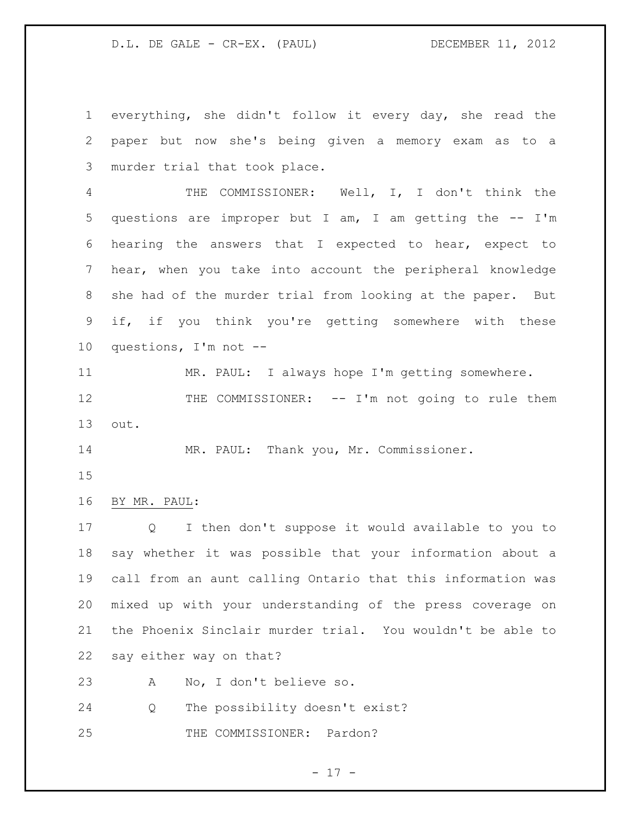everything, she didn't follow it every day, she read the paper but now she's being given a memory exam as to a murder trial that took place.

 THE COMMISSIONER: Well, I, I don't think the questions are improper but I am, I am getting the -- I'm hearing the answers that I expected to hear, expect to hear, when you take into account the peripheral knowledge she had of the murder trial from looking at the paper. But if, if you think you're getting somewhere with these questions, I'm not --

 MR. PAUL: I always hope I'm getting somewhere. 12 THE COMMISSIONER: -- I'm not going to rule them out.

MR. PAUL: Thank you, Mr. Commissioner.

BY MR. PAUL:

 Q I then don't suppose it would available to you to say whether it was possible that your information about a call from an aunt calling Ontario that this information was mixed up with your understanding of the press coverage on the Phoenix Sinclair murder trial. You wouldn't be able to say either way on that?

A No, I don't believe so.

Q The possibility doesn't exist?

25 THE COMMISSIONER: Pardon?

- 17 -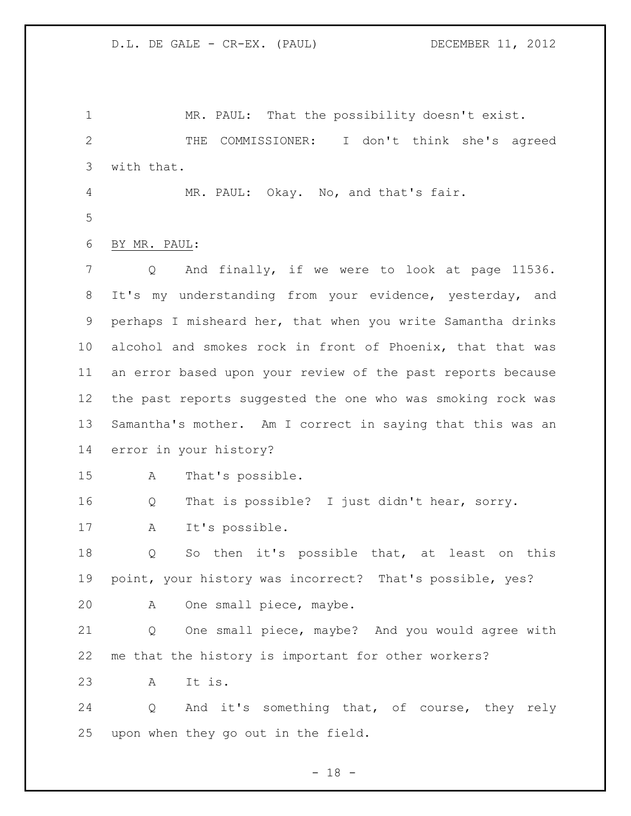MR. PAUL: That the possibility doesn't exist. THE COMMISSIONER: I don't think she's agreed with that. MR. PAUL: Okay. No, and that's fair. BY MR. PAUL: Q And finally, if we were to look at page 11536. It's my understanding from your evidence, yesterday, and perhaps I misheard her, that when you write Samantha drinks alcohol and smokes rock in front of Phoenix, that that was an error based upon your review of the past reports because the past reports suggested the one who was smoking rock was Samantha's mother. Am I correct in saying that this was an error in your history? A That's possible. Q That is possible? I just didn't hear, sorry. A It's possible. Q So then it's possible that, at least on this point, your history was incorrect? That's possible, yes? A One small piece, maybe. Q One small piece, maybe? And you would agree with me that the history is important for other workers? A It is. Q And it's something that, of course, they rely upon when they go out in the field.

 $- 18 -$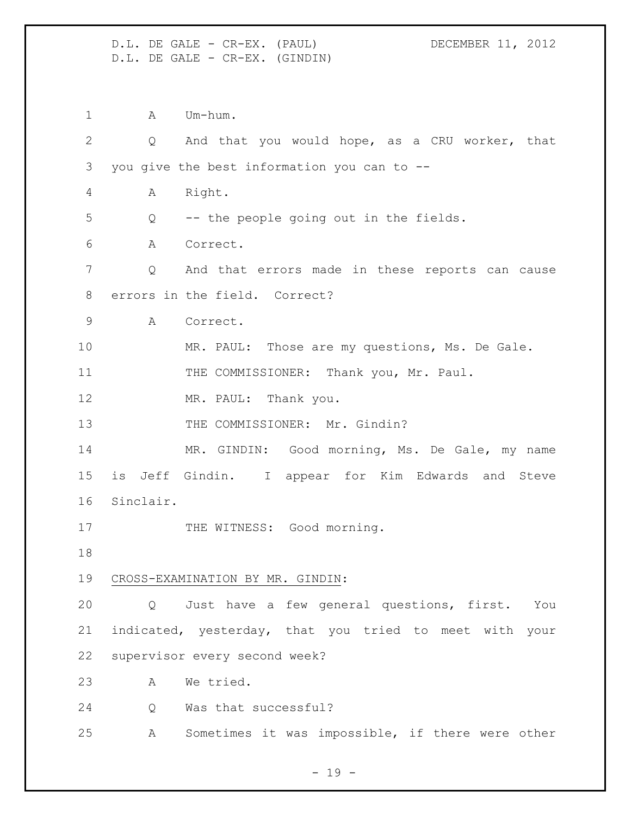D.L. DE GALE - CR-EX. (PAUL) DECEMBER 11, 2012 D.L. DE GALE - CR-EX. (GINDIN) 1 A Um-hum. Q And that you would hope, as a CRU worker, that you give the best information you can to -- A Right. Q -- the people going out in the fields. A Correct. Q And that errors made in these reports can cause errors in the field. Correct? A Correct. 10 MR. PAUL: Those are my questions, Ms. De Gale. 11 THE COMMISSIONER: Thank you, Mr. Paul. 12 MR. PAUL: Thank you. 13 THE COMMISSIONER: Mr. Gindin? MR. GINDIN: Good morning, Ms. De Gale, my name is Jeff Gindin. I appear for Kim Edwards and Steve Sinclair. 17 THE WITNESS: Good morning. CROSS-EXAMINATION BY MR. GINDIN: Q Just have a few general questions, first. You indicated, yesterday, that you tried to meet with your supervisor every second week? A We tried. Q Was that successful? A Sometimes it was impossible, if there were other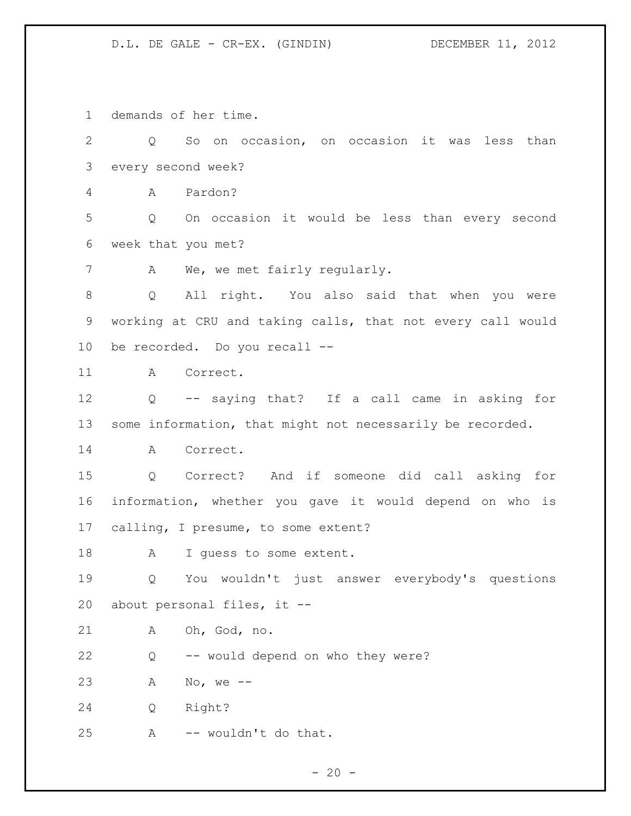demands of her time.

 Q So on occasion, on occasion it was less than every second week? A Pardon? Q On occasion it would be less than every second week that you met? A We, we met fairly regularly. Q All right. You also said that when you were working at CRU and taking calls, that not every call would be recorded. Do you recall -- A Correct. Q -- saying that? If a call came in asking for some information, that might not necessarily be recorded. A Correct. Q Correct? And if someone did call asking for information, whether you gave it would depend on who is calling, I presume, to some extent? 18 A I guess to some extent. Q You wouldn't just answer everybody's questions about personal files, it -- A Oh, God, no. Q -- would depend on who they were? A No, we -- Q Right? A -- wouldn't do that.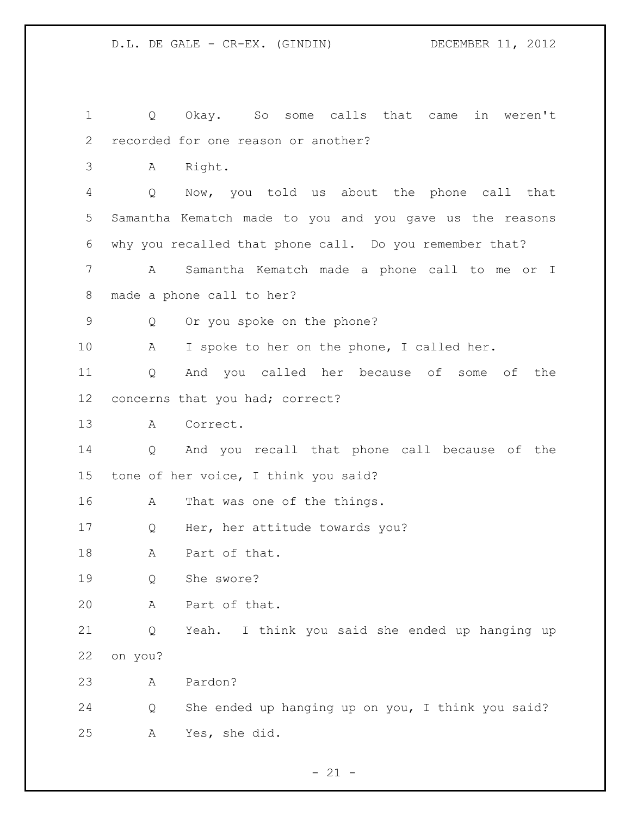Q Okay. So some calls that came in weren't recorded for one reason or another? A Right. Q Now, you told us about the phone call that Samantha Kematch made to you and you gave us the reasons why you recalled that phone call. Do you remember that? A Samantha Kematch made a phone call to me or I made a phone call to her? Q Or you spoke on the phone? A I spoke to her on the phone, I called her. Q And you called her because of some of the concerns that you had; correct? A Correct. Q And you recall that phone call because of the tone of her voice, I think you said? A That was one of the things. Q Her, her attitude towards you? 18 A Part of that. Q She swore? A Part of that. Q Yeah. I think you said she ended up hanging up on you? A Pardon? Q She ended up hanging up on you, I think you said? A Yes, she did.

 $- 21 -$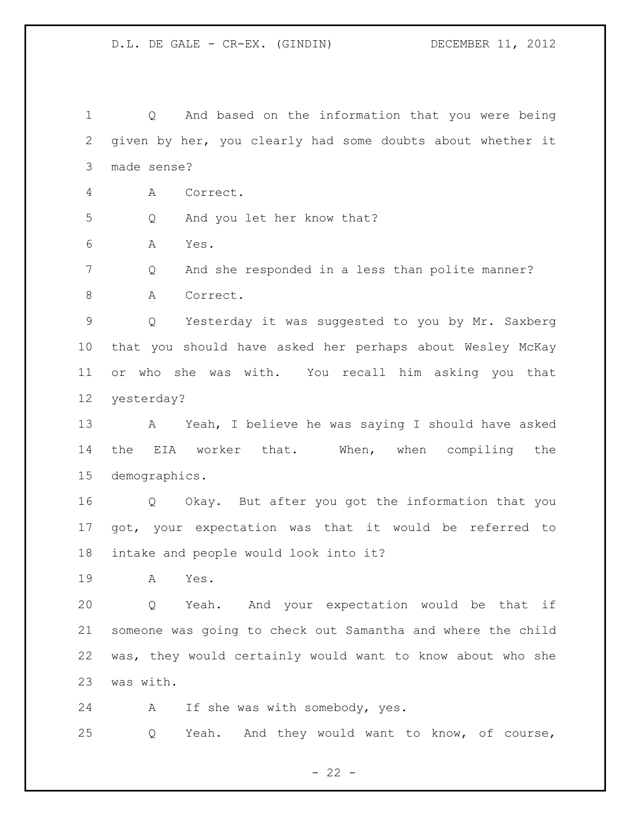Q And based on the information that you were being given by her, you clearly had some doubts about whether it made sense? A Correct. Q And you let her know that? A Yes. Q And she responded in a less than polite manner? 8 A Correct. Q Yesterday it was suggested to you by Mr. Saxberg that you should have asked her perhaps about Wesley McKay or who she was with. You recall him asking you that yesterday? A Yeah, I believe he was saying I should have asked the EIA worker that. When, when compiling the demographics. Q Okay. But after you got the information that you got, your expectation was that it would be referred to intake and people would look into it? A Yes. Q Yeah. And your expectation would be that if someone was going to check out Samantha and where the child was, they would certainly would want to know about who she was with. A If she was with somebody, yes. Q Yeah. And they would want to know, of course,

 $- 22 -$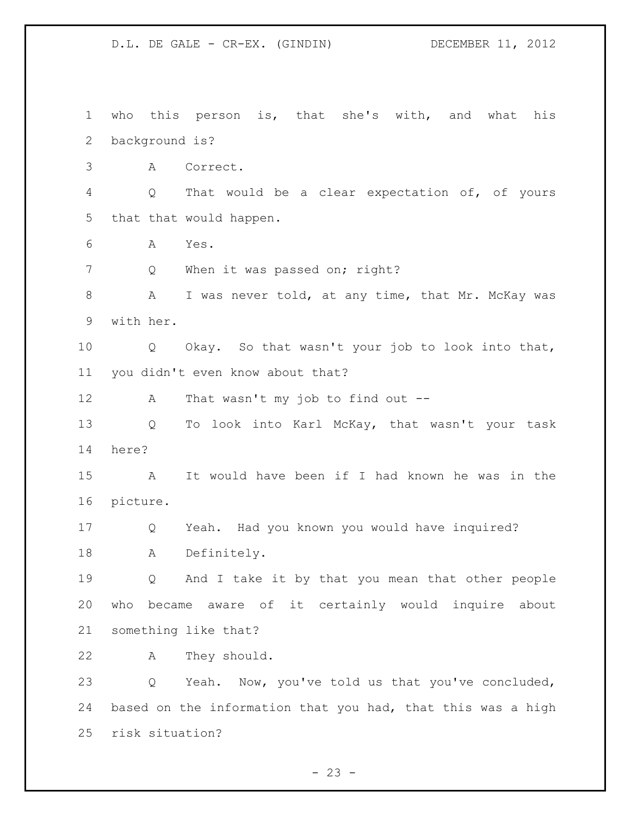who this person is, that she's with, and what his background is? A Correct. Q That would be a clear expectation of, of yours that that would happen. A Yes. 7 Q When it was passed on; right? 8 A I was never told, at any time, that Mr. McKay was with her. Q Okay. So that wasn't your job to look into that, you didn't even know about that? A That wasn't my job to find out -- Q To look into Karl McKay, that wasn't your task here? A It would have been if I had known he was in the picture. Q Yeah. Had you known you would have inquired? A Definitely. Q And I take it by that you mean that other people who became aware of it certainly would inquire about something like that? A They should. Q Yeah. Now, you've told us that you've concluded, based on the information that you had, that this was a high risk situation?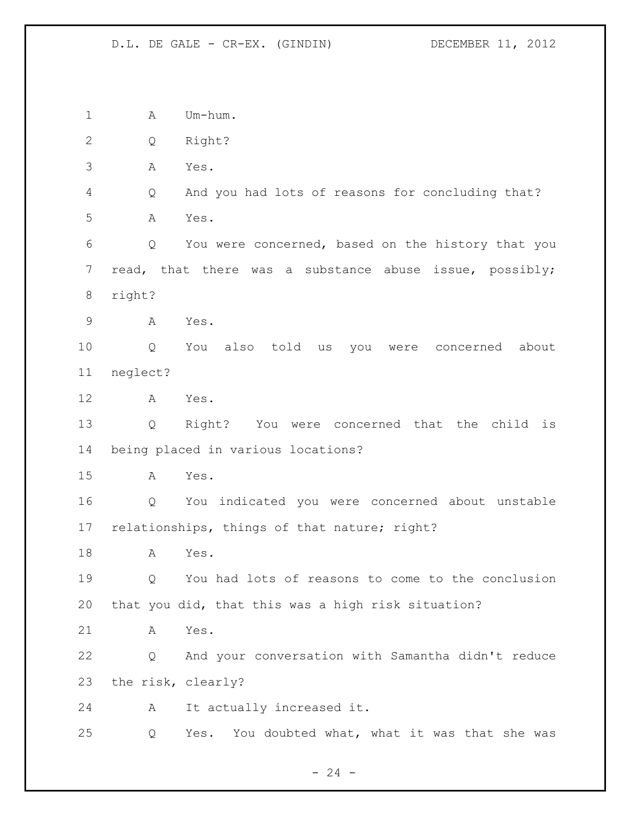1 A Um-hum. Q Right? A Yes. Q And you had lots of reasons for concluding that? A Yes. Q You were concerned, based on the history that you read, that there was a substance abuse issue, possibly; right? A Yes. Q You also told us you were concerned about neglect? A Yes. Q Right? You were concerned that the child is being placed in various locations? A Yes. Q You indicated you were concerned about unstable relationships, things of that nature; right? A Yes. Q You had lots of reasons to come to the conclusion that you did, that this was a high risk situation? A Yes. Q And your conversation with Samantha didn't reduce the risk, clearly? A It actually increased it. Q Yes. You doubted what, what it was that she was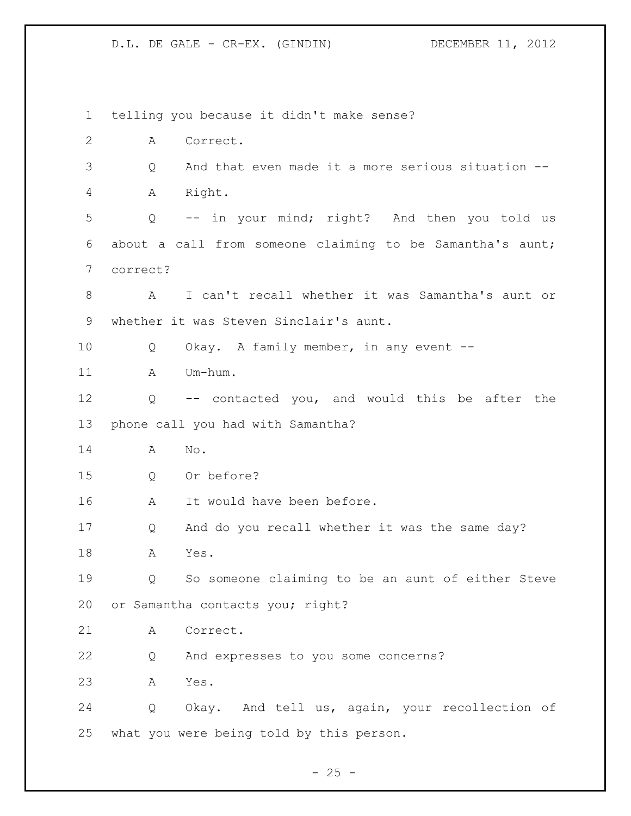telling you because it didn't make sense? A Correct. Q And that even made it a more serious situation -- A Right. Q -- in your mind; right? And then you told us about a call from someone claiming to be Samantha's aunt; correct? A I can't recall whether it was Samantha's aunt or whether it was Steven Sinclair's aunt. Q Okay. A family member, in any event -- A Um-hum. Q -- contacted you, and would this be after the phone call you had with Samantha? A No. Q Or before? A It would have been before. Q And do you recall whether it was the same day? A Yes. Q So someone claiming to be an aunt of either Steve or Samantha contacts you; right? A Correct. Q And expresses to you some concerns? A Yes. Q Okay. And tell us, again, your recollection of what you were being told by this person.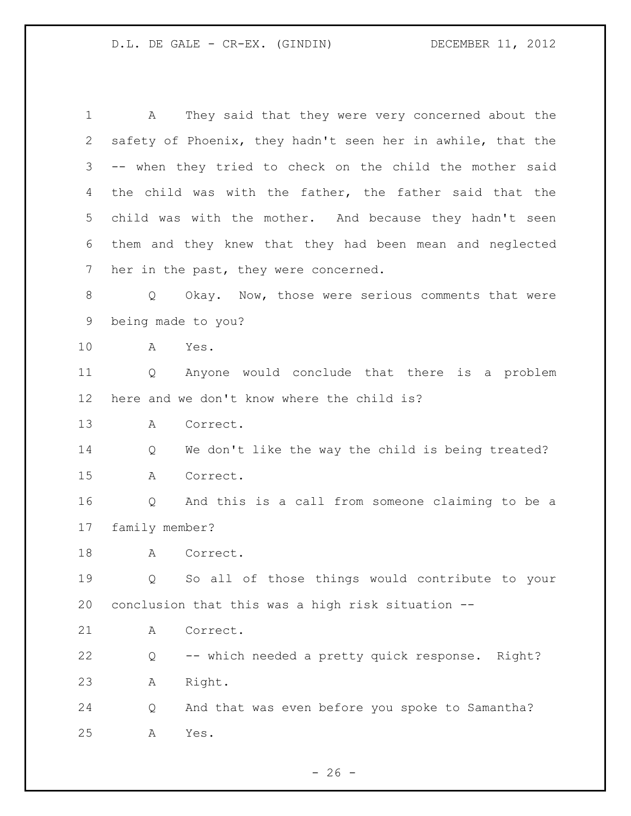A They said that they were very concerned about the safety of Phoenix, they hadn't seen her in awhile, that the -- when they tried to check on the child the mother said the child was with the father, the father said that the child was with the mother. And because they hadn't seen them and they knew that they had been mean and neglected her in the past, they were concerned. 8 Q Okay. Now, those were serious comments that were being made to you? A Yes. Q Anyone would conclude that there is a problem here and we don't know where the child is? A Correct. Q We don't like the way the child is being treated? A Correct. Q And this is a call from someone claiming to be a family member? 18 A Correct. Q So all of those things would contribute to your conclusion that this was a high risk situation -- A Correct. Q -- which needed a pretty quick response. Right? A Right. Q And that was even before you spoke to Samantha? A Yes.

 $- 26 -$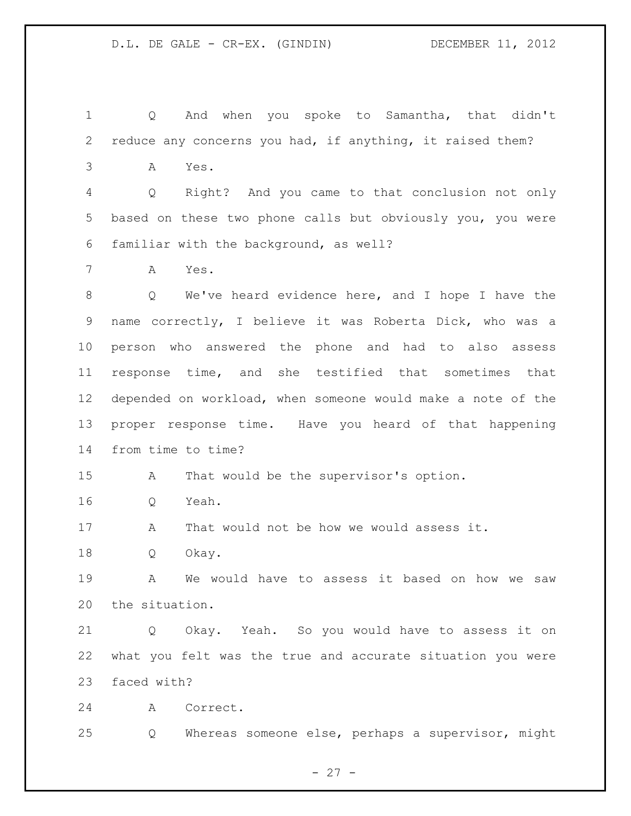Q And when you spoke to Samantha, that didn't reduce any concerns you had, if anything, it raised them? A Yes. Q Right? And you came to that conclusion not only based on these two phone calls but obviously you, you were familiar with the background, as well? A Yes. Q We've heard evidence here, and I hope I have the name correctly, I believe it was Roberta Dick, who was a person who answered the phone and had to also assess response time, and she testified that sometimes that depended on workload, when someone would make a note of the proper response time. Have you heard of that happening from time to time? A That would be the supervisor's option. Q Yeah. A That would not be how we would assess it. Q Okay. A We would have to assess it based on how we saw the situation. Q Okay. Yeah. So you would have to assess it on what you felt was the true and accurate situation you were faced with? A Correct. Q Whereas someone else, perhaps a supervisor, might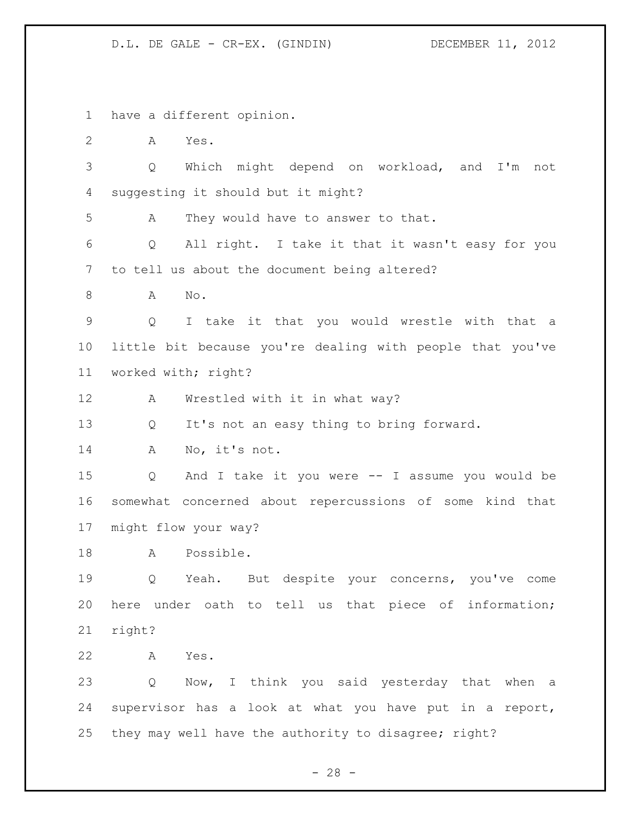have a different opinion.

A Yes.

 Q Which might depend on workload, and I'm not suggesting it should but it might?

A They would have to answer to that.

 Q All right. I take it that it wasn't easy for you to tell us about the document being altered?

A No.

 Q I take it that you would wrestle with that a little bit because you're dealing with people that you've worked with; right?

A Wrestled with it in what way?

Q It's not an easy thing to bring forward.

A No, it's not.

 Q And I take it you were -- I assume you would be somewhat concerned about repercussions of some kind that might flow your way?

A Possible.

 Q Yeah. But despite your concerns, you've come here under oath to tell us that piece of information; right?

A Yes.

 Q Now, I think you said yesterday that when a supervisor has a look at what you have put in a report, they may well have the authority to disagree; right?

 $- 28 -$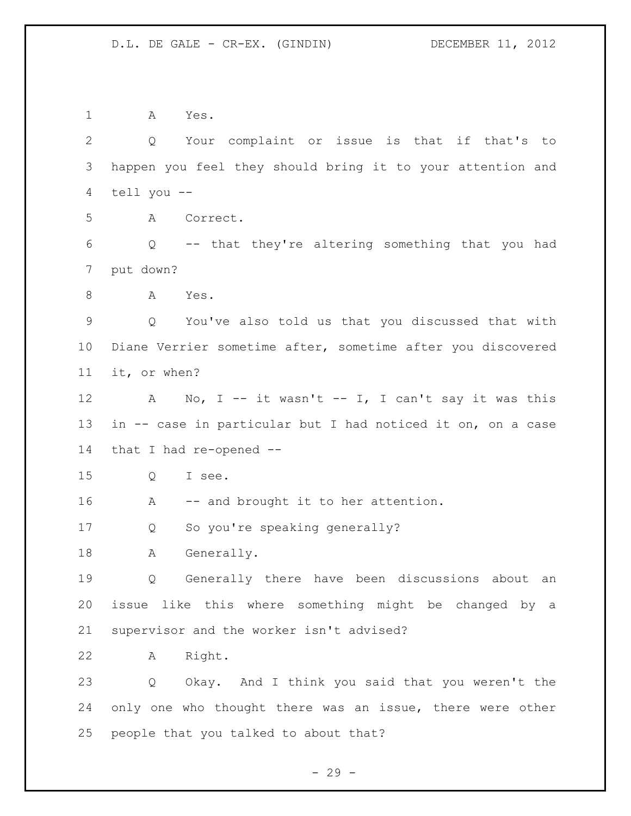A Yes. Q Your complaint or issue is that if that's to happen you feel they should bring it to your attention and tell you -- A Correct. Q -- that they're altering something that you had put down? A Yes. Q You've also told us that you discussed that with Diane Verrier sometime after, sometime after you discovered it, or when? 12 A No, I -- it wasn't -- I, I can't say it was this in -- case in particular but I had noticed it on, on a case that I had re-opened -- Q I see. 16 A -- and brought it to her attention. Q So you're speaking generally? A Generally. Q Generally there have been discussions about an issue like this where something might be changed by a supervisor and the worker isn't advised? A Right. Q Okay. And I think you said that you weren't the 24 only one who thought there was an issue, there were other people that you talked to about that?

 $- 29 -$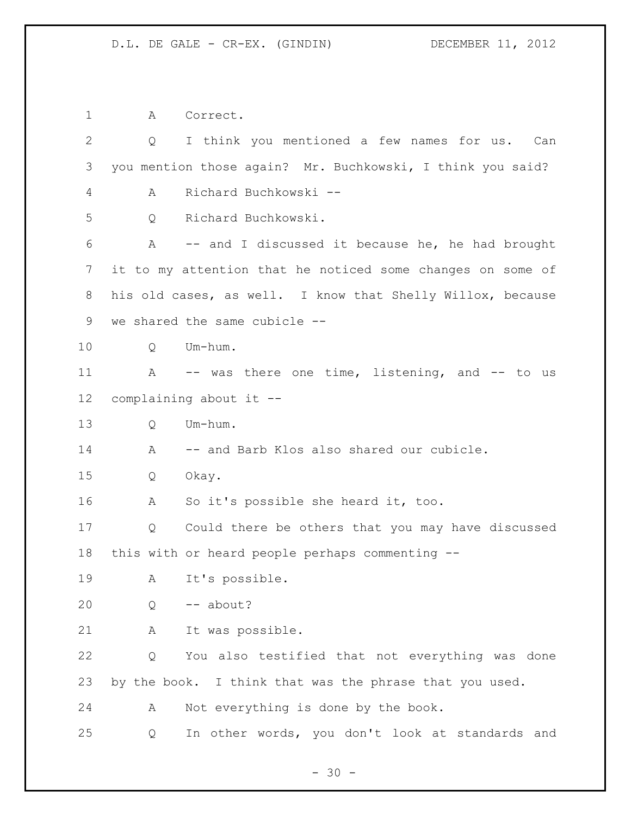A Correct. Q I think you mentioned a few names for us. Can you mention those again? Mr. Buchkowski, I think you said? A Richard Buchkowski -- Q Richard Buchkowski. A -- and I discussed it because he, he had brought it to my attention that he noticed some changes on some of his old cases, as well. I know that Shelly Willox, because we shared the same cubicle -- Q Um-hum. A -- was there one time, listening, and -- to us complaining about it -- Q Um-hum. A -- and Barb Klos also shared our cubicle. Q Okay. A So it's possible she heard it, too. Q Could there be others that you may have discussed this with or heard people perhaps commenting -- A It's possible. Q -- about? A It was possible. Q You also testified that not everything was done by the book. I think that was the phrase that you used. A Not everything is done by the book. Q In other words, you don't look at standards and

 $- 30 -$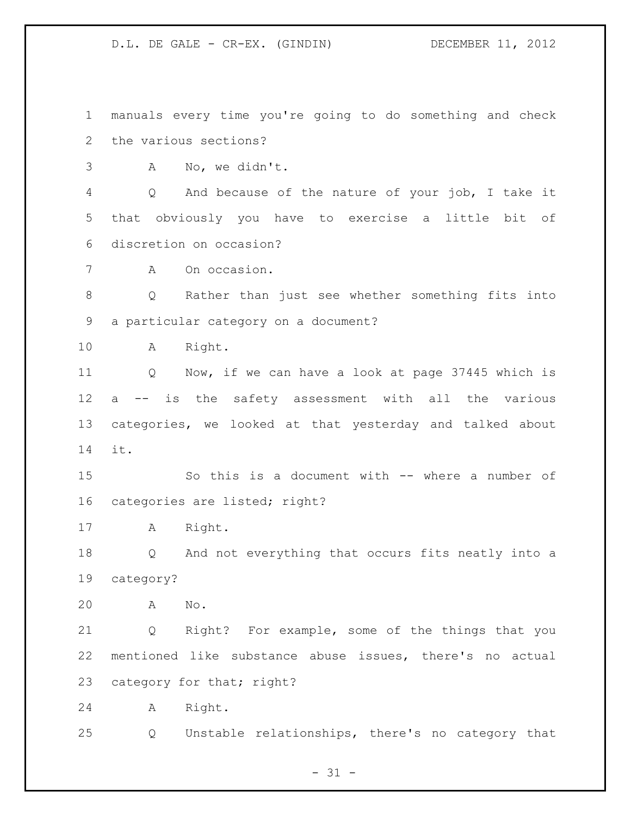manuals every time you're going to do something and check the various sections?

A No, we didn't.

 Q And because of the nature of your job, I take it that obviously you have to exercise a little bit of discretion on occasion?

A On occasion.

 Q Rather than just see whether something fits into a particular category on a document?

A Right.

 Q Now, if we can have a look at page 37445 which is a -- is the safety assessment with all the various categories, we looked at that yesterday and talked about it.

 So this is a document with -- where a number of categories are listed; right?

A Right.

 Q And not everything that occurs fits neatly into a category?

A No.

 Q Right? For example, some of the things that you mentioned like substance abuse issues, there's no actual 23 category for that; right?

A Right.

Q Unstable relationships, there's no category that

 $- 31 -$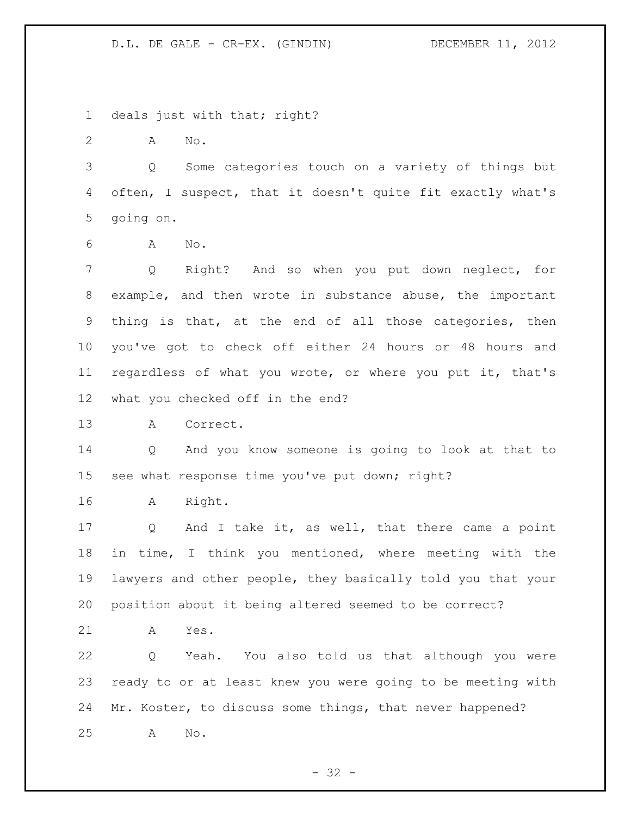1 deals just with that; right?

A No.

 Q Some categories touch on a variety of things but often, I suspect, that it doesn't quite fit exactly what's going on.

A No.

 Q Right? And so when you put down neglect, for example, and then wrote in substance abuse, the important thing is that, at the end of all those categories, then you've got to check off either 24 hours or 48 hours and regardless of what you wrote, or where you put it, that's what you checked off in the end?

A Correct.

 Q And you know someone is going to look at that to see what response time you've put down; right?

A Right.

 Q And I take it, as well, that there came a point in time, I think you mentioned, where meeting with the lawyers and other people, they basically told you that your position about it being altered seemed to be correct?

A Yes.

 Q Yeah. You also told us that although you were ready to or at least knew you were going to be meeting with Mr. Koster, to discuss some things, that never happened? A No.

 $- 32 -$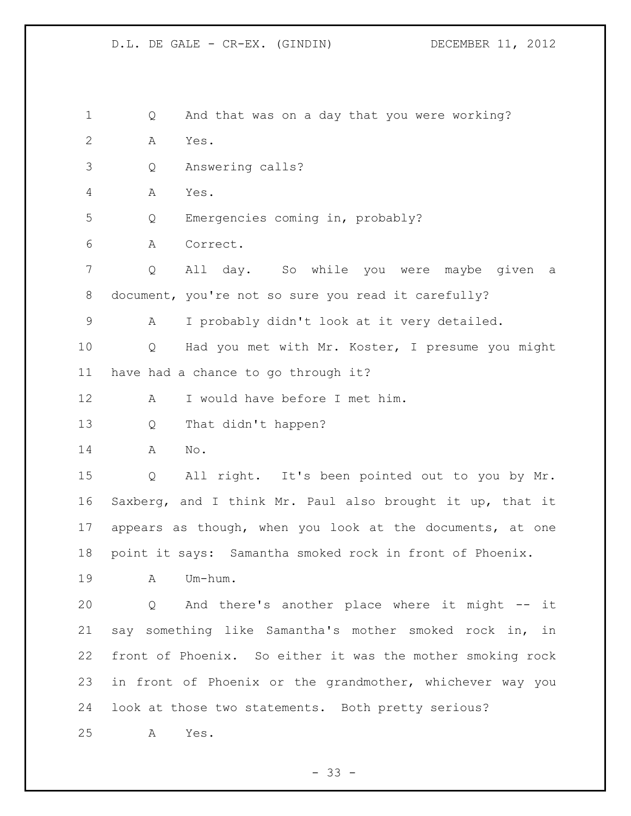Q And that was on a day that you were working? A Yes. Q Answering calls? A Yes. Q Emergencies coming in, probably? A Correct. Q All day. So while you were maybe given a document, you're not so sure you read it carefully? A I probably didn't look at it very detailed. Q Had you met with Mr. Koster, I presume you might have had a chance to go through it? A I would have before I met him. Q That didn't happen? A No. Q All right. It's been pointed out to you by Mr. Saxberg, and I think Mr. Paul also brought it up, that it appears as though, when you look at the documents, at one point it says: Samantha smoked rock in front of Phoenix. A Um-hum. Q And there's another place where it might -- it say something like Samantha's mother smoked rock in, in front of Phoenix. So either it was the mother smoking rock in front of Phoenix or the grandmother, whichever way you look at those two statements. Both pretty serious? A Yes.

 $- 33 -$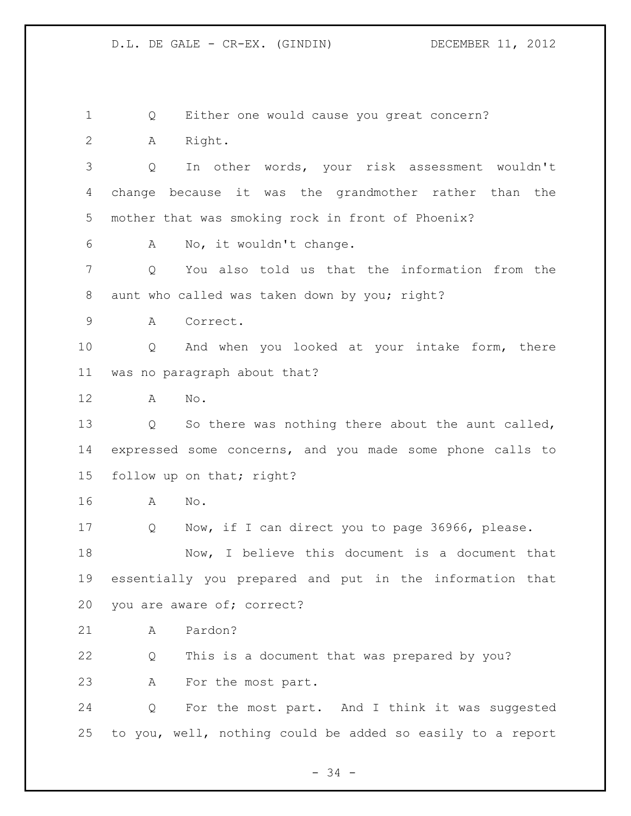Q Either one would cause you great concern? A Right. Q In other words, your risk assessment wouldn't change because it was the grandmother rather than the mother that was smoking rock in front of Phoenix? A No, it wouldn't change. Q You also told us that the information from the aunt who called was taken down by you; right? A Correct. Q And when you looked at your intake form, there was no paragraph about that? A No. Q So there was nothing there about the aunt called, expressed some concerns, and you made some phone calls to follow up on that; right? A No. Q Now, if I can direct you to page 36966, please. Now, I believe this document is a document that essentially you prepared and put in the information that you are aware of; correct? A Pardon? Q This is a document that was prepared by you? A For the most part. Q For the most part. And I think it was suggested to you, well, nothing could be added so easily to a report

- 34 -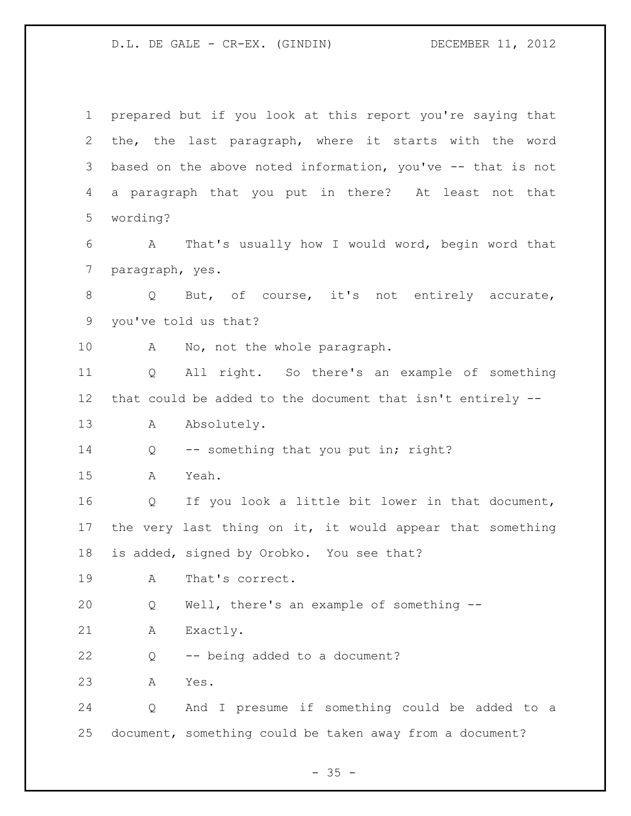D.L. DE GALE - CR-EX. (GINDIN) DECEMBER 11, 2012

 prepared but if you look at this report you're saying that the, the last paragraph, where it starts with the word based on the above noted information, you've -- that is not a paragraph that you put in there? At least not that wording? A That's usually how I would word, begin word that paragraph, yes. 8 Q But, of course, it's not entirely accurate, you've told us that? A No, not the whole paragraph. Q All right. So there's an example of something that could be added to the document that isn't entirely -- 13 A Absolutely. 14 Q -- something that you put in; right? A Yeah. Q If you look a little bit lower in that document, the very last thing on it, it would appear that something is added, signed by Orobko. You see that? A That's correct. Q Well, there's an example of something -- A Exactly. Q -- being added to a document? A Yes. Q And I presume if something could be added to a document, something could be taken away from a document?

 $- 35 -$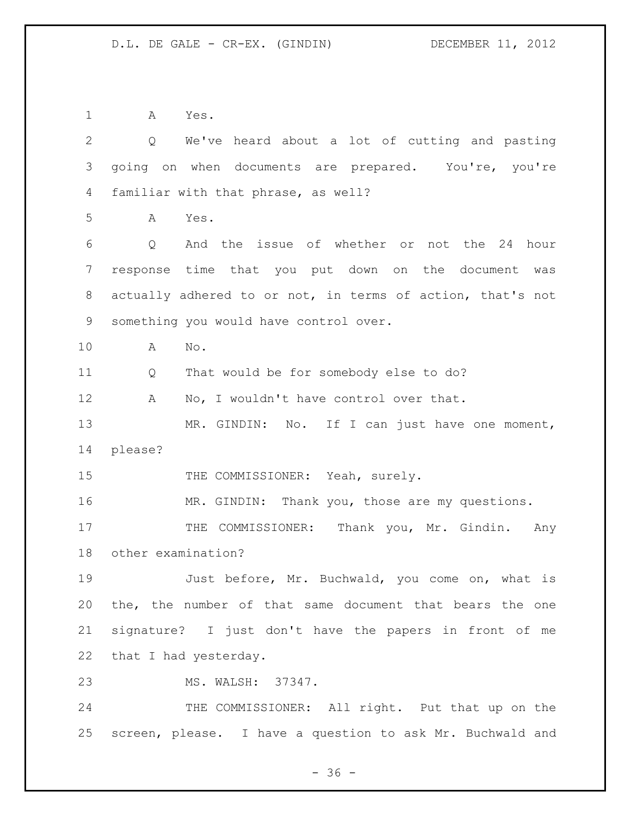A Yes.

| $\mathbf{2}$ | We've heard about a lot of cutting and pasting<br>$Q \qquad \qquad$ |
|--------------|---------------------------------------------------------------------|
| 3            | going on when documents are prepared. You're, you're                |
| 4            | familiar with that phrase, as well?                                 |
| 5            | Α<br>Yes.                                                           |
| 6            | And the issue of whether or not the 24 hour<br>Q                    |
| 7            | response time that you put down on the document<br>was              |
| 8            | actually adhered to or not, in terms of action, that's not          |
| 9            | something you would have control over.                              |
| 10           | No.<br>A                                                            |
| 11           | That would be for somebody else to do?<br>Q                         |
| 12           | No, I wouldn't have control over that.<br>Α                         |
| 13           | MR. GINDIN: No. If I can just have one moment,                      |
| 14           | please?                                                             |
| 15           | THE COMMISSIONER: Yeah, surely.                                     |
| 16           | MR. GINDIN: Thank you, those are my questions.                      |
| 17           | THE COMMISSIONER: Thank you, Mr. Gindin. Any                        |
| 18           | other examination?                                                  |
| 19           | Just before, Mr. Buchwald, you come on, what is                     |
| 20           | the, the number of that same document that bears the one            |
| 21           | signature? I just don't have the papers in front of me              |
| 22           | that I had yesterday.                                               |
| 23           | MS. WALSH: 37347.                                                   |
| 24           | THE COMMISSIONER: All right. Put that up on the                     |
| 25           | screen, please. I have a question to ask Mr. Buchwald and           |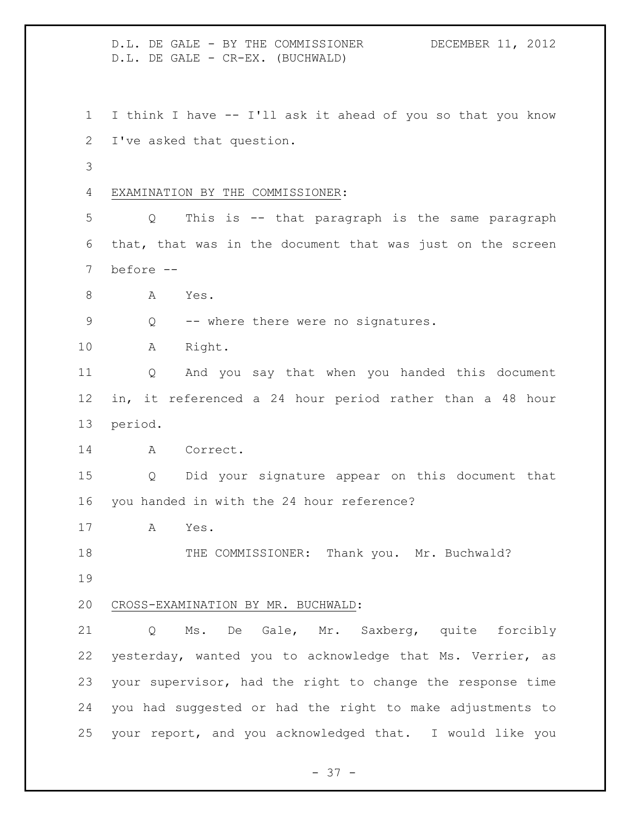D.L. DE GALE - BY THE COMMISSIONER DECEMBER 11, 2012 D.L. DE GALE - CR-EX. (BUCHWALD) I think I have -- I'll ask it ahead of you so that you know I've asked that question. EXAMINATION BY THE COMMISSIONER: Q This is -- that paragraph is the same paragraph that, that was in the document that was just on the screen before -- 8 A Yes. Q -- where there were no signatures. A Right. Q And you say that when you handed this document in, it referenced a 24 hour period rather than a 48 hour period. A Correct. Q Did your signature appear on this document that you handed in with the 24 hour reference? A Yes. 18 THE COMMISSIONER: Thank you. Mr. Buchwald? CROSS-EXAMINATION BY MR. BUCHWALD: Q Ms. De Gale, Mr. Saxberg, quite forcibly yesterday, wanted you to acknowledge that Ms. Verrier, as your supervisor, had the right to change the response time you had suggested or had the right to make adjustments to your report, and you acknowledged that. I would like you

 $- 37 -$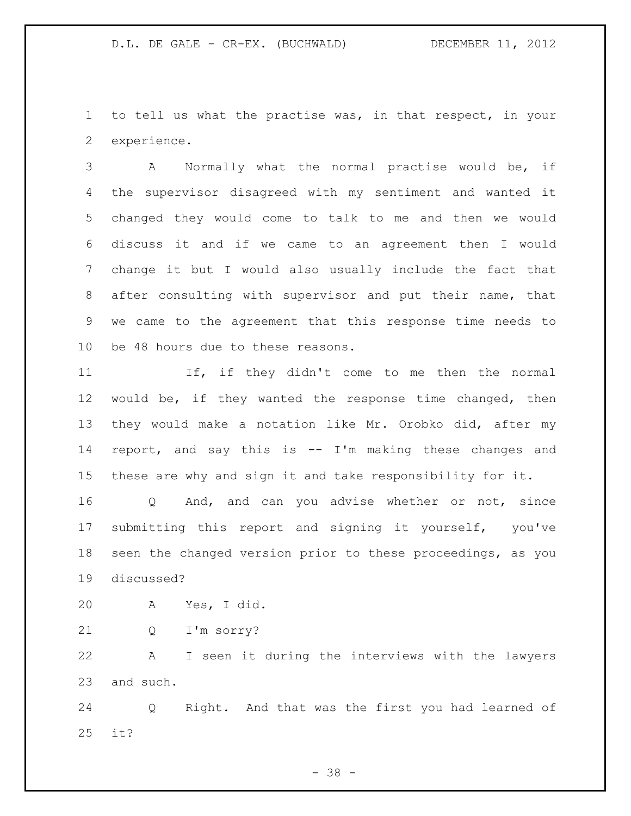to tell us what the practise was, in that respect, in your experience.

 A Normally what the normal practise would be, if the supervisor disagreed with my sentiment and wanted it changed they would come to talk to me and then we would discuss it and if we came to an agreement then I would change it but I would also usually include the fact that after consulting with supervisor and put their name, that we came to the agreement that this response time needs to be 48 hours due to these reasons.

 If, if they didn't come to me then the normal would be, if they wanted the response time changed, then they would make a notation like Mr. Orobko did, after my report, and say this is -- I'm making these changes and these are why and sign it and take responsibility for it.

 Q And, and can you advise whether or not, since submitting this report and signing it yourself, you've seen the changed version prior to these proceedings, as you discussed?

A Yes, I did.

Q I'm sorry?

 A I seen it during the interviews with the lawyers and such.

 Q Right. And that was the first you had learned of it?

- 38 -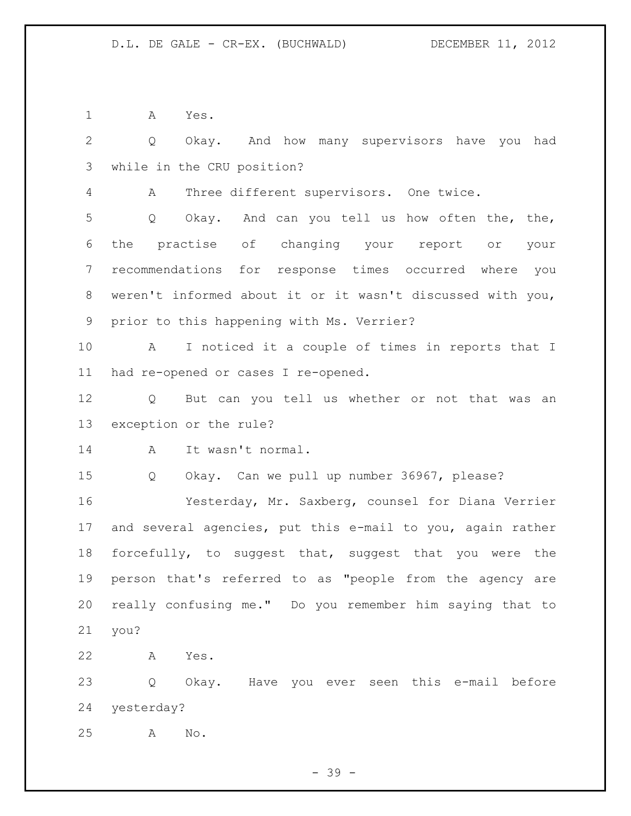A Yes.

 Q Okay. And how many supervisors have you had while in the CRU position?

A Three different supervisors. One twice.

 Q Okay. And can you tell us how often the, the, the practise of changing your report or your recommendations for response times occurred where you weren't informed about it or it wasn't discussed with you, prior to this happening with Ms. Verrier?

 A I noticed it a couple of times in reports that I had re-opened or cases I re-opened.

 Q But can you tell us whether or not that was an exception or the rule?

A It wasn't normal.

Q Okay. Can we pull up number 36967, please?

 Yesterday, Mr. Saxberg, counsel for Diana Verrier and several agencies, put this e-mail to you, again rather forcefully, to suggest that, suggest that you were the person that's referred to as "people from the agency are really confusing me." Do you remember him saying that to you?

A Yes.

 Q Okay. Have you ever seen this e-mail before yesterday?

A No.

- 39 -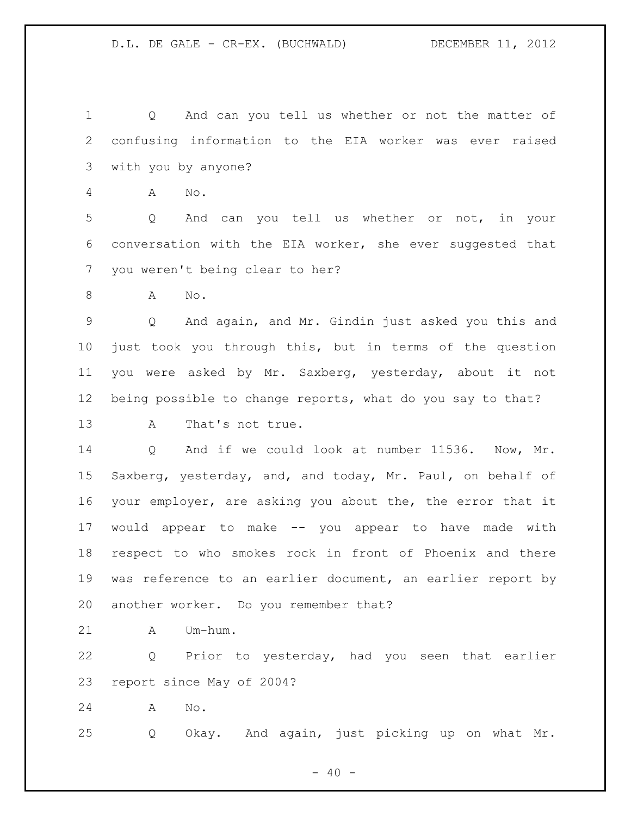Q And can you tell us whether or not the matter of confusing information to the EIA worker was ever raised with you by anyone?

A No.

 Q And can you tell us whether or not, in your conversation with the EIA worker, she ever suggested that you weren't being clear to her?

A No.

 Q And again, and Mr. Gindin just asked you this and just took you through this, but in terms of the question you were asked by Mr. Saxberg, yesterday, about it not being possible to change reports, what do you say to that?

A That's not true.

 Q And if we could look at number 11536. Now, Mr. Saxberg, yesterday, and, and today, Mr. Paul, on behalf of your employer, are asking you about the, the error that it would appear to make -- you appear to have made with respect to who smokes rock in front of Phoenix and there was reference to an earlier document, an earlier report by another worker. Do you remember that?

A Um-hum.

 Q Prior to yesterday, had you seen that earlier report since May of 2004?

A No.

Q Okay. And again, just picking up on what Mr.

 $- 40 -$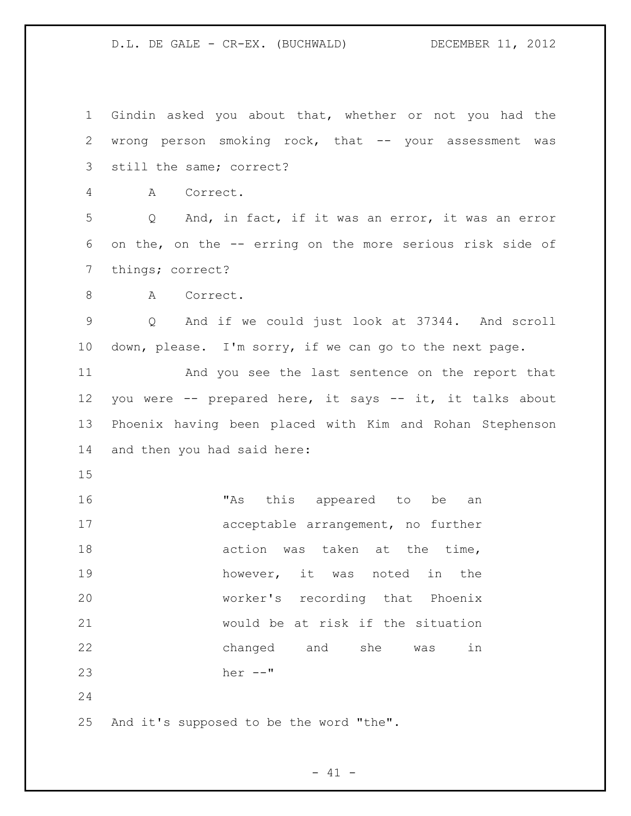D.L. DE GALE - CR-EX. (BUCHWALD) DECEMBER 11, 2012

 Gindin asked you about that, whether or not you had the 2 wrong person smoking rock, that -- your assessment was still the same; correct? A Correct. Q And, in fact, if it was an error, it was an error on the, on the -- erring on the more serious risk side of things; correct? 8 A Correct. Q And if we could just look at 37344. And scroll down, please. I'm sorry, if we can go to the next page. And you see the last sentence on the report that you were -- prepared here, it says -- it, it talks about Phoenix having been placed with Kim and Rohan Stephenson and then you had said here: "As this appeared to be an acceptable arrangement, no further 18 action was taken at the time, however, it was noted in the worker's recording that Phoenix would be at risk if the situation changed and she was in her --" And it's supposed to be the word "the".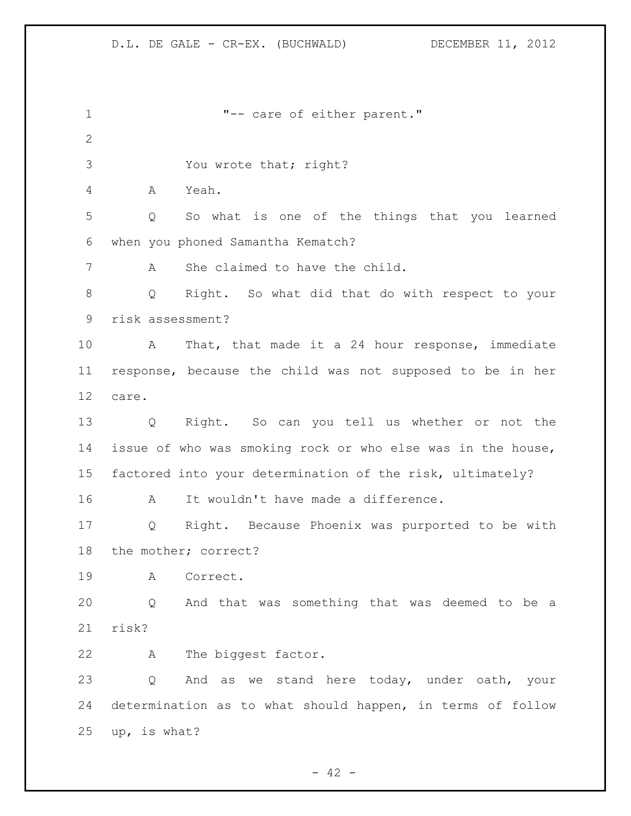| $\mathbf 1$  | "-- care of either parent."                                      |
|--------------|------------------------------------------------------------------|
| $\mathbf{2}$ |                                                                  |
| 3            | You wrote that; right?                                           |
| 4            | Yeah.<br>A                                                       |
| 5            | So what is one of the things that you learned<br>Q               |
| 6            | when you phoned Samantha Kematch?                                |
| 7            | She claimed to have the child.<br>A                              |
| $8\,$        | Right. So what did that do with respect to your<br>Q             |
| 9            | risk assessment?                                                 |
| 10           | That, that made it a 24 hour response, immediate<br>$\mathbf{A}$ |
| 11           | response, because the child was not supposed to be in her        |
| 12           | care.                                                            |
| 13           | Q Right. So can you tell us whether or not the                   |
| 14           | issue of who was smoking rock or who else was in the house,      |
| 15           | factored into your determination of the risk, ultimately?        |
| 16           | It wouldn't have made a difference.<br>A                         |
| 17           | Right. Because Phoenix was purported to be with<br>Q             |
| 18           | the mother; correct?                                             |
| 19           | Correct.<br>A                                                    |
| 20           | And that was something that was deemed to be a<br>$\circ$        |
| 21           | risk?                                                            |
| 22           | The biggest factor.<br>A                                         |
| 23           | And as we stand here today, under oath, your<br>Q                |
| 24           | determination as to what should happen, in terms of follow       |
| 25           | up, is what?                                                     |
|              |                                                                  |

- 42 -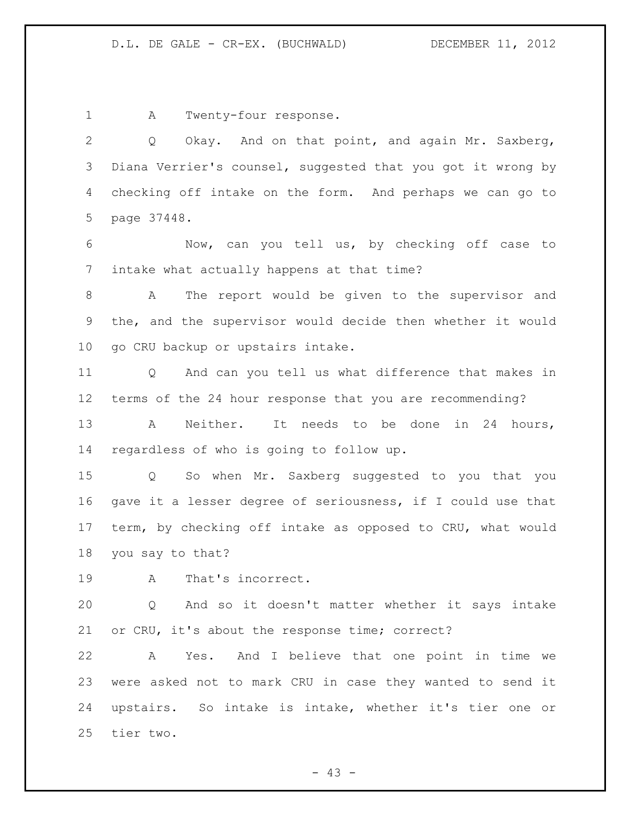1 A Twenty-four response.

 Q Okay. And on that point, and again Mr. Saxberg, Diana Verrier's counsel, suggested that you got it wrong by checking off intake on the form. And perhaps we can go to page 37448.

 Now, can you tell us, by checking off case to intake what actually happens at that time?

 A The report would be given to the supervisor and the, and the supervisor would decide then whether it would go CRU backup or upstairs intake.

 Q And can you tell us what difference that makes in terms of the 24 hour response that you are recommending? 13 A Neither. It needs to be done in 24 hours,

regardless of who is going to follow up.

 Q So when Mr. Saxberg suggested to you that you gave it a lesser degree of seriousness, if I could use that term, by checking off intake as opposed to CRU, what would you say to that?

A That's incorrect.

 Q And so it doesn't matter whether it says intake or CRU, it's about the response time; correct?

 A Yes. And I believe that one point in time we were asked not to mark CRU in case they wanted to send it upstairs. So intake is intake, whether it's tier one or tier two.

 $- 43 -$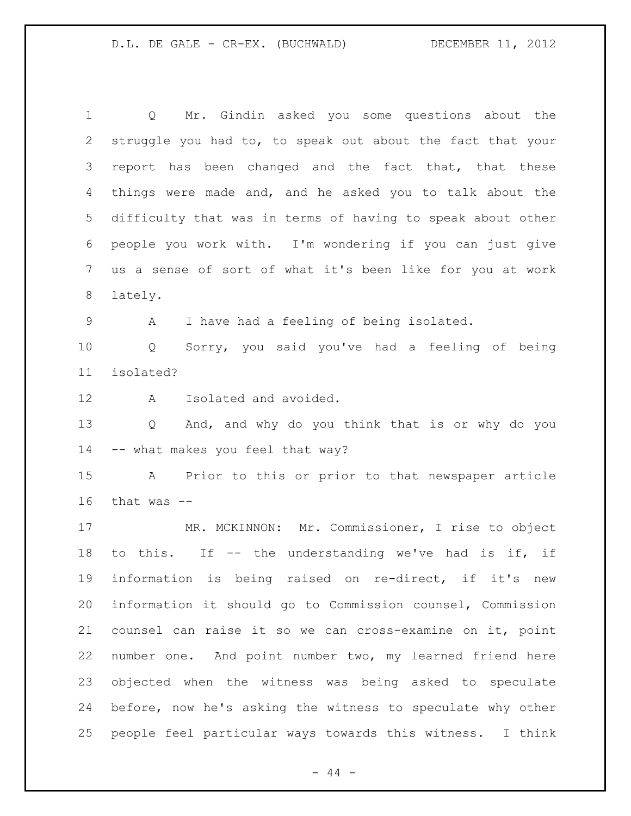D.L. DE GALE - CR-EX. (BUCHWALD) DECEMBER 11, 2012

 Q Mr. Gindin asked you some questions about the struggle you had to, to speak out about the fact that your 3 report has been changed and the fact that, that these things were made and, and he asked you to talk about the difficulty that was in terms of having to speak about other people you work with. I'm wondering if you can just give us a sense of sort of what it's been like for you at work lately. A I have had a feeling of being isolated. Q Sorry, you said you've had a feeling of being isolated? A Isolated and avoided. Q And, and why do you think that is or why do you -- what makes you feel that way? A Prior to this or prior to that newspaper article that was  $-$  MR. MCKINNON: Mr. Commissioner, I rise to object to this. If -- the understanding we've had is if, if information is being raised on re-direct, if it's new information it should go to Commission counsel, Commission counsel can raise it so we can cross-examine on it, point number one. And point number two, my learned friend here objected when the witness was being asked to speculate before, now he's asking the witness to speculate why other people feel particular ways towards this witness. I think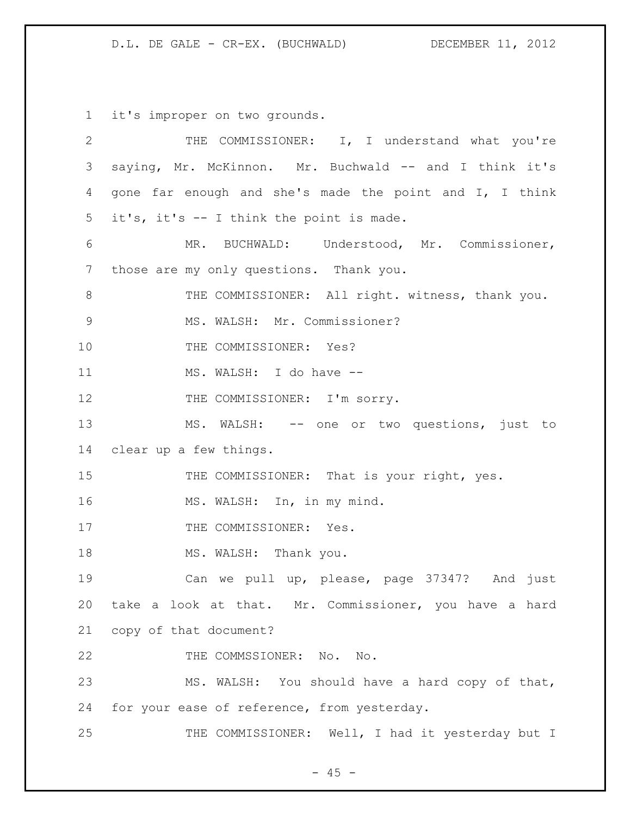D.L. DE GALE - CR-EX. (BUCHWALD) DECEMBER 11, 2012

it's improper on two grounds.

| $\overline{2}$ | THE COMMISSIONER: I, I understand what you're           |
|----------------|---------------------------------------------------------|
| 3              | saying, Mr. McKinnon. Mr. Buchwald -- and I think it's  |
| 4              | gone far enough and she's made the point and I, I think |
| 5              | it's, it's -- I think the point is made.                |
| 6              | MR. BUCHWALD: Understood, Mr. Commissioner,             |
| 7              | those are my only questions. Thank you.                 |
| $8\,$          | THE COMMISSIONER: All right. witness, thank you.        |
| $\mathcal{G}$  | MS. WALSH: Mr. Commissioner?                            |
| 10             | THE COMMISSIONER: Yes?                                  |
| 11             | MS. WALSH: I do have --                                 |
| 12             | THE COMMISSIONER: I'm sorry.                            |
| 13             | MS. WALSH: -- one or two questions, just to             |
| 14             | clear up a few things.                                  |
| 15             | THE COMMISSIONER: That is your right, yes.              |
| 16             | MS. WALSH: In, in my mind.                              |
| 17             | THE COMMISSIONER: Yes.                                  |
| 18             | MS. WALSH: Thank you.                                   |
| 19             | Can we pull up, please, page 37347? And just            |
| 20             | take a look at that. Mr. Commissioner, you have a hard  |
| 21             | copy of that document?                                  |
| 22             | THE COMMSSIONER: No. No.                                |
| 23             | MS. WALSH: You should have a hard copy of that,         |
| 24             | for your ease of reference, from yesterday.             |
| 25             | THE COMMISSIONER: Well, I had it yesterday but I        |

- 45 -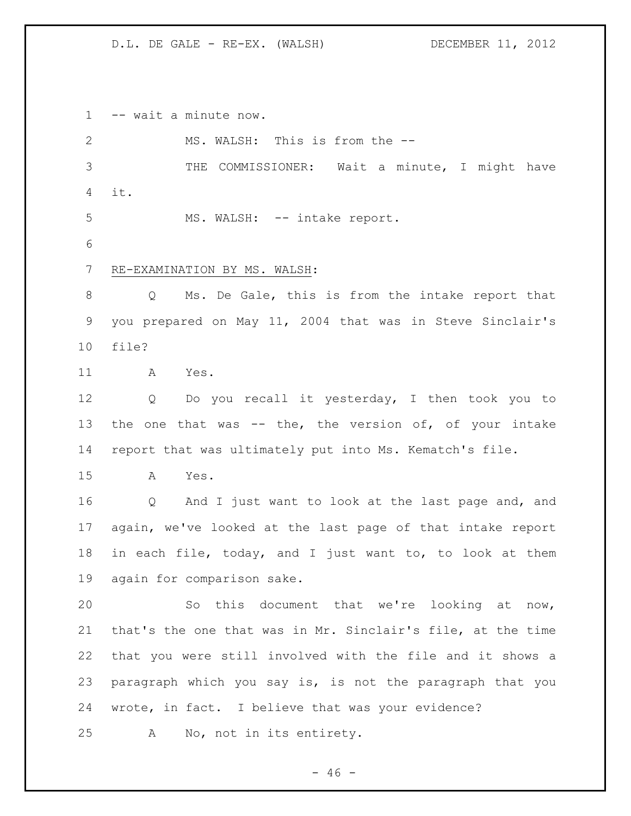-- wait a minute now.

 MS. WALSH: This is from the -- THE COMMISSIONER: Wait a minute, I might have it. MS. WALSH: -- intake report. RE-EXAMINATION BY MS. WALSH: Q Ms. De Gale, this is from the intake report that you prepared on May 11, 2004 that was in Steve Sinclair's file? A Yes. Q Do you recall it yesterday, I then took you to 13 the one that was  $-$  the, the version of, of your intake report that was ultimately put into Ms. Kematch's file. A Yes. Q And I just want to look at the last page and, and again, we've looked at the last page of that intake report in each file, today, and I just want to, to look at them again for comparison sake. So this document that we're looking at now, that's the one that was in Mr. Sinclair's file, at the time that you were still involved with the file and it shows a paragraph which you say is, is not the paragraph that you wrote, in fact. I believe that was your evidence? A No, not in its entirety.

 $- 46 -$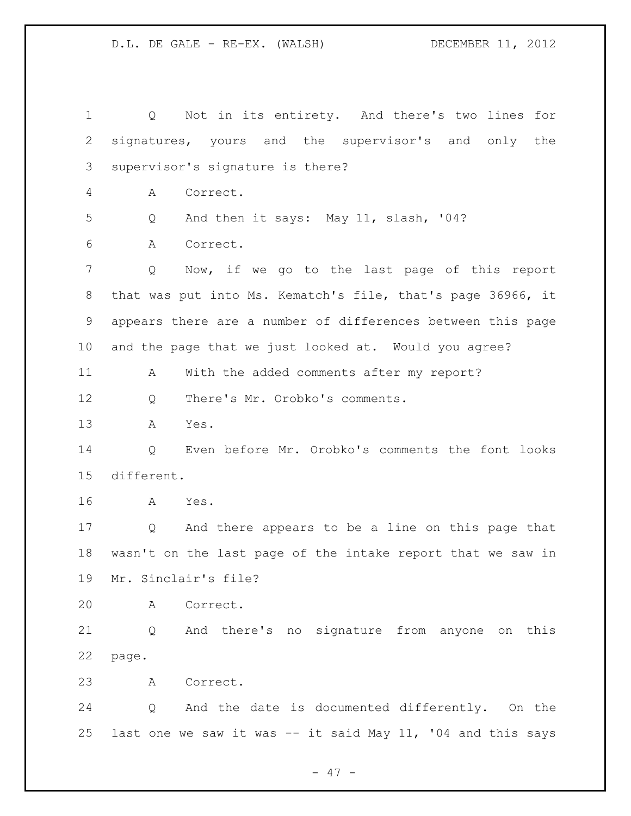| $\mathbf 1$    | Not in its entirety. And there's two lines for<br>Q            |
|----------------|----------------------------------------------------------------|
| $\overline{2}$ | signatures, yours and the supervisor's and only the            |
| 3              | supervisor's signature is there?                               |
| 4              | Correct.<br>Α                                                  |
| 5              | And then it says: May 11, slash, '04?<br>Q                     |
| 6              | Α<br>Correct.                                                  |
| 7              | Now, if we go to the last page of this report<br>Q             |
| 8              | that was put into Ms. Kematch's file, that's page 36966, it    |
| 9              | appears there are a number of differences between this page    |
| 10             | and the page that we just looked at. Would you agree?          |
| 11             | With the added comments after my report?<br>A                  |
| 12             | There's Mr. Orobko's comments.<br>Q                            |
| 13             | Α<br>Yes.                                                      |
| 14             | Even before Mr. Orobko's comments the font looks<br>Q          |
| 15             | different.                                                     |
| 16             | Yes.<br>A                                                      |
| 17             | And there appears to be a line on this page that<br>Q          |
| 18             | wasn't on the last page of the intake report that we saw in    |
| 19             | Mr. Sinclair's file?                                           |
| 20             | A<br>Correct.                                                  |
| 21             | And there's no signature from anyone on this<br>$\overline{Q}$ |
| 22             | page.                                                          |
| 23             | Correct.<br>A                                                  |
| 24             | And the date is documented differently. On the<br>Q            |
| 25             | last one we saw it was -- it said May 11, '04 and this says    |

- 47 -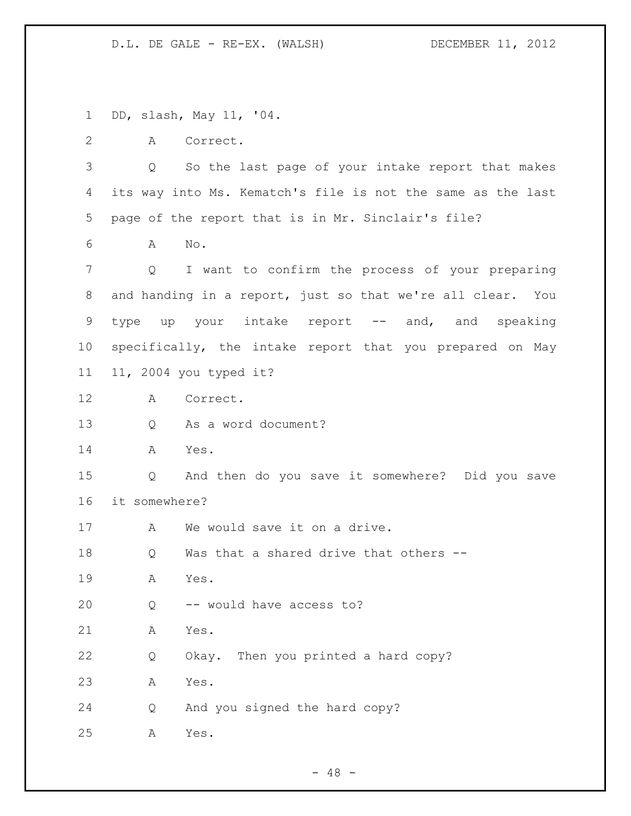DD, slash, May 11, '04. A Correct. Q So the last page of your intake report that makes its way into Ms. Kematch's file is not the same as the last page of the report that is in Mr. Sinclair's file? A No. Q I want to confirm the process of your preparing and handing in a report, just so that we're all clear. You 9 type up your intake report -- and, and speaking specifically, the intake report that you prepared on May 11, 2004 you typed it? A Correct. Q As a word document? A Yes. Q And then do you save it somewhere? Did you save it somewhere? 17 A We would save it on a drive. 18 Q Was that a shared drive that others -- A Yes. Q -- would have access to? A Yes. Q Okay. Then you printed a hard copy? A Yes. Q And you signed the hard copy? A Yes.

 $- 48 -$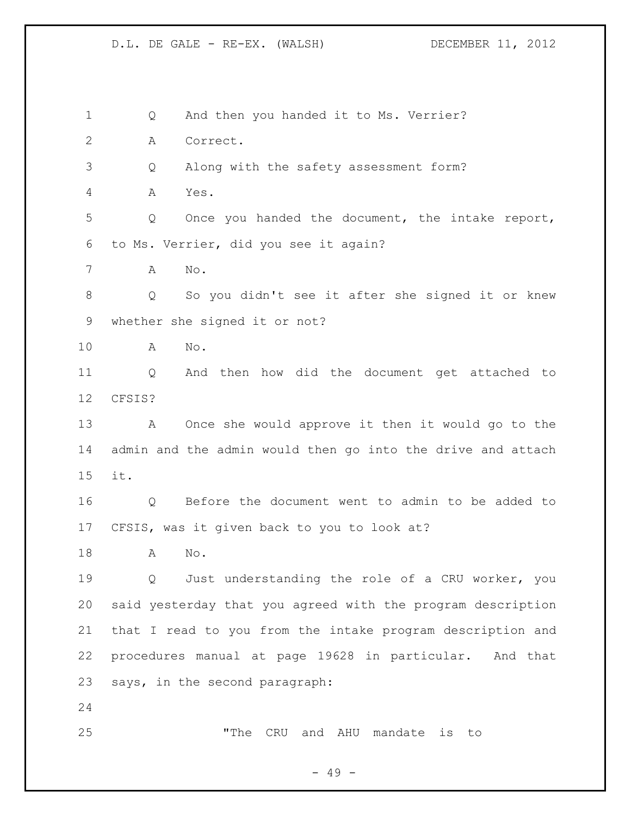1 Q And then you handed it to Ms. Verrier? A Correct. Q Along with the safety assessment form? A Yes. Q Once you handed the document, the intake report, to Ms. Verrier, did you see it again? A No. Q So you didn't see it after she signed it or knew whether she signed it or not? A No. Q And then how did the document get attached to CFSIS? A Once she would approve it then it would go to the admin and the admin would then go into the drive and attach it. Q Before the document went to admin to be added to CFSIS, was it given back to you to look at? A No. Q Just understanding the role of a CRU worker, you said yesterday that you agreed with the program description that I read to you from the intake program description and procedures manual at page 19628 in particular. And that says, in the second paragraph: "The CRU and AHU mandate is to

- 49 -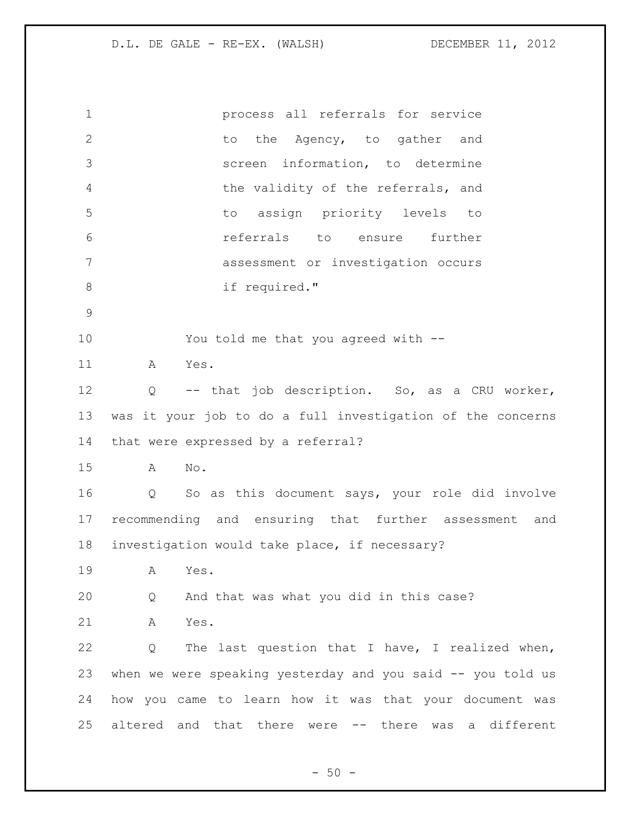| $\mathbf 1$    | process all referrals for service                                   |
|----------------|---------------------------------------------------------------------|
| $\overline{2}$ | the Agency, to gather and<br>to                                     |
| 3              | information, to determine<br>screen                                 |
| $\overline{4}$ | the validity of the referrals, and                                  |
| 5              | to assign priority levels<br>to                                     |
| 6              | referrals to ensure<br>further                                      |
| 7              | assessment or investigation occurs                                  |
| $\,8\,$        | if required."                                                       |
| $\mathcal{G}$  |                                                                     |
| 10             | You told me that you agreed with --                                 |
| 11             | Yes.<br>Α                                                           |
| 12             | -- that job description. So, as a CRU worker,<br>Q                  |
| 13             | was it your job to do a full investigation of the concerns          |
| 14             | that were expressed by a referral?                                  |
| 15             | No.<br>Α                                                            |
| 16             | So as this document says, your role did involve<br>Q                |
| 17             | recommending and ensuring that further assessment and               |
| 18             | investigation would take place, if necessary?                       |
| 19             | Α<br>Yes.                                                           |
| 20             | And that was what you did in this case?<br>Q                        |
| 21             | Α<br>Yes.                                                           |
| 22             | The last question that I have, I realized when,<br>Q                |
| 23             | when we were speaking yesterday and you said -- you told us         |
| 24             | how you came to learn how it was that your document was             |
| 25             | altered and that there<br>-- there<br>different<br>was<br>were<br>a |
|                |                                                                     |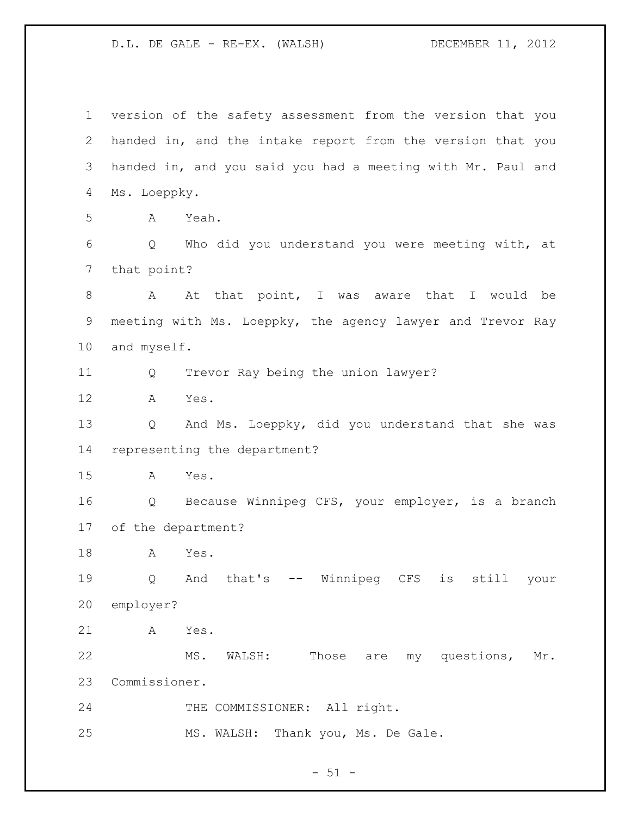version of the safety assessment from the version that you handed in, and the intake report from the version that you handed in, and you said you had a meeting with Mr. Paul and Ms. Loeppky. A Yeah. Q Who did you understand you were meeting with, at that point? 8 A At that point, I was aware that I would be meeting with Ms. Loeppky, the agency lawyer and Trevor Ray and myself. Q Trevor Ray being the union lawyer? A Yes. Q And Ms. Loeppky, did you understand that she was representing the department? A Yes. Q Because Winnipeg CFS, your employer, is a branch of the department? A Yes. Q And that's -- Winnipeg CFS is still your employer? A Yes. MS. WALSH: Those are my questions, Mr. Commissioner. 24 THE COMMISSIONER: All right. MS. WALSH: Thank you, Ms. De Gale.

 $- 51 -$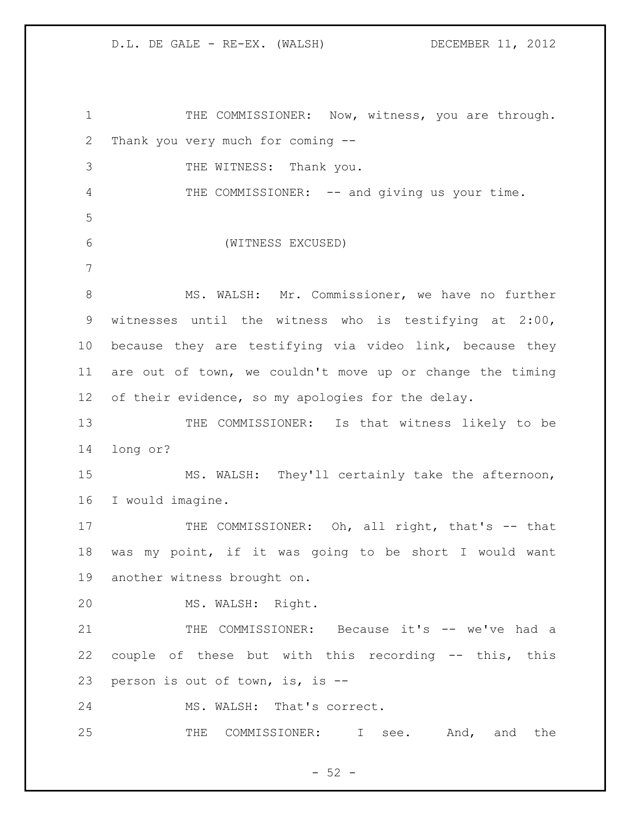THE COMMISSIONER: Now, witness, you are through. Thank you very much for coming -- 3 THE WITNESS: Thank you. 4 THE COMMISSIONER: -- and giving us your time. (WITNESS EXCUSED) 8 MS. WALSH: Mr. Commissioner, we have no further witnesses until the witness who is testifying at 2:00, because they are testifying via video link, because they are out of town, we couldn't move up or change the timing of their evidence, so my apologies for the delay. THE COMMISSIONER: Is that witness likely to be long or? MS. WALSH: They'll certainly take the afternoon, I would imagine. 17 THE COMMISSIONER: Oh, all right, that's -- that was my point, if it was going to be short I would want another witness brought on. MS. WALSH: Right. THE COMMISSIONER: Because it's -- we've had a couple of these but with this recording -- this, this person is out of town, is, is -- MS. WALSH: That's correct. 25 THE COMMISSIONER: I see. And, and the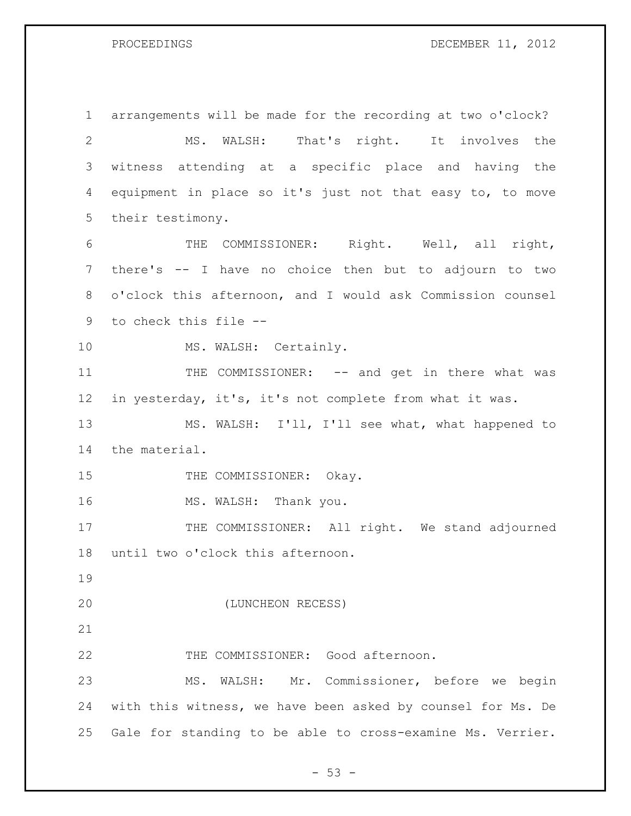### PROCEEDINGS DECEMBER 11, 2012

 arrangements will be made for the recording at two o'clock? MS. WALSH: That's right. It involves the witness attending at a specific place and having the equipment in place so it's just not that easy to, to move their testimony. THE COMMISSIONER: Right. Well, all right, there's -- I have no choice then but to adjourn to two o'clock this afternoon, and I would ask Commission counsel to check this file -- 10 MS. WALSH: Certainly. 11 THE COMMISSIONER: -- and get in there what was in yesterday, it's, it's not complete from what it was. MS. WALSH: I'll, I'll see what, what happened to the material. 15 THE COMMISSIONER: Okay. 16 MS. WALSH: Thank you. 17 THE COMMISSIONER: All right. We stand adjourned until two o'clock this afternoon. (LUNCHEON RECESS) 22 THE COMMISSIONER: Good afternoon. MS. WALSH: Mr. Commissioner, before we begin with this witness, we have been asked by counsel for Ms. De Gale for standing to be able to cross-examine Ms. Verrier.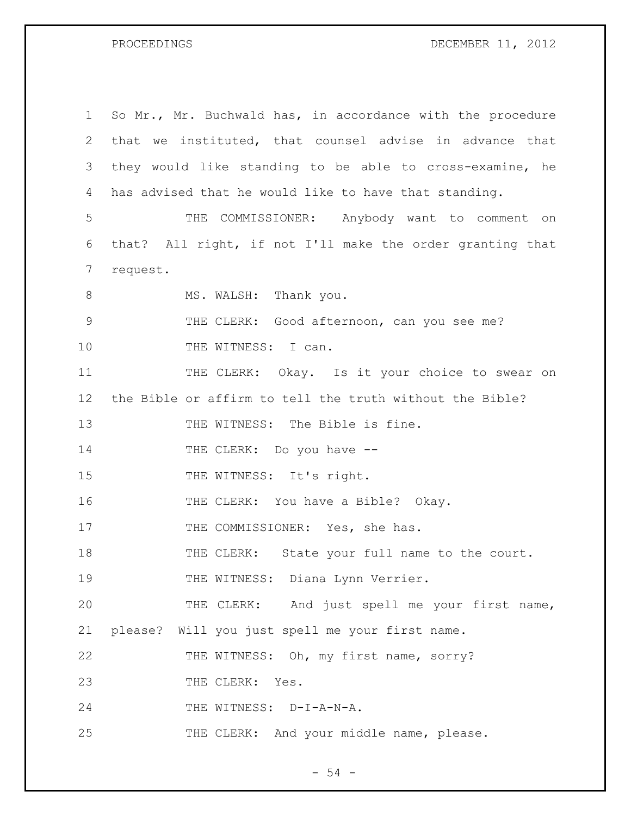PROCEEDINGS DECEMBER 11, 2012

| 1               | So Mr., Mr. Buchwald has, in accordance with the procedure |
|-----------------|------------------------------------------------------------|
| 2               | that we instituted, that counsel advise in advance that    |
| 3               | they would like standing to be able to cross-examine, he   |
| 4               | has advised that he would like to have that standing.      |
| 5               | THE COMMISSIONER: Anybody want to comment on               |
| 6               | that? All right, if not I'll make the order granting that  |
| 7               | request.                                                   |
| 8               | MS. WALSH: Thank you.                                      |
| 9               | THE CLERK: Good afternoon, can you see me?                 |
| 10              | THE WITNESS: I can.                                        |
| 11              | THE CLERK: Okay. Is it your choice to swear on             |
| 12 <sup>°</sup> | the Bible or affirm to tell the truth without the Bible?   |
| 13              | THE WITNESS: The Bible is fine.                            |
| 14              | THE CLERK: Do you have --                                  |
| 15              | THE WITNESS: It's right.                                   |
| 16              | THE CLERK: You have a Bible? Okay.                         |
| 17              | THE COMMISSIONER: Yes, she has.                            |
| 18              | THE CLERK: State your full name to the court.              |
| 19              | THE WITNESS: Diana Lynn Verrier.                           |
| 20              | THE CLERK: And just spell me your first name,              |
| 21              | please? Will you just spell me your first name.            |
| 22              | THE WITNESS: Oh, my first name, sorry?                     |
| 23              | THE CLERK: Yes.                                            |
| 24              | THE WITNESS: D-I-A-N-A.                                    |
| 25              | THE CLERK: And your middle name, please.                   |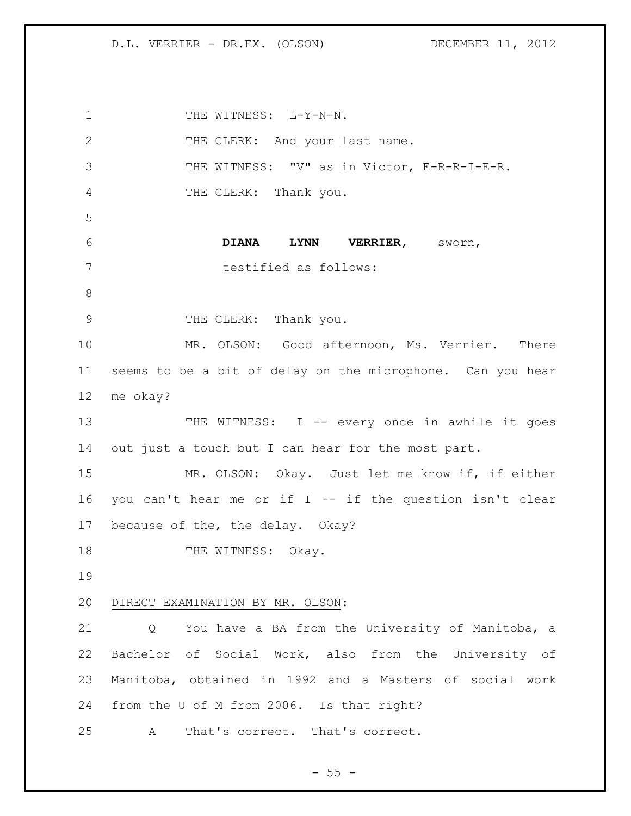1 THE WITNESS: L-Y-N-N. 2 THE CLERK: And your last name. THE WITNESS: "V" as in Victor, E-R-R-I-E-R. THE CLERK: Thank you. **DIANA LYNN VERRIER,** sworn, testified as follows: 9 THE CLERK: Thank you. MR. OLSON: Good afternoon, Ms. Verrier. There seems to be a bit of delay on the microphone. Can you hear me okay? THE WITNESS: I -- every once in awhile it goes out just a touch but I can hear for the most part. MR. OLSON: Okay. Just let me know if, if either you can't hear me or if I -- if the question isn't clear because of the, the delay. Okay? 18 THE WITNESS: Okay. DIRECT EXAMINATION BY MR. OLSON: Q You have a BA from the University of Manitoba, a Bachelor of Social Work, also from the University of Manitoba, obtained in 1992 and a Masters of social work from the U of M from 2006. Is that right? A That's correct. That's correct.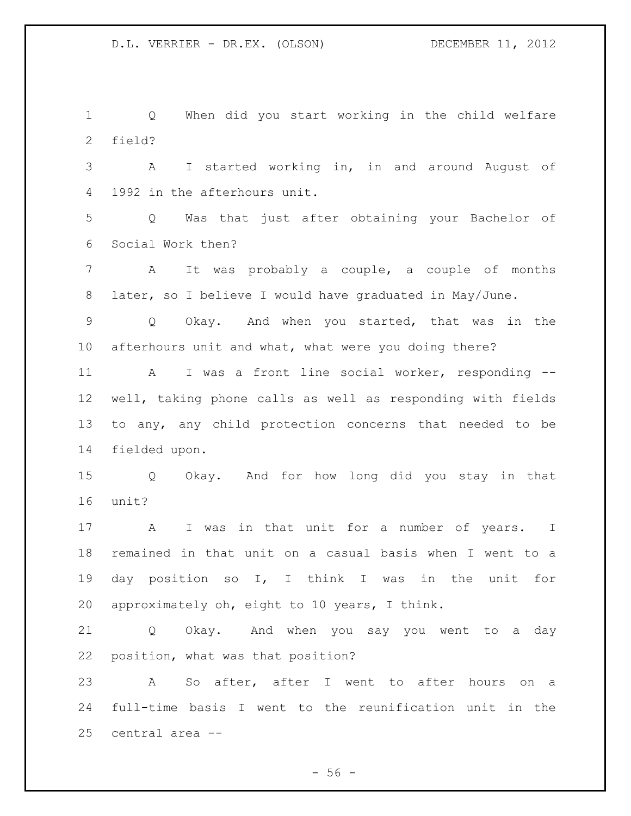Q When did you start working in the child welfare field?

 A I started working in, in and around August of 1992 in the afterhours unit.

 Q Was that just after obtaining your Bachelor of Social Work then?

 A It was probably a couple, a couple of months later, so I believe I would have graduated in May/June.

 Q Okay. And when you started, that was in the afterhours unit and what, what were you doing there?

 A I was a front line social worker, responding -- well, taking phone calls as well as responding with fields to any, any child protection concerns that needed to be fielded upon.

 Q Okay. And for how long did you stay in that unit?

17 A I was in that unit for a number of years. I remained in that unit on a casual basis when I went to a day position so I, I think I was in the unit for approximately oh, eight to 10 years, I think.

 Q Okay. And when you say you went to a day position, what was that position?

 A So after, after I went to after hours on a full-time basis I went to the reunification unit in the central area --

 $-56 -$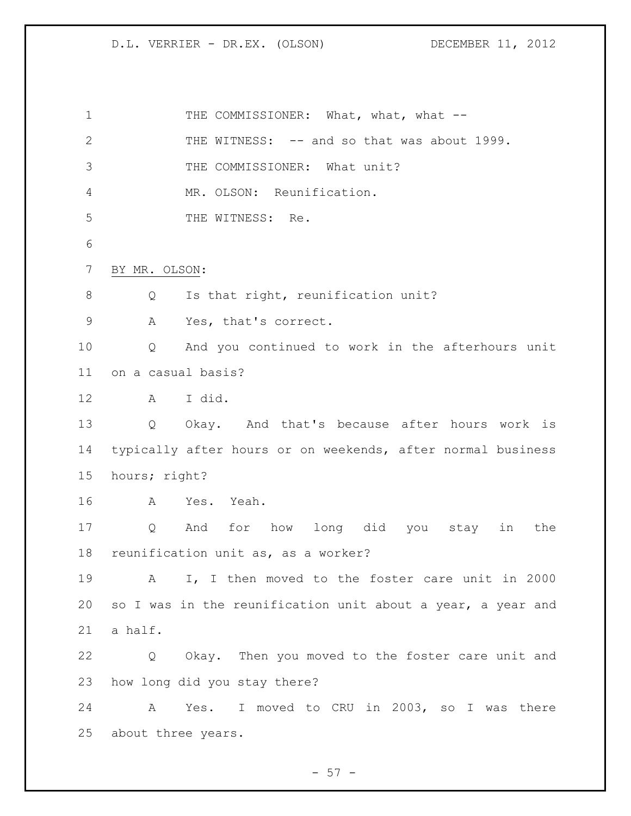# D.L. VERRIER - DR.EX. (OLSON) DECEMBER 11, 2012

| $\mathbf 1$ | THE COMMISSIONER: What, what, what --                           |
|-------------|-----------------------------------------------------------------|
| 2           | THE WITNESS: -- and so that was about 1999.                     |
| 3           | THE COMMISSIONER: What unit?                                    |
| 4           | MR. OLSON: Reunification.                                       |
| 5           | THE WITNESS: Re.                                                |
| 6           |                                                                 |
| 7           | BY MR. OLSON:                                                   |
| 8           | Is that right, reunification unit?<br>Q                         |
| $\mathsf 9$ | Yes, that's correct.<br>Α                                       |
| 10          | And you continued to work in the afterhours unit<br>Q           |
| 11          | on a casual basis?                                              |
| 12          | A I did.                                                        |
| 13          | Q<br>Okay. And that's because after hours work is               |
| 14          | typically after hours or on weekends, after normal business     |
| 15          | hours; right?                                                   |
| 16          | A<br>Yes. Yeah.                                                 |
| 17          | Q<br>And for how long did you stay in<br>the                    |
| 18          | reunification unit as, as a worker?                             |
| 19          | I, I then moved to the foster care unit in 2000<br>$\mathbf{A}$ |
| 20          | so I was in the reunification unit about a year, a year and     |
| 21          | a half.                                                         |
| 22          | Okay. Then you moved to the foster care unit and<br>Q           |
| 23          | how long did you stay there?                                    |
| 24          | Yes. I moved to CRU in 2003, so I was there<br>A                |
| 25          | about three years.                                              |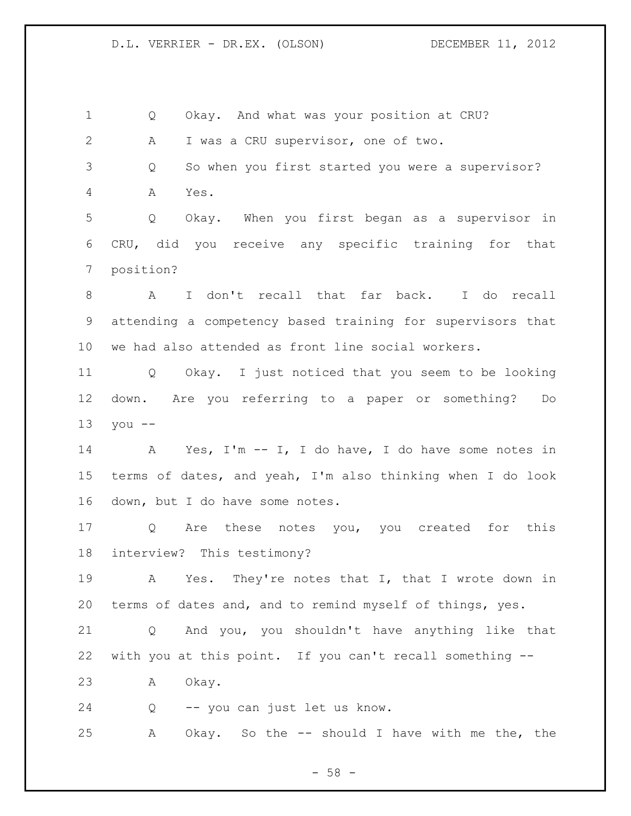Q Okay. And what was your position at CRU? A I was a CRU supervisor, one of two. Q So when you first started you were a supervisor? A Yes. Q Okay. When you first began as a supervisor in CRU, did you receive any specific training for that position? A I don't recall that far back. I do recall attending a competency based training for supervisors that we had also attended as front line social workers. Q Okay. I just noticed that you seem to be looking down. Are you referring to a paper or something? Do you -- A Yes, I'm -- I, I do have, I do have some notes in terms of dates, and yeah, I'm also thinking when I do look down, but I do have some notes. Q Are these notes you, you created for this interview? This testimony? A Yes. They're notes that I, that I wrote down in terms of dates and, and to remind myself of things, yes. Q And you, you shouldn't have anything like that with you at this point. If you can't recall something -- A Okay. Q -- you can just let us know. A Okay. So the -- should I have with me the, the

 $-58 -$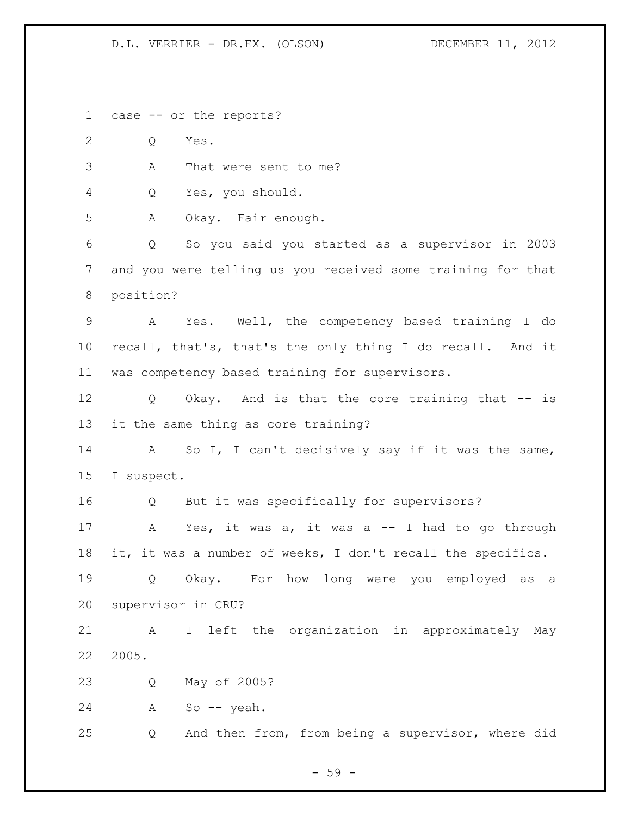D.L. VERRIER - DR.EX. (OLSON) DECEMBER 11, 2012

case -- or the reports?

Q Yes.

A That were sent to me?

Q Yes, you should.

A Okay. Fair enough.

 Q So you said you started as a supervisor in 2003 and you were telling us you received some training for that position?

 A Yes. Well, the competency based training I do recall, that's, that's the only thing I do recall. And it was competency based training for supervisors.

 Q Okay. And is that the core training that -- is it the same thing as core training?

 A So I, I can't decisively say if it was the same, I suspect.

Q But it was specifically for supervisors?

 A Yes, it was a, it was a -- I had to go through it, it was a number of weeks, I don't recall the specifics.

 Q Okay. For how long were you employed as a supervisor in CRU?

 A I left the organization in approximately May 2005.

Q May of 2005?

A So -- yeah.

Q And then from, from being a supervisor, where did

- 59 -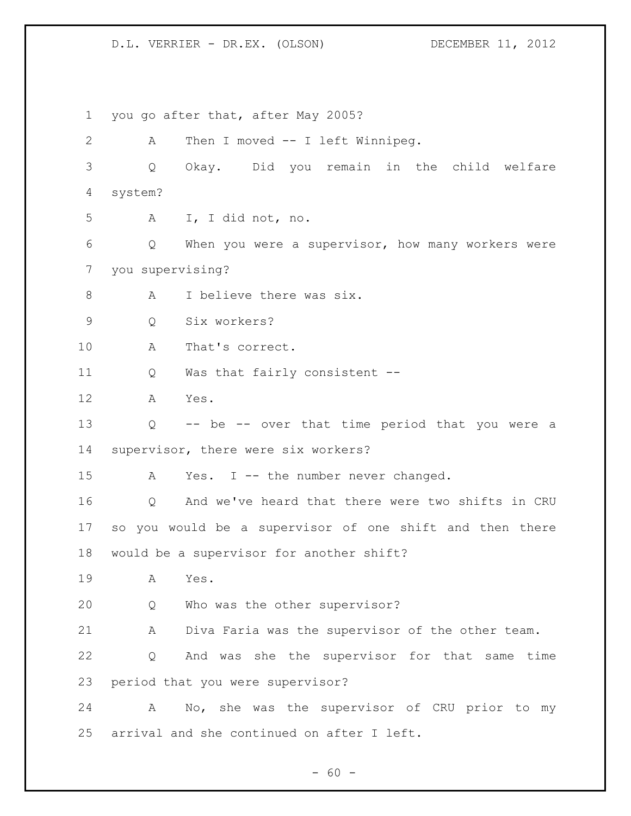D.L. VERRIER - DR.EX. (OLSON) DECEMBER 11, 2012

 you go after that, after May 2005? A Then I moved -- I left Winnipeg. Q Okay. Did you remain in the child welfare system? A I, I did not, no. Q When you were a supervisor, how many workers were you supervising? 8 A I believe there was six. Q Six workers? A That's correct. Q Was that fairly consistent -- A Yes. Q -- be -- over that time period that you were a supervisor, there were six workers? 15 A Yes. I -- the number never changed. Q And we've heard that there were two shifts in CRU so you would be a supervisor of one shift and then there would be a supervisor for another shift? A Yes. Q Who was the other supervisor? A Diva Faria was the supervisor of the other team. Q And was she the supervisor for that same time period that you were supervisor? A No, she was the supervisor of CRU prior to my arrival and she continued on after I left.

 $- 60 -$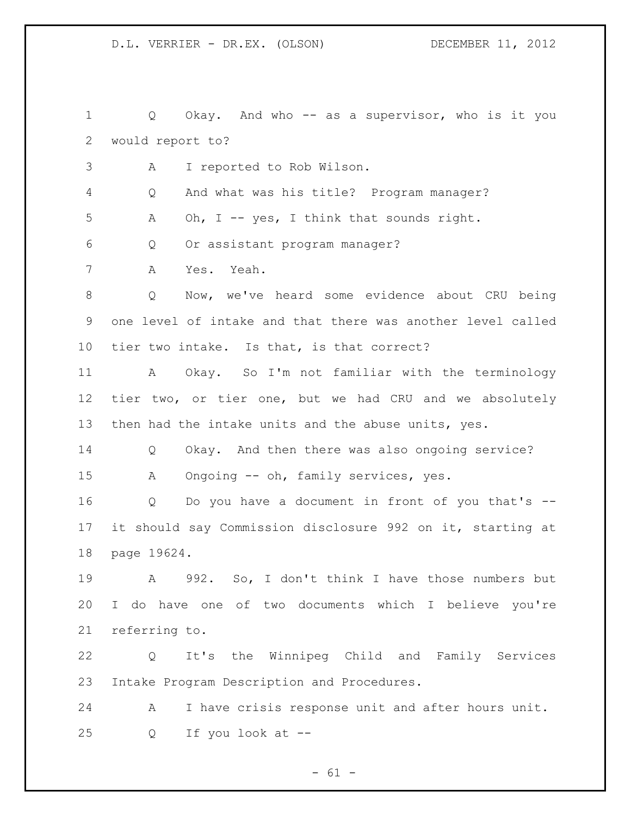Q Okay. And who -- as a supervisor, who is it you would report to?

A I reported to Rob Wilson.

Q And what was his title? Program manager?

5 A Oh, I -- yes, I think that sounds right.

Q Or assistant program manager?

A Yes. Yeah.

 Q Now, we've heard some evidence about CRU being one level of intake and that there was another level called tier two intake. Is that, is that correct?

 A Okay. So I'm not familiar with the terminology tier two, or tier one, but we had CRU and we absolutely then had the intake units and the abuse units, yes.

 Q Okay. And then there was also ongoing service? A Ongoing -- oh, family services, yes.

 Q Do you have a document in front of you that's -- it should say Commission disclosure 992 on it, starting at page 19624.

 A 992. So, I don't think I have those numbers but I do have one of two documents which I believe you're referring to.

 Q It's the Winnipeg Child and Family Services Intake Program Description and Procedures.

 A I have crisis response unit and after hours unit. Q If you look at --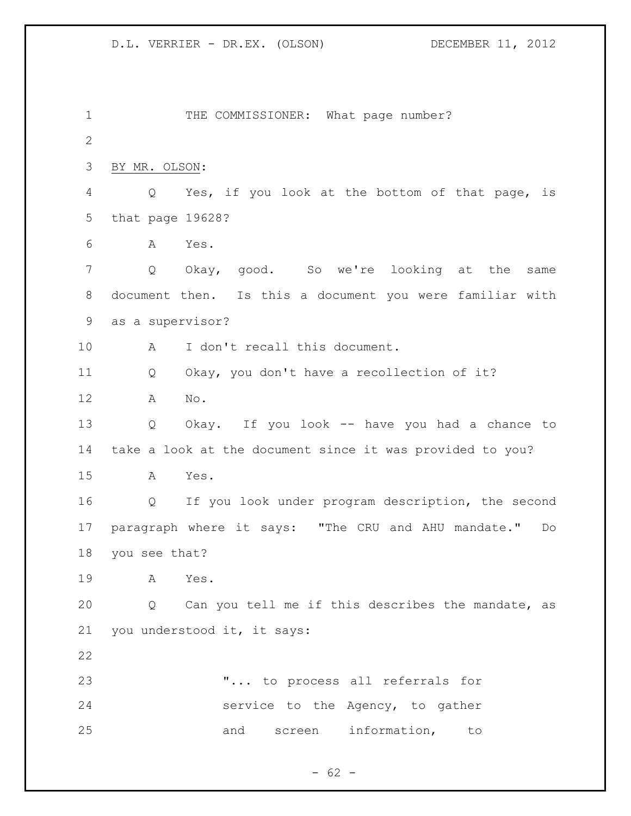1 THE COMMISSIONER: What page number? BY MR. OLSON: Q Yes, if you look at the bottom of that page, is that page 19628? A Yes. Q Okay, good. So we're looking at the same document then. Is this a document you were familiar with as a supervisor? A I don't recall this document. Q Okay, you don't have a recollection of it? A No. Q Okay. If you look -- have you had a chance to take a look at the document since it was provided to you? A Yes. Q If you look under program description, the second paragraph where it says: "The CRU and AHU mandate." Do you see that? A Yes. Q Can you tell me if this describes the mandate, as you understood it, it says: "... to process all referrals for service to the Agency, to gather 25 and screen information, to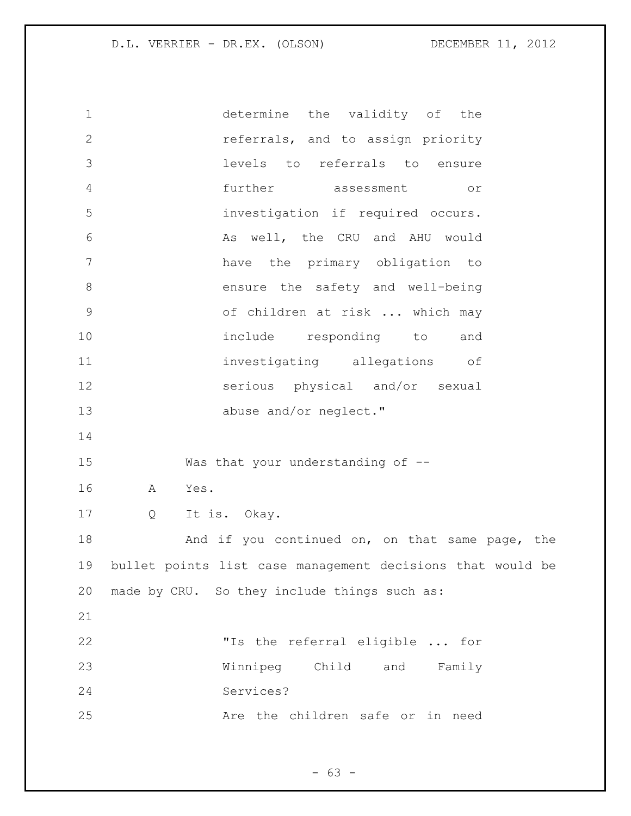D.L. VERRIER - DR.EX. (OLSON) DECEMBER 11, 2012

 determine the validity of the referrals, and to assign priority levels to referrals to ensure further assessment or investigation if required occurs. 6 As well, the CRU and AHU would have the primary obligation to 8 ensure the safety and well-being of children at risk ... which may include responding to and investigating allegations of serious physical and/or sexual 13 abuse and/or neglect." Was that your understanding of -- A Yes. Q It is. Okay. 18 And if you continued on, on that same page, the bullet points list case management decisions that would be made by CRU. So they include things such as: "Is the referral eligible ... for Winnipeg Child and Family Services? Are the children safe or in need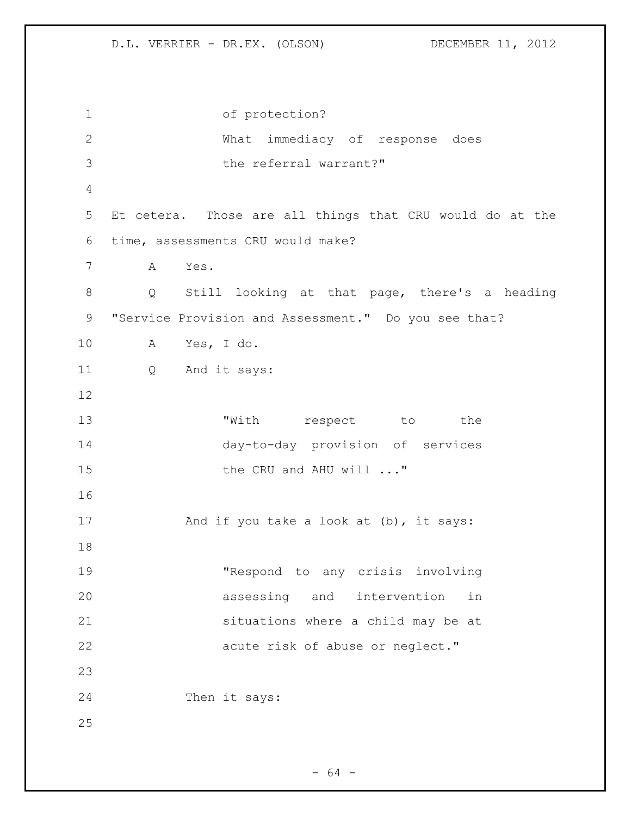of protection? What immediacy of response does 3 bhe referral warrant?" Et cetera. Those are all things that CRU would do at the time, assessments CRU would make? A Yes. Q Still looking at that page, there's a heading "Service Provision and Assessment." Do you see that? A Yes, I do. Q And it says: 13 TWith respect to the day-to-day provision of services 15 the CRU and AHU will ..." 17 And if you take a look at (b), it says: "Respond to any crisis involving assessing and intervention in situations where a child may be at 22 acute risk of abuse or neglect." Then it says: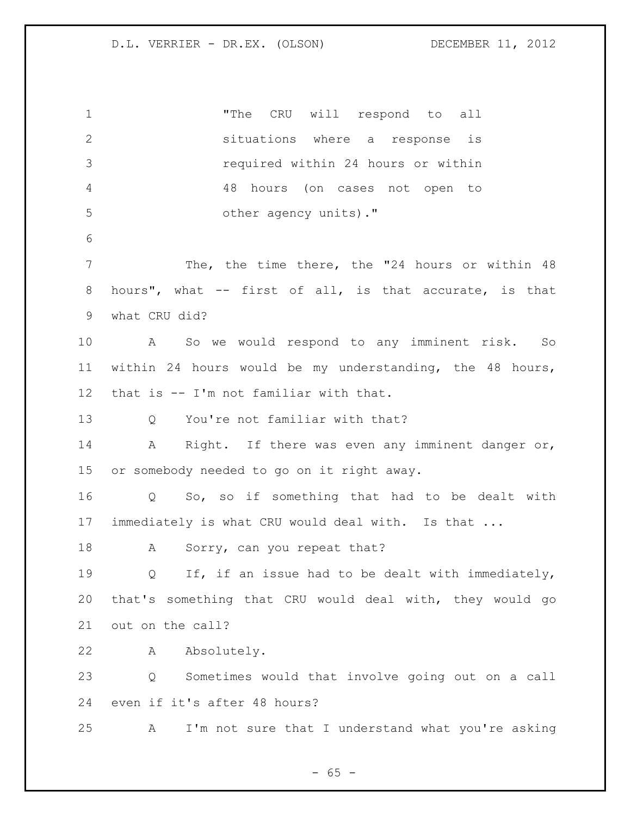"The CRU will respond to all situations where a response is required within 24 hours or within 48 hours (on cases not open to other agency units)." The, the time there, the "24 hours or within 48 hours", what -- first of all, is that accurate, is that what CRU did? A So we would respond to any imminent risk. So within 24 hours would be my understanding, the 48 hours, that is -- I'm not familiar with that. Q You're not familiar with that? 14 A Right. If there was even any imminent danger or, or somebody needed to go on it right away. Q So, so if something that had to be dealt with immediately is what CRU would deal with. Is that ... 18 A Sorry, can you repeat that? Q If, if an issue had to be dealt with immediately, that's something that CRU would deal with, they would go out on the call? A Absolutely. Q Sometimes would that involve going out on a call even if it's after 48 hours? A I'm not sure that I understand what you're asking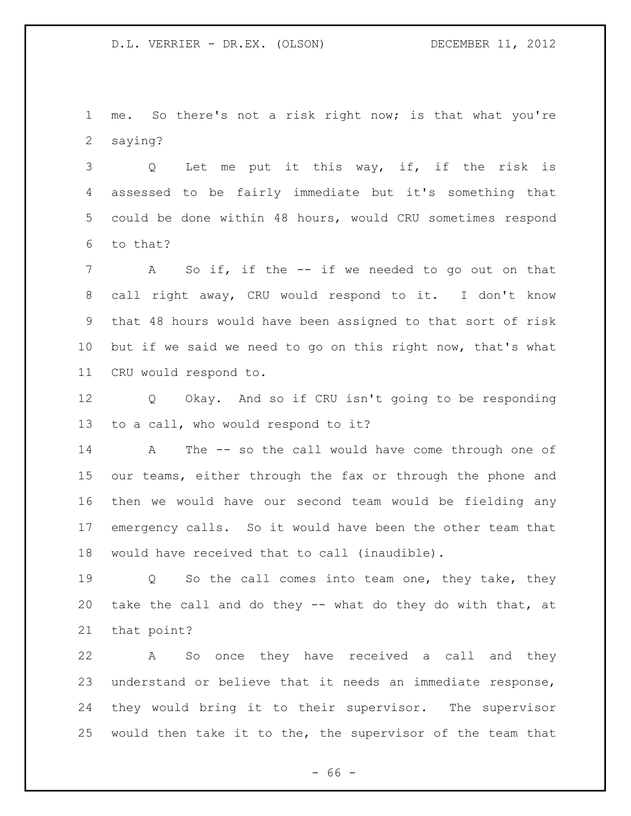me. So there's not a risk right now; is that what you're saying?

 Q Let me put it this way, if, if the risk is assessed to be fairly immediate but it's something that could be done within 48 hours, would CRU sometimes respond to that?

 A So if, if the -- if we needed to go out on that call right away, CRU would respond to it. I don't know that 48 hours would have been assigned to that sort of risk but if we said we need to go on this right now, that's what CRU would respond to.

 Q Okay. And so if CRU isn't going to be responding to a call, who would respond to it?

 A The -- so the call would have come through one of our teams, either through the fax or through the phone and then we would have our second team would be fielding any emergency calls. So it would have been the other team that would have received that to call (inaudible).

19 Q So the call comes into team one, they take, they take the call and do they -- what do they do with that, at that point?

 A So once they have received a call and they understand or believe that it needs an immediate response, they would bring it to their supervisor. The supervisor would then take it to the, the supervisor of the team that

 $- 66 -$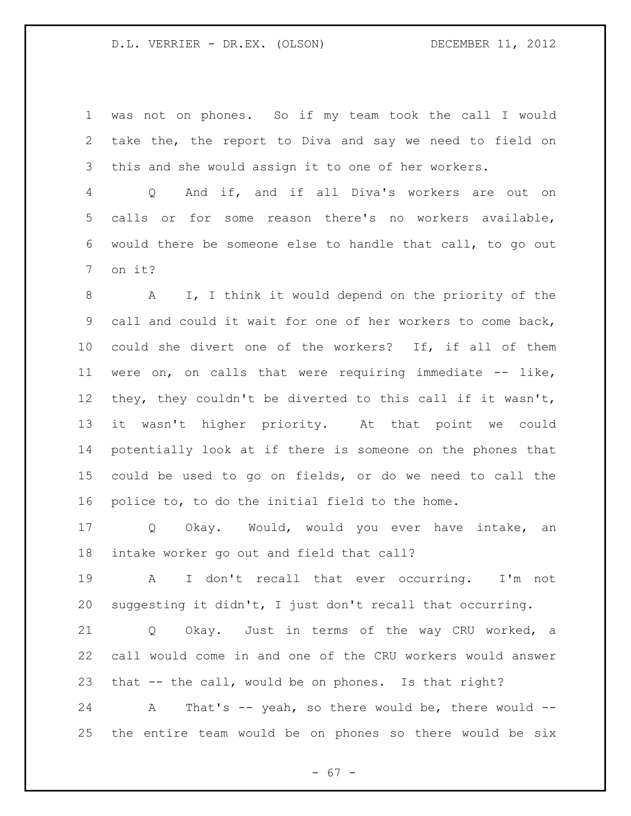## D.L. VERRIER - DR.EX. (OLSON) DECEMBER 11, 2012

 was not on phones. So if my team took the call I would take the, the report to Diva and say we need to field on this and she would assign it to one of her workers.

 Q And if, and if all Diva's workers are out on calls or for some reason there's no workers available, would there be someone else to handle that call, to go out on it?

 A I, I think it would depend on the priority of the call and could it wait for one of her workers to come back, could she divert one of the workers? If, if all of them were on, on calls that were requiring immediate -- like, they, they couldn't be diverted to this call if it wasn't, it wasn't higher priority. At that point we could potentially look at if there is someone on the phones that could be used to go on fields, or do we need to call the police to, to do the initial field to the home.

 Q Okay. Would, would you ever have intake, an intake worker go out and field that call?

 A I don't recall that ever occurring. I'm not suggesting it didn't, I just don't recall that occurring.

 Q Okay. Just in terms of the way CRU worked, a call would come in and one of the CRU workers would answer that -- the call, would be on phones. Is that right?

24 A That's -- yeah, so there would be, there would --the entire team would be on phones so there would be six

- 67 -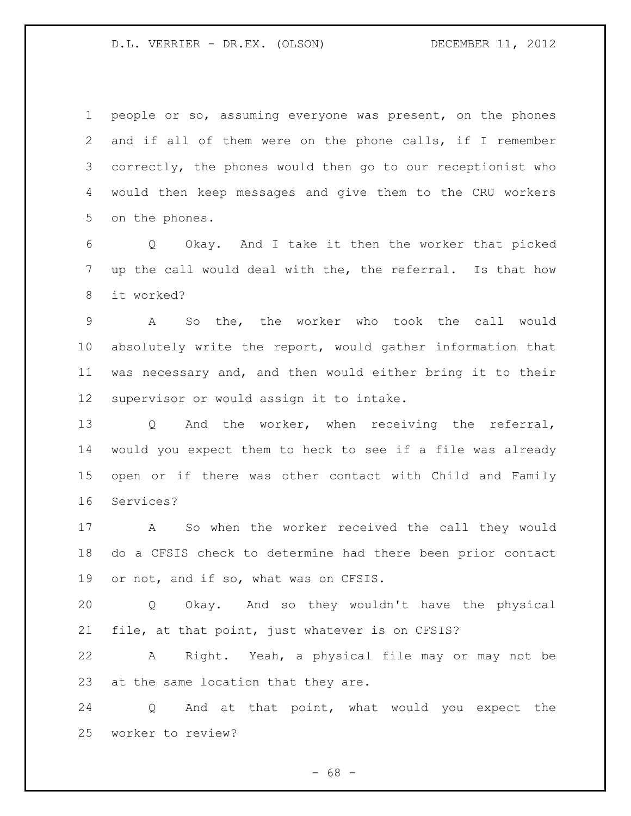## D.L. VERRIER - DR.EX. (OLSON) DECEMBER 11, 2012

 people or so, assuming everyone was present, on the phones and if all of them were on the phone calls, if I remember correctly, the phones would then go to our receptionist who would then keep messages and give them to the CRU workers on the phones.

 Q Okay. And I take it then the worker that picked up the call would deal with the, the referral. Is that how it worked?

 A So the, the worker who took the call would absolutely write the report, would gather information that was necessary and, and then would either bring it to their supervisor or would assign it to intake.

 Q And the worker, when receiving the referral, would you expect them to heck to see if a file was already open or if there was other contact with Child and Family Services?

 A So when the worker received the call they would do a CFSIS check to determine had there been prior contact or not, and if so, what was on CFSIS.

 Q Okay. And so they wouldn't have the physical file, at that point, just whatever is on CFSIS?

 A Right. Yeah, a physical file may or may not be at the same location that they are.

 Q And at that point, what would you expect the worker to review?

 $- 68 -$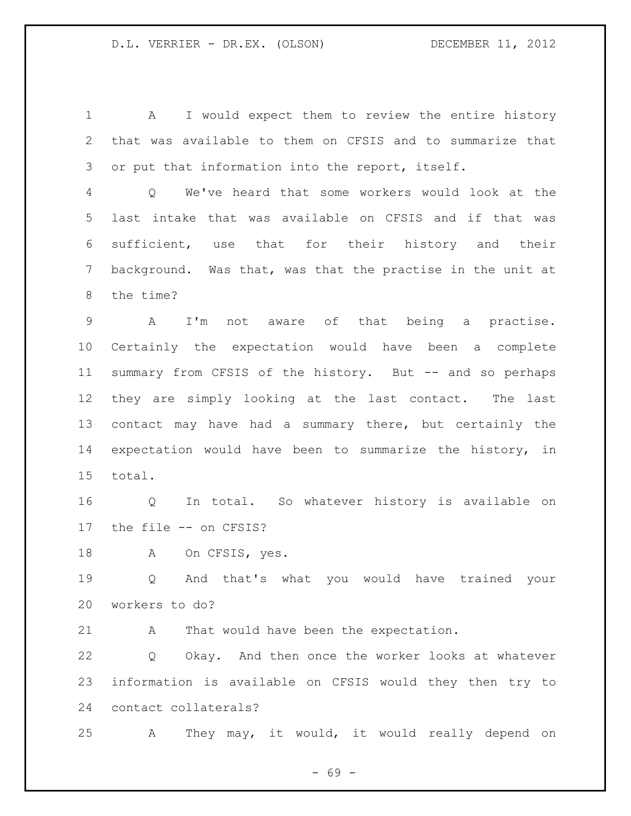1 A I would expect them to review the entire history that was available to them on CFSIS and to summarize that 3 or put that information into the report, itself.

 Q We've heard that some workers would look at the last intake that was available on CFSIS and if that was sufficient, use that for their history and their background. Was that, was that the practise in the unit at the time?

 A I'm not aware of that being a practise. Certainly the expectation would have been a complete summary from CFSIS of the history. But -- and so perhaps they are simply looking at the last contact. The last contact may have had a summary there, but certainly the expectation would have been to summarize the history, in total.

 Q In total. So whatever history is available on the file -- on CFSIS?

18 A On CFSIS, yes.

 Q And that's what you would have trained your workers to do?

A That would have been the expectation.

 Q Okay. And then once the worker looks at whatever information is available on CFSIS would they then try to contact collaterals?

A They may, it would, it would really depend on

- 69 -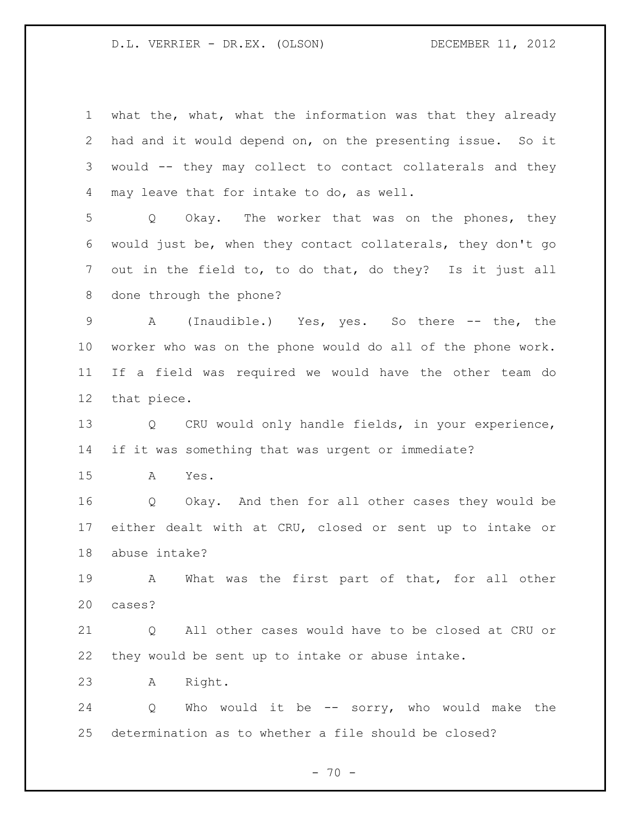what the, what, what the information was that they already had and it would depend on, on the presenting issue. So it would -- they may collect to contact collaterals and they may leave that for intake to do, as well.

 Q Okay. The worker that was on the phones, they would just be, when they contact collaterals, they don't go out in the field to, to do that, do they? Is it just all done through the phone?

9 A (Inaudible.) Yes, yes. So there -- the, the worker who was on the phone would do all of the phone work. If a field was required we would have the other team do that piece.

 Q CRU would only handle fields, in your experience, if it was something that was urgent or immediate?

A Yes.

 Q Okay. And then for all other cases they would be either dealt with at CRU, closed or sent up to intake or abuse intake?

 A What was the first part of that, for all other cases?

21 0 All other cases would have to be closed at CRU or they would be sent up to intake or abuse intake.

A Right.

 Q Who would it be -- sorry, who would make the determination as to whether a file should be closed?

 $- 70 -$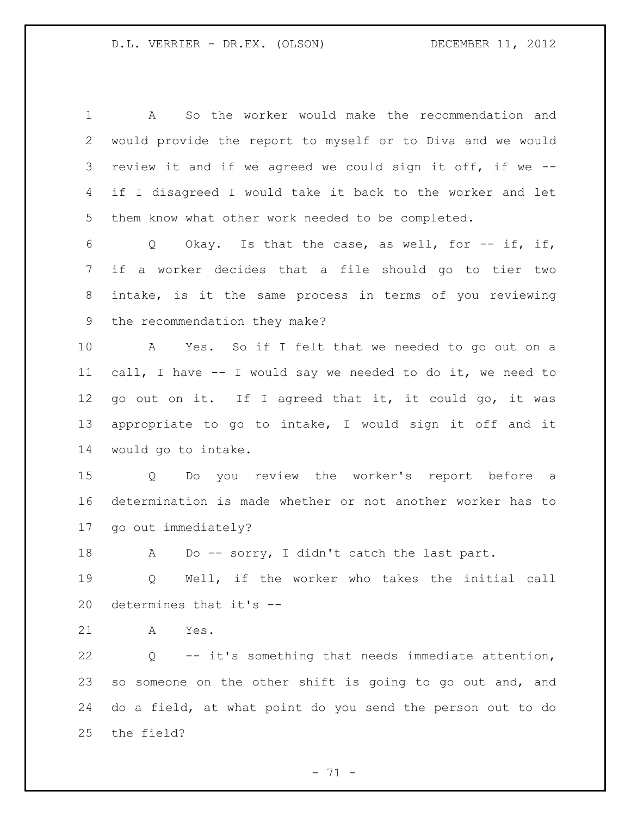A So the worker would make the recommendation and would provide the report to myself or to Diva and we would review it and if we agreed we could sign it off, if we -- if I disagreed I would take it back to the worker and let them know what other work needed to be completed. Q Okay. Is that the case, as well, for -- if, if, if a worker decides that a file should go to tier two intake, is it the same process in terms of you reviewing the recommendation they make? A Yes. So if I felt that we needed to go out on a call, I have -- I would say we needed to do it, we need to go out on it. If I agreed that it, it could go, it was appropriate to go to intake, I would sign it off and it would go to intake. Q Do you review the worker's report before a determination is made whether or not another worker has to go out immediately? 18 A Do -- sorry, I didn't catch the last part. Q Well, if the worker who takes the initial call determines that it's -- A Yes. Q -- it's something that needs immediate attention, so someone on the other shift is going to go out and, and do a field, at what point do you send the person out to do the field?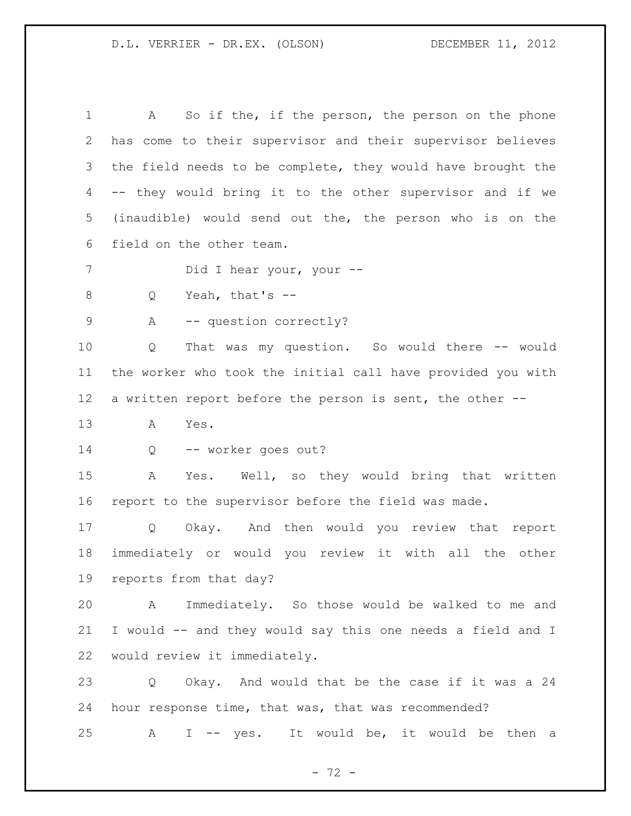1 A So if the, if the person, the person on the phone has come to their supervisor and their supervisor believes the field needs to be complete, they would have brought the -- they would bring it to the other supervisor and if we (inaudible) would send out the, the person who is on the field on the other team. 7 Did I hear your, your -- Q Yeah, that's -- 9 A -- question correctly? Q That was my question. So would there -- would the worker who took the initial call have provided you with a written report before the person is sent, the other -- A Yes. Q -- worker goes out? A Yes. Well, so they would bring that written report to the supervisor before the field was made. Q Okay. And then would you review that report immediately or would you review it with all the other reports from that day? A Immediately. So those would be walked to me and I would -- and they would say this one needs a field and I would review it immediately. Q Okay. And would that be the case if it was a 24 hour response time, that was, that was recommended? A I -- yes. It would be, it would be then a

- 72 -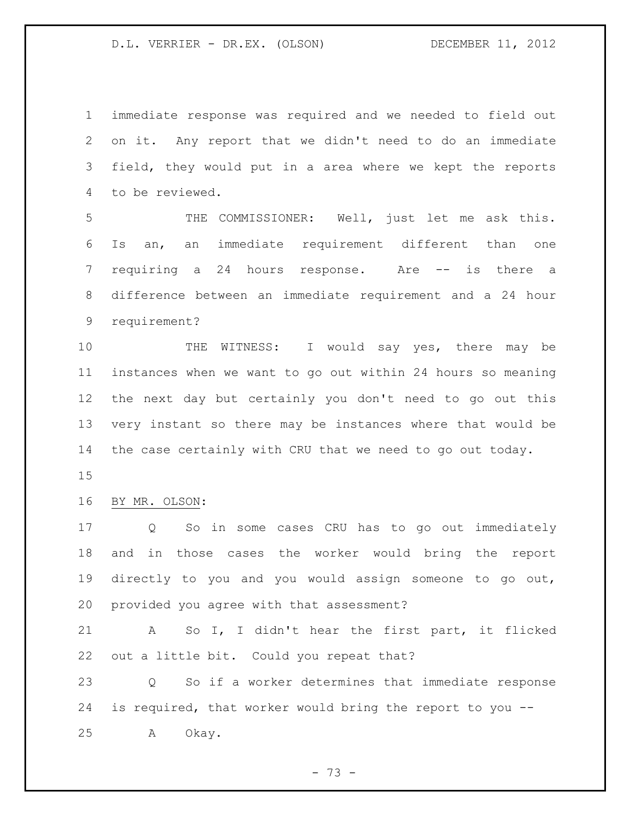immediate response was required and we needed to field out on it. Any report that we didn't need to do an immediate field, they would put in a area where we kept the reports to be reviewed.

 THE COMMISSIONER: Well, just let me ask this. Is an, an immediate requirement different than one requiring a 24 hours response. Are -- is there a difference between an immediate requirement and a 24 hour requirement?

 THE WITNESS: I would say yes, there may be instances when we want to go out within 24 hours so meaning the next day but certainly you don't need to go out this very instant so there may be instances where that would be the case certainly with CRU that we need to go out today.

## BY MR. OLSON:

 Q So in some cases CRU has to go out immediately and in those cases the worker would bring the report directly to you and you would assign someone to go out, provided you agree with that assessment?

 A So I, I didn't hear the first part, it flicked out a little bit. Could you repeat that?

 Q So if a worker determines that immediate response is required, that worker would bring the report to you -- A Okay.

- 73 -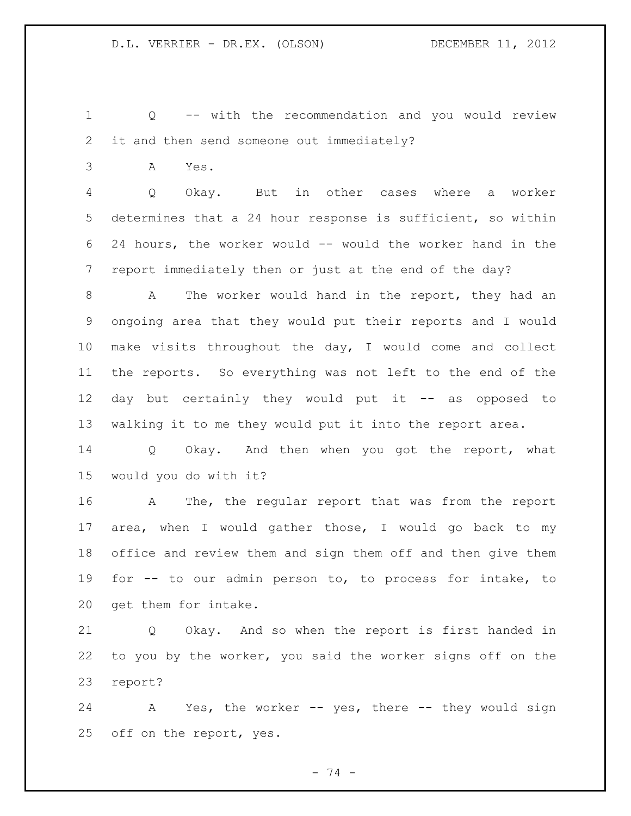Q -- with the recommendation and you would review it and then send someone out immediately?

A Yes.

 Q Okay. But in other cases where a worker determines that a 24 hour response is sufficient, so within 24 hours, the worker would -- would the worker hand in the report immediately then or just at the end of the day?

 A The worker would hand in the report, they had an ongoing area that they would put their reports and I would make visits throughout the day, I would come and collect the reports. So everything was not left to the end of the day but certainly they would put it -- as opposed to walking it to me they would put it into the report area.

 Q Okay. And then when you got the report, what would you do with it?

 A The, the regular report that was from the report area, when I would gather those, I would go back to my office and review them and sign them off and then give them for -- to our admin person to, to process for intake, to get them for intake.

 Q Okay. And so when the report is first handed in to you by the worker, you said the worker signs off on the report?

24 A Yes, the worker -- yes, there -- they would sign off on the report, yes.

- 74 -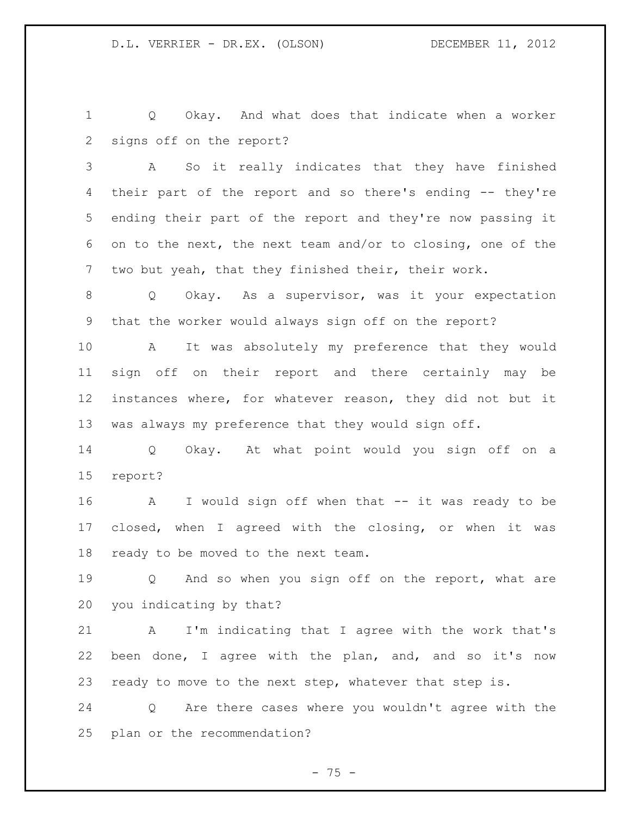Q Okay. And what does that indicate when a worker signs off on the report?

 A So it really indicates that they have finished their part of the report and so there's ending -- they're ending their part of the report and they're now passing it on to the next, the next team and/or to closing, one of the two but yeah, that they finished their, their work.

 Q Okay. As a supervisor, was it your expectation that the worker would always sign off on the report?

 A It was absolutely my preference that they would sign off on their report and there certainly may be instances where, for whatever reason, they did not but it was always my preference that they would sign off.

 Q Okay. At what point would you sign off on a report?

 A I would sign off when that -- it was ready to be closed, when I agreed with the closing, or when it was ready to be moved to the next team.

 Q And so when you sign off on the report, what are you indicating by that?

 A I'm indicating that I agree with the work that's been done, I agree with the plan, and, and so it's now ready to move to the next step, whatever that step is.

 Q Are there cases where you wouldn't agree with the plan or the recommendation?

 $- 75 -$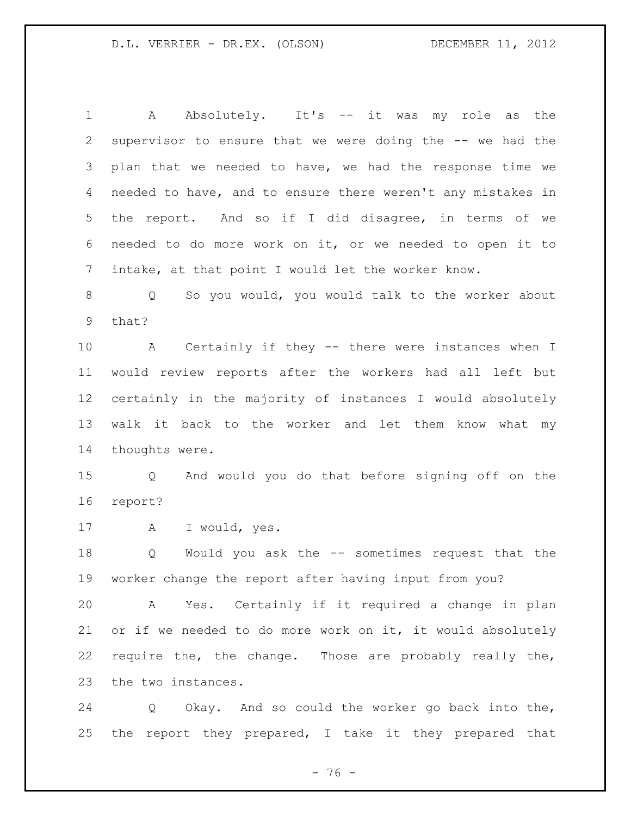1 A Absolutely. It's -- it was my role as the supervisor to ensure that we were doing the -- we had the plan that we needed to have, we had the response time we needed to have, and to ensure there weren't any mistakes in the report. And so if I did disagree, in terms of we needed to do more work on it, or we needed to open it to intake, at that point I would let the worker know.

 Q So you would, you would talk to the worker about that?

 A Certainly if they -- there were instances when I would review reports after the workers had all left but certainly in the majority of instances I would absolutely walk it back to the worker and let them know what my thoughts were.

 Q And would you do that before signing off on the report?

A I would, yes.

 Q Would you ask the -- sometimes request that the worker change the report after having input from you?

 A Yes. Certainly if it required a change in plan or if we needed to do more work on it, it would absolutely require the, the change. Those are probably really the, the two instances.

 Q Okay. And so could the worker go back into the, the report they prepared, I take it they prepared that

- 76 -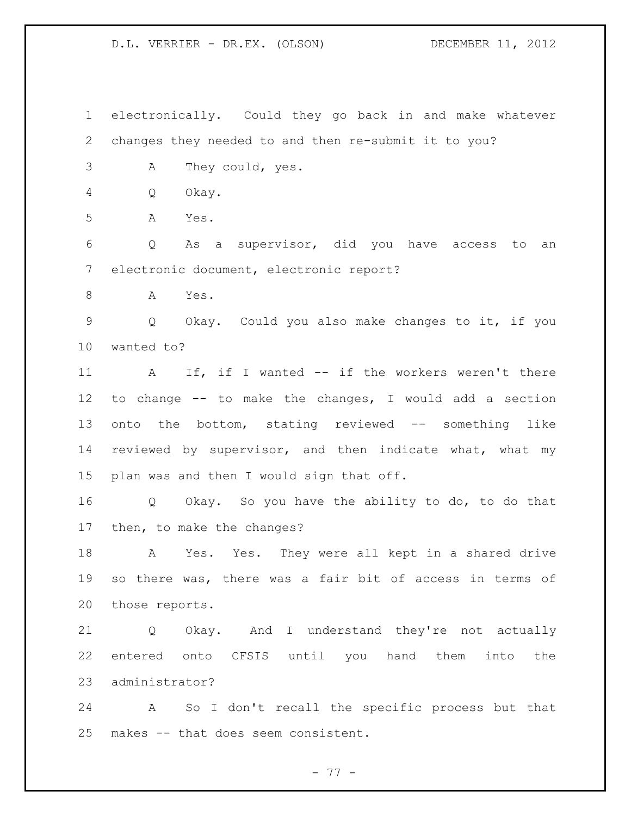electronically. Could they go back in and make whatever changes they needed to and then re-submit it to you? A They could, yes. Q Okay. A Yes. Q As a supervisor, did you have access to an electronic document, electronic report? A Yes. Q Okay. Could you also make changes to it, if you wanted to? 11 A If, if I wanted -- if the workers weren't there to change -- to make the changes, I would add a section onto the bottom, stating reviewed -- something like reviewed by supervisor, and then indicate what, what my plan was and then I would sign that off. Q Okay. So you have the ability to do, to do that then, to make the changes? A Yes. Yes. They were all kept in a shared drive so there was, there was a fair bit of access in terms of those reports. Q Okay. And I understand they're not actually entered onto CFSIS until you hand them into the administrator? A So I don't recall the specific process but that makes -- that does seem consistent.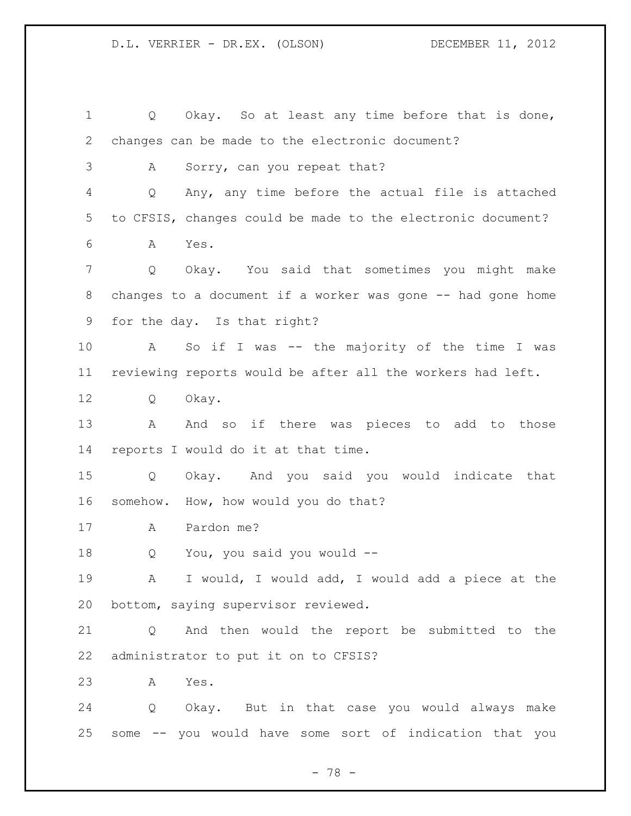Q Okay. So at least any time before that is done, changes can be made to the electronic document? A Sorry, can you repeat that? Q Any, any time before the actual file is attached to CFSIS, changes could be made to the electronic document? A Yes. Q Okay. You said that sometimes you might make 8 changes to a document if a worker was gone -- had gone home for the day. Is that right? A So if I was -- the majority of the time I was reviewing reports would be after all the workers had left. Q Okay. 13 A And so if there was pieces to add to those reports I would do it at that time. Q Okay. And you said you would indicate that somehow. How, how would you do that? A Pardon me? Q You, you said you would -- A I would, I would add, I would add a piece at the bottom, saying supervisor reviewed. Q And then would the report be submitted to the administrator to put it on to CFSIS? A Yes. Q Okay. But in that case you would always make some -- you would have some sort of indication that you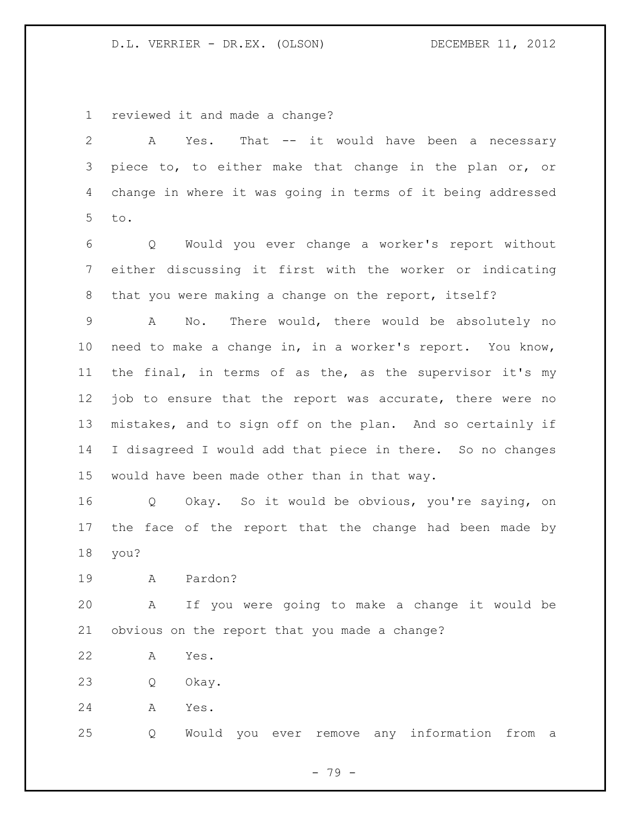reviewed it and made a change?

 A Yes. That -- it would have been a necessary piece to, to either make that change in the plan or, or change in where it was going in terms of it being addressed to. Q Would you ever change a worker's report without either discussing it first with the worker or indicating that you were making a change on the report, itself? A No. There would, there would be absolutely no need to make a change in, in a worker's report. You know, the final, in terms of as the, as the supervisor it's my 12 job to ensure that the report was accurate, there were no mistakes, and to sign off on the plan. And so certainly if I disagreed I would add that piece in there. So no changes would have been made other than in that way. Q Okay. So it would be obvious, you're saying, on the face of the report that the change had been made by you? A Pardon? A If you were going to make a change it would be obvious on the report that you made a change? A Yes. Q Okay. A Yes. Q Would you ever remove any information from a

- 79 -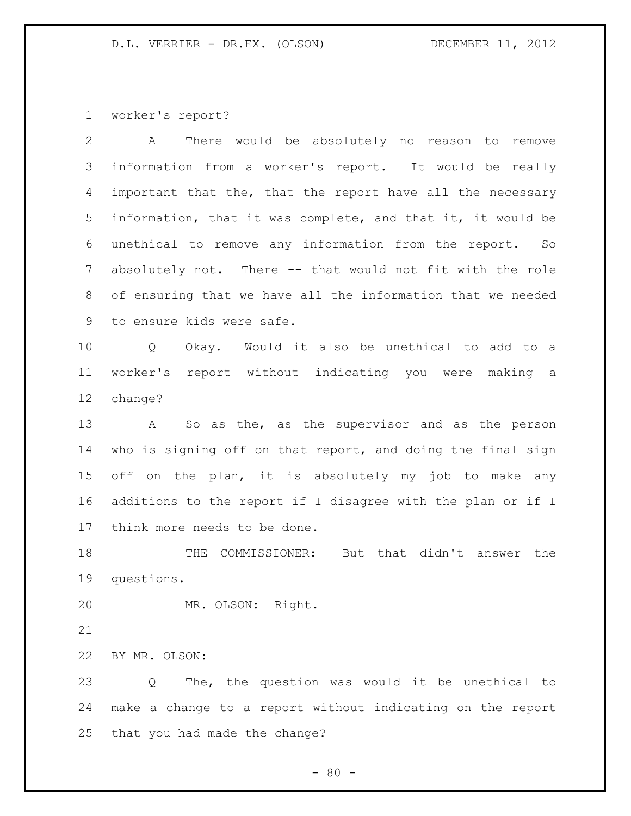worker's report?

| 2  | There would be absolutely no reason to<br>A<br>remove          |
|----|----------------------------------------------------------------|
| 3  | information from a worker's report. It would be really         |
| 4  | important that the, that the report have all the necessary     |
| 5  | information, that it was complete, and that it, it would be    |
| 6  | unethical to remove any information from the report. So        |
| 7  | absolutely not. There -- that would not fit with the role      |
| 8  | of ensuring that we have all the information that we needed    |
| 9  | to ensure kids were safe.                                      |
| 10 | Okay. Would it also be unethical to add to a<br>Q              |
| 11 | report without indicating you were making a<br>worker's        |
| 12 | change?                                                        |
| 13 | So as the, as the supervisor and as the person<br>$\mathbf{A}$ |
| 14 | who is signing off on that report, and doing the final sign    |
| 15 | on the plan, it is absolutely my job to make any<br>off        |
| 16 | additions to the report if I disagree with the plan or if I    |
| 17 | think more needs to be done.                                   |
| 18 | COMMISSIONER: But that didn't answer the<br>THE                |
| 19 | questions.                                                     |
| 20 | MR. OLSON: Right.                                              |
| 21 |                                                                |
| 22 | BY MR. OLSON:                                                  |
| 23 | The, the question was would it be unethical to<br>Q            |
| 24 | make a change to a report without indicating on the report     |
| 25 | that you had made the change?                                  |
|    | $-80 -$                                                        |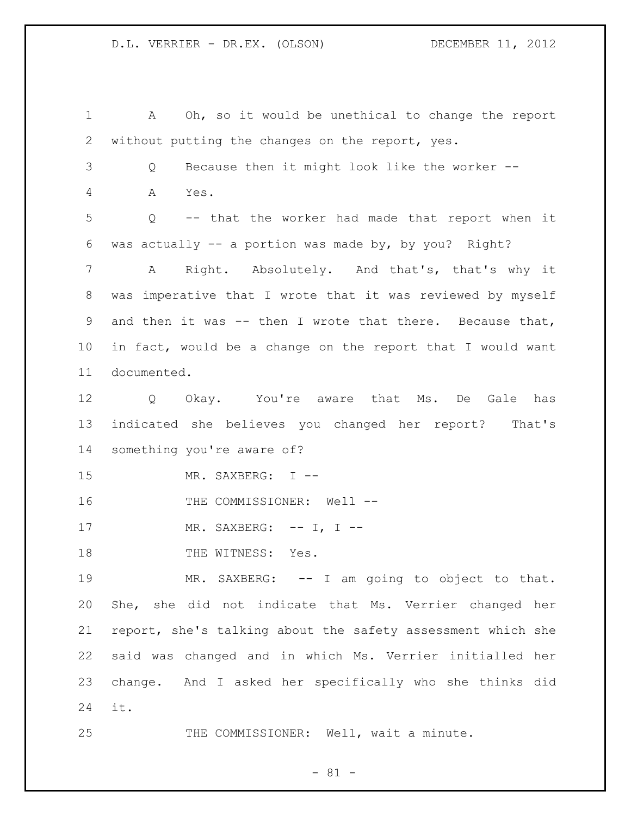A Oh, so it would be unethical to change the report without putting the changes on the report, yes. Q Because then it might look like the worker -- A Yes. Q -- that the worker had made that report when it was actually -- a portion was made by, by you? Right? A Right. Absolutely. And that's, that's why it was imperative that I wrote that it was reviewed by myself and then it was -- then I wrote that there. Because that, in fact, would be a change on the report that I would want documented. Q Okay. You're aware that Ms. De Gale has indicated she believes you changed her report? That's something you're aware of? MR. SAXBERG: I -- 16 THE COMMISSIONER: Well --17 MR. SAXBERG: -- I, I --18 THE WITNESS: Yes. 19 MR. SAXBERG: -- I am going to object to that. She, she did not indicate that Ms. Verrier changed her report, she's talking about the safety assessment which she said was changed and in which Ms. Verrier initialled her change. And I asked her specifically who she thinks did it. 25 THE COMMISSIONER: Well, wait a minute.

- 81 -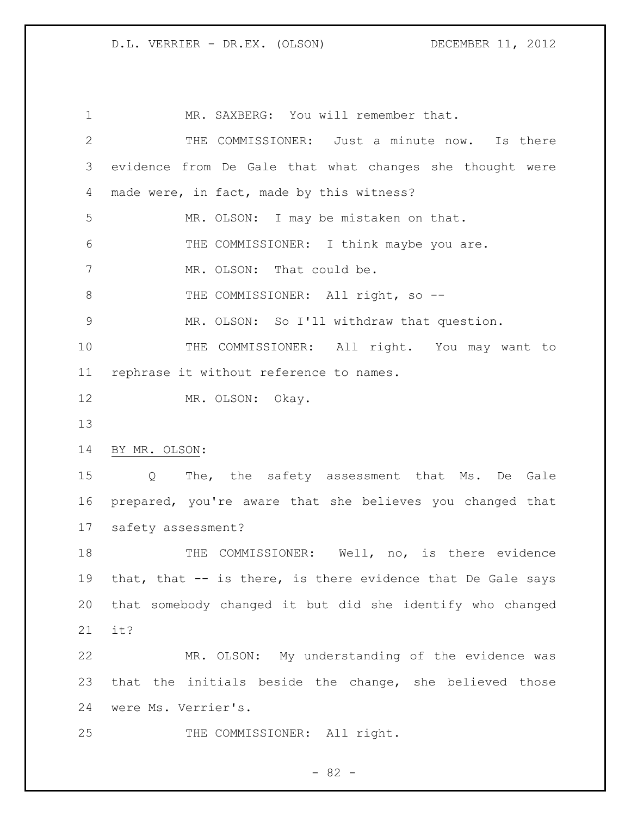1 MR. SAXBERG: You will remember that. THE COMMISSIONER: Just a minute now. Is there evidence from De Gale that what changes she thought were 4 made were, in fact, made by this witness? MR. OLSON: I may be mistaken on that. THE COMMISSIONER: I think maybe you are. 7 MR. OLSON: That could be. 8 THE COMMISSIONER: All right, so -- MR. OLSON: So I'll withdraw that question. THE COMMISSIONER: All right. You may want to rephrase it without reference to names. 12 MR. OLSON: Okay. BY MR. OLSON: Q The, the safety assessment that Ms. De Gale prepared, you're aware that she believes you changed that safety assessment? 18 THE COMMISSIONER: Well, no, is there evidence that, that -- is there, is there evidence that De Gale says that somebody changed it but did she identify who changed it? MR. OLSON: My understanding of the evidence was that the initials beside the change, she believed those were Ms. Verrier's. 25 THE COMMISSIONER: All right.

 $- 82 -$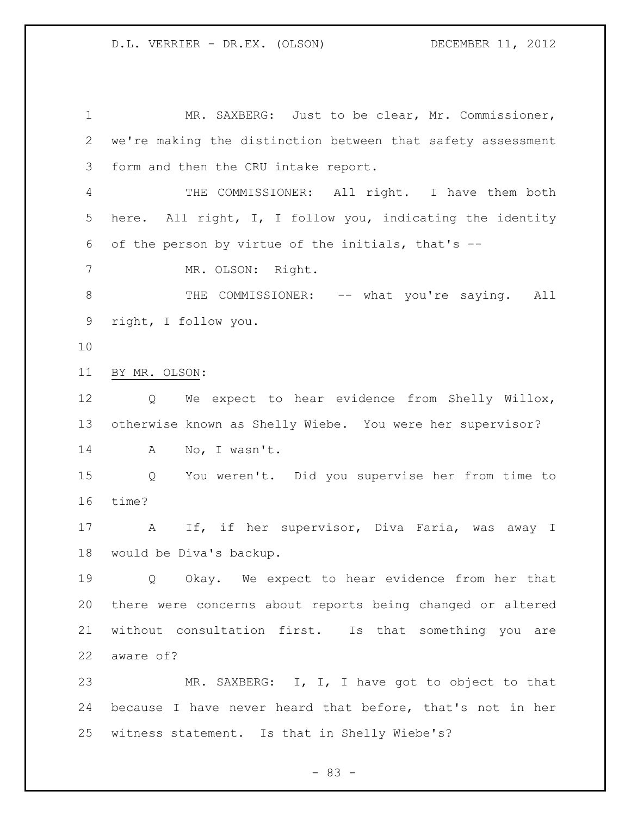1 MR. SAXBERG: Just to be clear, Mr. Commissioner, we're making the distinction between that safety assessment form and then the CRU intake report. THE COMMISSIONER: All right. I have them both here. All right, I, I follow you, indicating the identity of the person by virtue of the initials, that's -- MR. OLSON: Right. 8 THE COMMISSIONER: -- what you're saying. All right, I follow you. BY MR. OLSON: Q We expect to hear evidence from Shelly Willox, otherwise known as Shelly Wiebe. You were her supervisor? A No, I wasn't. Q You weren't. Did you supervise her from time to time? A If, if her supervisor, Diva Faria, was away I would be Diva's backup. Q Okay. We expect to hear evidence from her that there were concerns about reports being changed or altered without consultation first. Is that something you are aware of? 23 MR. SAXBERG: I, I, I have got to object to that because I have never heard that before, that's not in her witness statement. Is that in Shelly Wiebe's?

- 83 -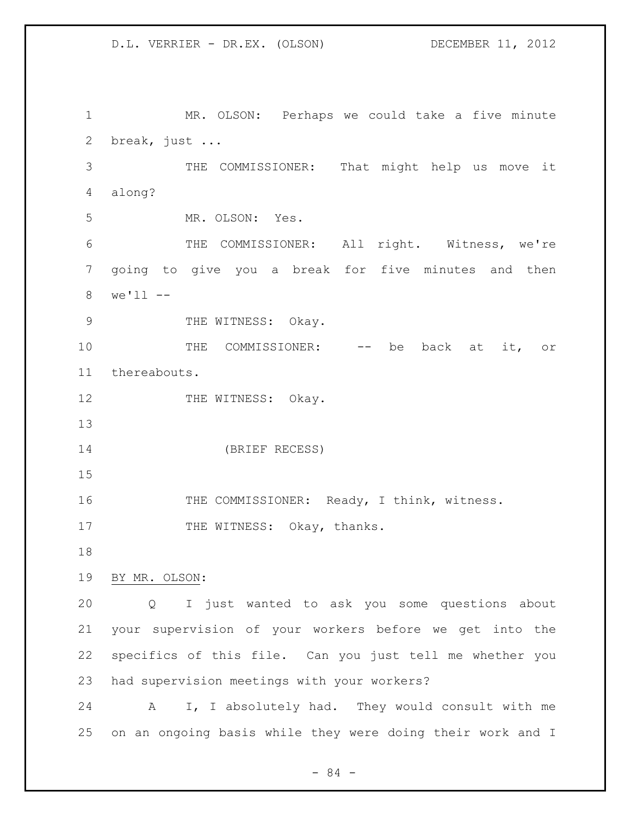MR. OLSON: Perhaps we could take a five minute break, just ... THE COMMISSIONER: That might help us move it along? MR. OLSON: Yes. THE COMMISSIONER: All right. Witness, we're going to give you a break for five minutes and then we'll -- 9 THE WITNESS: Okay. 10 THE COMMISSIONER: -- be back at it, or thereabouts. 12 THE WITNESS: Okay. (BRIEF RECESS) THE COMMISSIONER: Ready, I think, witness. 17 THE WITNESS: Okay, thanks. BY MR. OLSON: Q I just wanted to ask you some questions about your supervision of your workers before we get into the specifics of this file. Can you just tell me whether you had supervision meetings with your workers? A I, I absolutely had. They would consult with me

on an ongoing basis while they were doing their work and I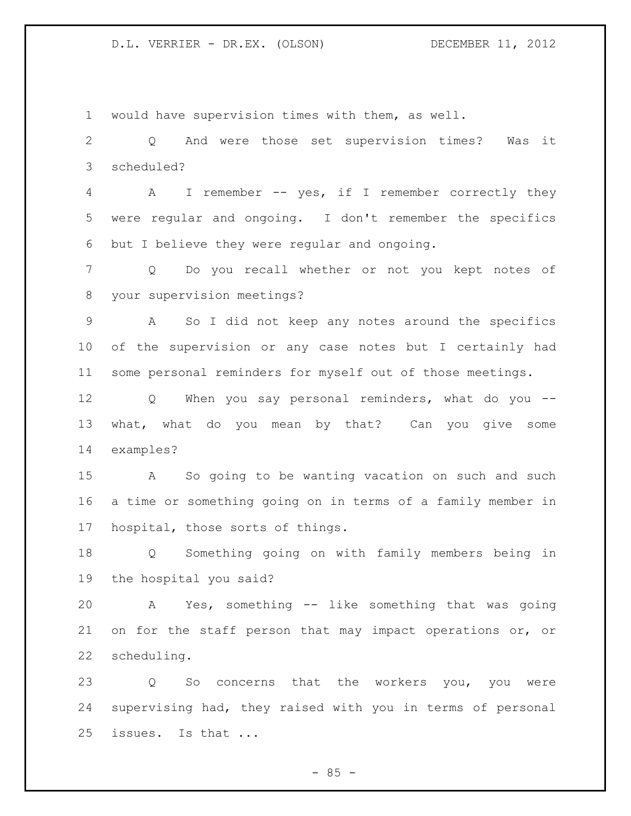would have supervision times with them, as well. Q And were those set supervision times? Was it scheduled? A I remember -- yes, if I remember correctly they were regular and ongoing. I don't remember the specifics but I believe they were regular and ongoing. Q Do you recall whether or not you kept notes of your supervision meetings? A So I did not keep any notes around the specifics of the supervision or any case notes but I certainly had some personal reminders for myself out of those meetings. 12 Q When you say personal reminders, what do you -- what, what do you mean by that? Can you give some examples? A So going to be wanting vacation on such and such a time or something going on in terms of a family member in hospital, those sorts of things. Q Something going on with family members being in the hospital you said? A Yes, something -- like something that was going on for the staff person that may impact operations or, or scheduling. Q So concerns that the workers you, you were supervising had, they raised with you in terms of personal issues. Is that ...

 $- 85 -$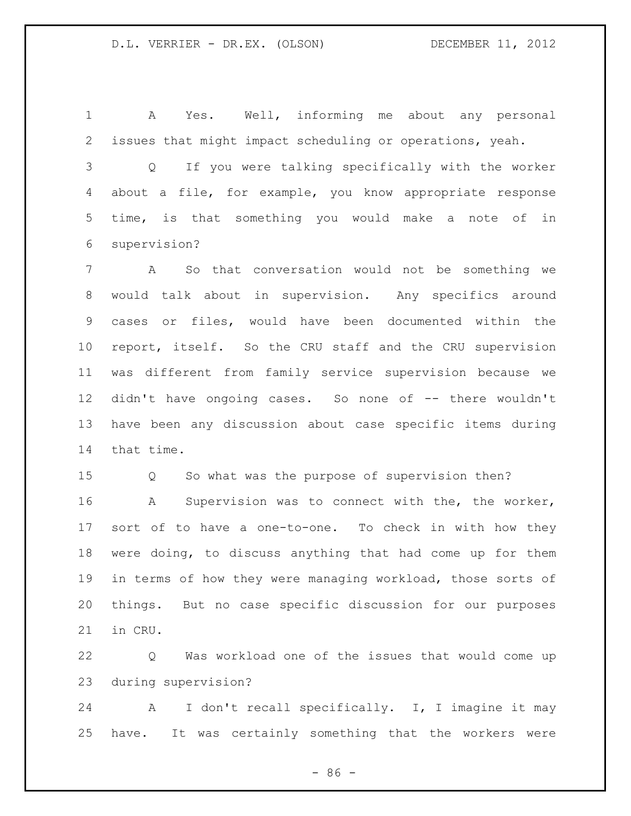A Yes. Well, informing me about any personal issues that might impact scheduling or operations, yeah.

 Q If you were talking specifically with the worker about a file, for example, you know appropriate response time, is that something you would make a note of in supervision?

 A So that conversation would not be something we would talk about in supervision. Any specifics around cases or files, would have been documented within the report, itself. So the CRU staff and the CRU supervision was different from family service supervision because we didn't have ongoing cases. So none of -- there wouldn't have been any discussion about case specific items during that time.

Q So what was the purpose of supervision then?

 A Supervision was to connect with the, the worker, sort of to have a one-to-one. To check in with how they were doing, to discuss anything that had come up for them in terms of how they were managing workload, those sorts of things. But no case specific discussion for our purposes in CRU.

 Q Was workload one of the issues that would come up during supervision?

 A I don't recall specifically. I, I imagine it may have. It was certainly something that the workers were

 $-86 -$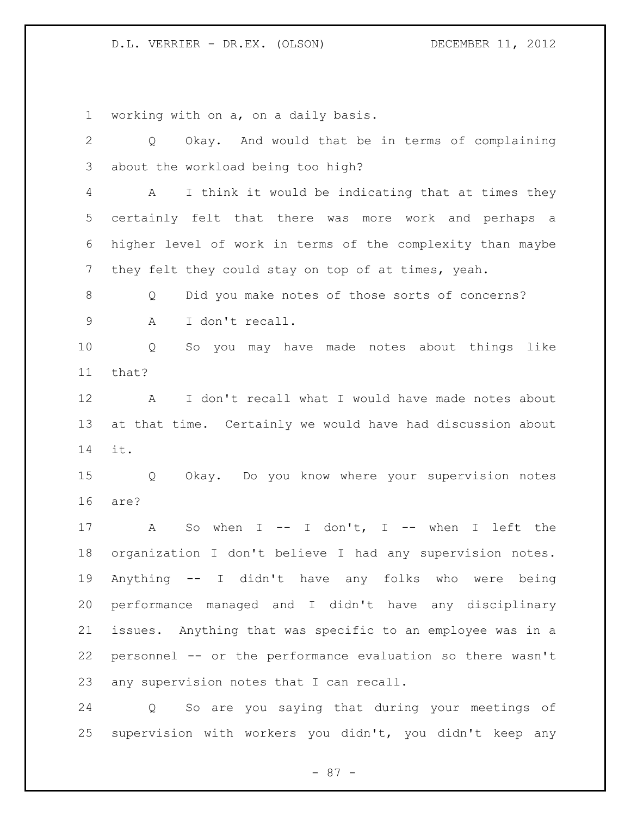working with on a, on a daily basis.

 Q Okay. And would that be in terms of complaining about the workload being too high? A I think it would be indicating that at times they certainly felt that there was more work and perhaps a higher level of work in terms of the complexity than maybe they felt they could stay on top of at times, yeah. 8 O Did you make notes of those sorts of concerns? A I don't recall. Q So you may have made notes about things like that? A I don't recall what I would have made notes about at that time. Certainly we would have had discussion about it. Q Okay. Do you know where your supervision notes are? 17 A So when I -- I don't, I -- when I left the organization I don't believe I had any supervision notes. Anything -- I didn't have any folks who were being performance managed and I didn't have any disciplinary issues. Anything that was specific to an employee was in a personnel -- or the performance evaluation so there wasn't any supervision notes that I can recall. Q So are you saying that during your meetings of supervision with workers you didn't, you didn't keep any

- 87 -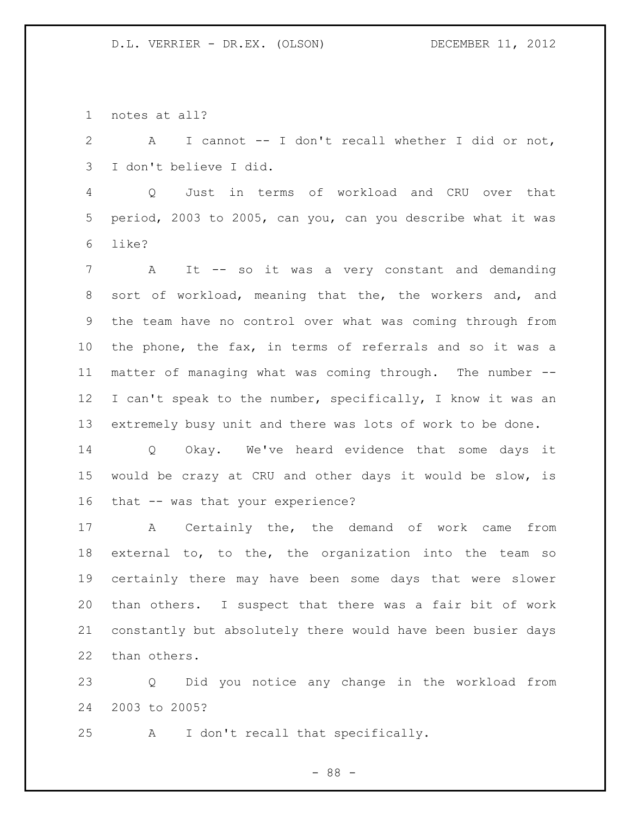notes at all?

 A I cannot -- I don't recall whether I did or not, I don't believe I did.

 Q Just in terms of workload and CRU over that period, 2003 to 2005, can you, can you describe what it was like?

 A It -- so it was a very constant and demanding sort of workload, meaning that the, the workers and, and the team have no control over what was coming through from the phone, the fax, in terms of referrals and so it was a matter of managing what was coming through. The number -- I can't speak to the number, specifically, I know it was an extremely busy unit and there was lots of work to be done.

 Q Okay. We've heard evidence that some days it would be crazy at CRU and other days it would be slow, is that -- was that your experience?

 A Certainly the, the demand of work came from external to, to the, the organization into the team so certainly there may have been some days that were slower than others. I suspect that there was a fair bit of work constantly but absolutely there would have been busier days than others.

 Q Did you notice any change in the workload from 2003 to 2005?

A I don't recall that specifically.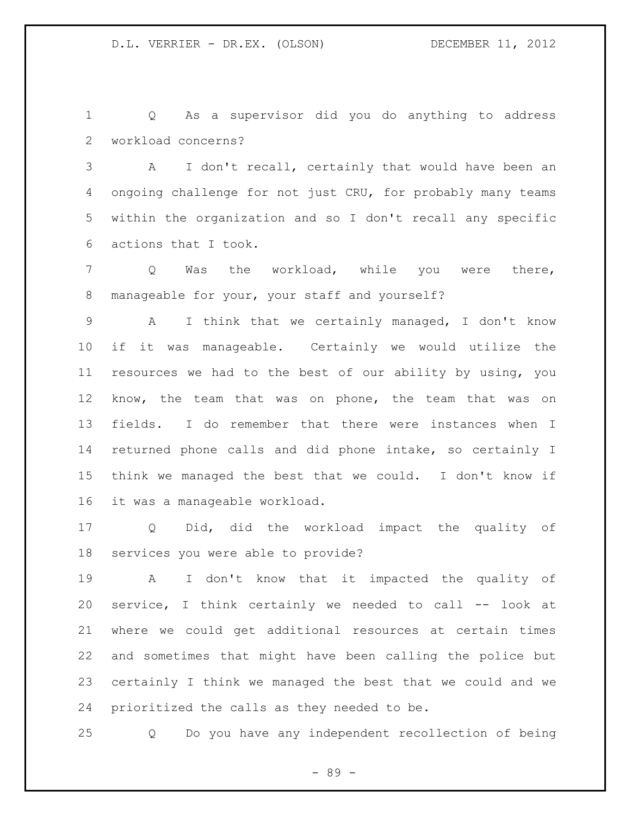Q As a supervisor did you do anything to address workload concerns?

 A I don't recall, certainly that would have been an ongoing challenge for not just CRU, for probably many teams within the organization and so I don't recall any specific actions that I took.

 Q Was the workload, while you were there, manageable for your, your staff and yourself?

 A I think that we certainly managed, I don't know if it was manageable. Certainly we would utilize the resources we had to the best of our ability by using, you know, the team that was on phone, the team that was on fields. I do remember that there were instances when I returned phone calls and did phone intake, so certainly I think we managed the best that we could. I don't know if it was a manageable workload.

 Q Did, did the workload impact the quality of services you were able to provide?

 A I don't know that it impacted the quality of service, I think certainly we needed to call -- look at where we could get additional resources at certain times and sometimes that might have been calling the police but certainly I think we managed the best that we could and we prioritized the calls as they needed to be.

Q Do you have any independent recollection of being

- 89 -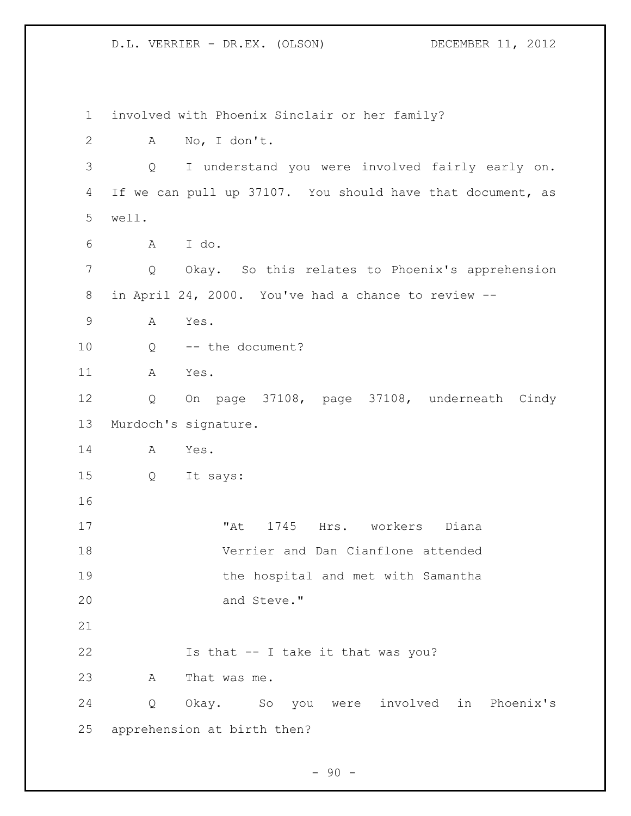involved with Phoenix Sinclair or her family? A No, I don't. Q I understand you were involved fairly early on. If we can pull up 37107. You should have that document, as well. A I do. Q Okay. So this relates to Phoenix's apprehension in April 24, 2000. You've had a chance to review -- A Yes. Q -- the document? A Yes. Q On page 37108, page 37108, underneath Cindy Murdoch's signature. A Yes. Q It says: "At 1745 Hrs. workers Diana Verrier and Dan Cianflone attended the hospital and met with Samantha 20 and Steve." Is that -- I take it that was you? A That was me. Q Okay. So you were involved in Phoenix's apprehension at birth then?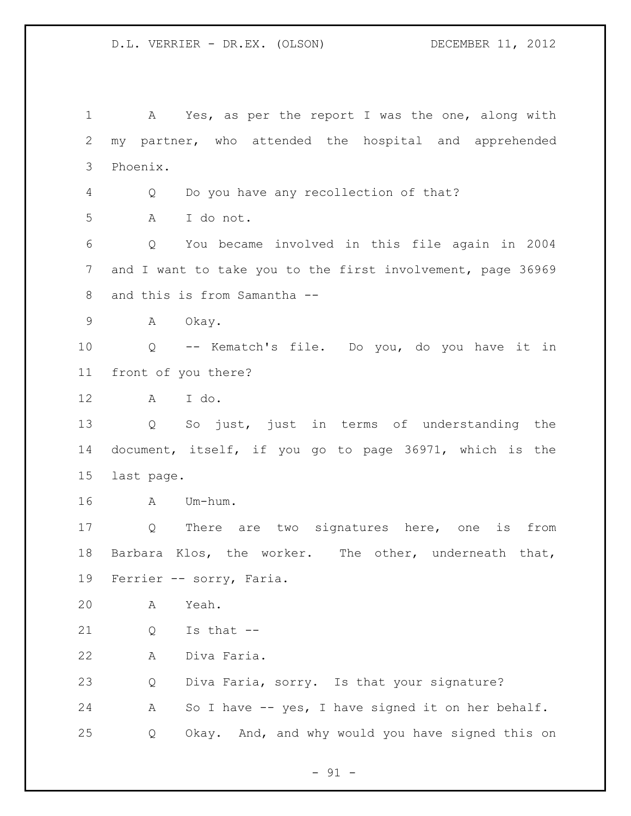A Yes, as per the report I was the one, along with my partner, who attended the hospital and apprehended Phoenix. Q Do you have any recollection of that? A I do not. Q You became involved in this file again in 2004 and I want to take you to the first involvement, page 36969 8 and this is from Samantha -- A Okay. Q -- Kematch's file. Do you, do you have it in front of you there? A I do. Q So just, just in terms of understanding the document, itself, if you go to page 36971, which is the last page. A Um-hum. Q There are two signatures here, one is from Barbara Klos, the worker. The other, underneath that, Ferrier -- sorry, Faria. A Yeah. Q Is that -- A Diva Faria. Q Diva Faria, sorry. Is that your signature? A So I have -- yes, I have signed it on her behalf. Q Okay. And, and why would you have signed this on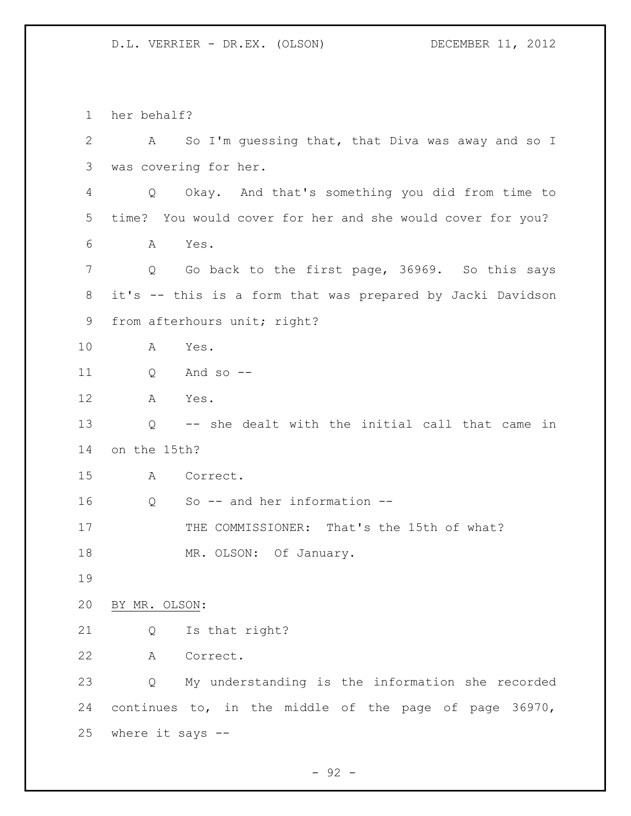her behalf? A So I'm guessing that, that Diva was away and so I was covering for her. Q Okay. And that's something you did from time to time? You would cover for her and she would cover for you? A Yes. 7 Q Go back to the first page, 36969. So this says it's -- this is a form that was prepared by Jacki Davidson from afterhours unit; right? A Yes. Q And so -- A Yes. Q -- she dealt with the initial call that came in on the 15th? A Correct. Q So -- and her information -- 17 THE COMMISSIONER: That's the 15th of what? 18 MR. OLSON: Of January. BY MR. OLSON: Q Is that right? A Correct. Q My understanding is the information she recorded continues to, in the middle of the page of page 36970, where it says --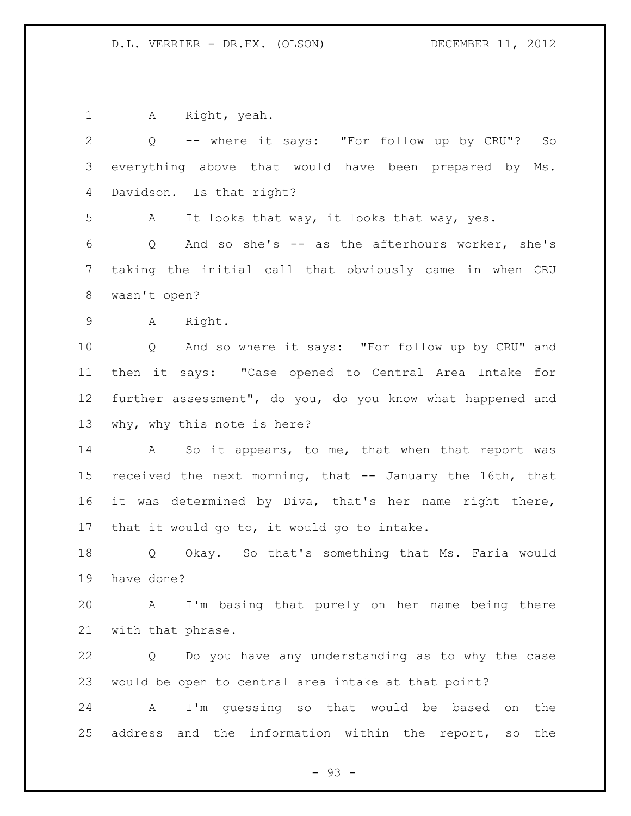A Right, yeah.

| 2               | Q -- where it says: "For follow up by CRU"? So                       |
|-----------------|----------------------------------------------------------------------|
| 3               | everything above that would have been prepared by Ms.                |
| 4               | Davidson. Is that right?                                             |
| 5               | It looks that way, it looks that way, yes.<br>A                      |
| 6               | And so she's -- as the afterhours worker, she's<br>$Q \qquad \qquad$ |
| 7               | taking the initial call that obviously came in when CRU              |
| $8\,$           | wasn't open?                                                         |
| 9               | A Right.                                                             |
| 10              | Q And so where it says: "For follow up by CRU" and                   |
| 11              | then it says: "Case opened to Central Area Intake for                |
| 12 <sup>°</sup> | further assessment", do you, do you know what happened and           |
| 13              | why, why this note is here?                                          |
| 14              | A So it appears, to me, that when that report was                    |
| 15              | received the next morning, that -- January the 16th, that            |
| 16              | it was determined by Diva, that's her name right there,              |
| 17              | that it would go to, it would go to intake.                          |
| 18              | Q Okay. So that's something that Ms. Faria would                     |
| 19              | have done?                                                           |
| 20              | I'm basing that purely on her name being there<br>A                  |
| 21              | with that phrase.                                                    |
| 22              | Do you have any understanding as to why the case<br>Q                |
| 23              | would be open to central area intake at that point?                  |
| 24              | I'm quessing so that would be based<br>Α<br>the<br>on                |
| 25              | address and the information within the report,<br>the<br>SO          |
|                 |                                                                      |

- 93 -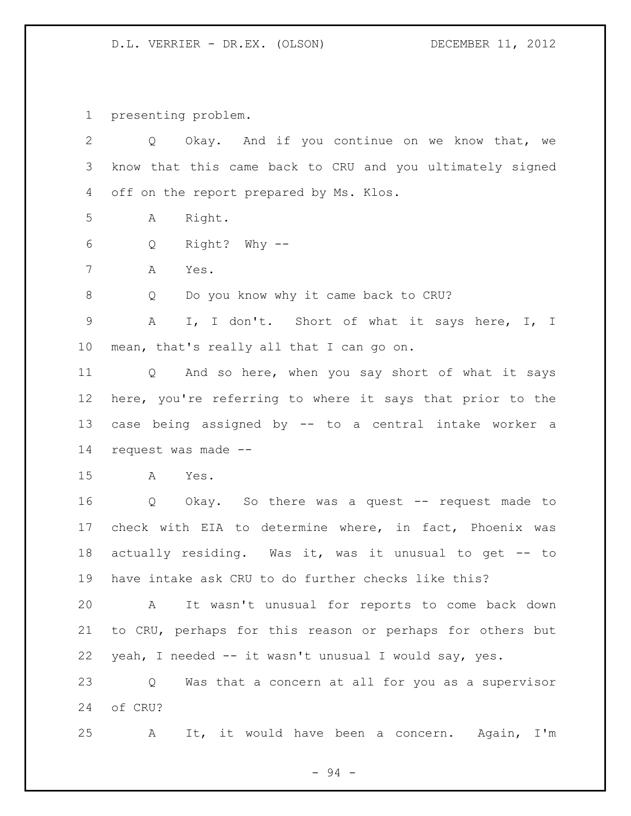presenting problem.

| $\overline{2}$ | Okay. And if you continue on we know that, we<br>Q        |
|----------------|-----------------------------------------------------------|
| 3              | know that this came back to CRU and you ultimately signed |
| 4              | off on the report prepared by Ms. Klos.                   |
| 5              | Right.<br>Α                                               |
| 6              | Right? Why --<br>Q                                        |
| 7              | Α<br>Yes.                                                 |
| $\,8\,$        | Do you know why it came back to CRU?<br>Q                 |
| $\mathsf 9$    | I, I don't. Short of what it says here, I, I<br>A         |
| 10             | mean, that's really all that I can go on.                 |
| 11             | Q And so here, when you say short of what it says         |
| 12             | here, you're referring to where it says that prior to the |
| 13             | case being assigned by -- to a central intake worker a    |
| 14             | request was made --                                       |
| 15             | A<br>Yes.                                                 |
| 16             | Okay. So there was a quest -- request made to<br>Q        |
| 17             | check with EIA to determine where, in fact, Phoenix was   |
| 18             | actually residing. Was it, was it unusual to get -- to    |
| 19             | have intake ask CRU to do further checks like this?       |
| 20             | It wasn't unusual for reports to come back down<br>Α      |
| 21             | to CRU, perhaps for this reason or perhaps for others but |
| 22             | yeah, I needed -- it wasn't unusual I would say, yes.     |
| 23             | Was that a concern at all for you as a supervisor<br>Q    |
| 24             | of CRU?                                                   |
| 25             | It, it would have been a concern.<br>Again, I'm<br>Α      |

- 94 -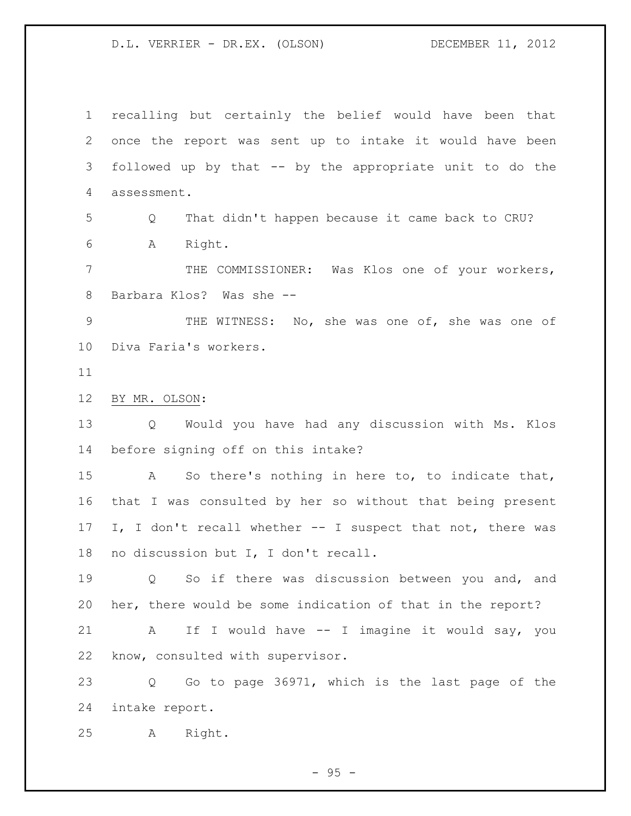recalling but certainly the belief would have been that once the report was sent up to intake it would have been followed up by that -- by the appropriate unit to do the assessment. Q That didn't happen because it came back to CRU? A Right. THE COMMISSIONER: Was Klos one of your workers, Barbara Klos? Was she -- THE WITNESS: No, she was one of, she was one of Diva Faria's workers. BY MR. OLSON: Q Would you have had any discussion with Ms. Klos before signing off on this intake? A So there's nothing in here to, to indicate that, that I was consulted by her so without that being present I, I don't recall whether -- I suspect that not, there was

no discussion but I, I don't recall.

 Q So if there was discussion between you and, and her, there would be some indication of that in the report?

 A If I would have -- I imagine it would say, you know, consulted with supervisor.

 Q Go to page 36971, which is the last page of the intake report.

A Right.

 $-95 -$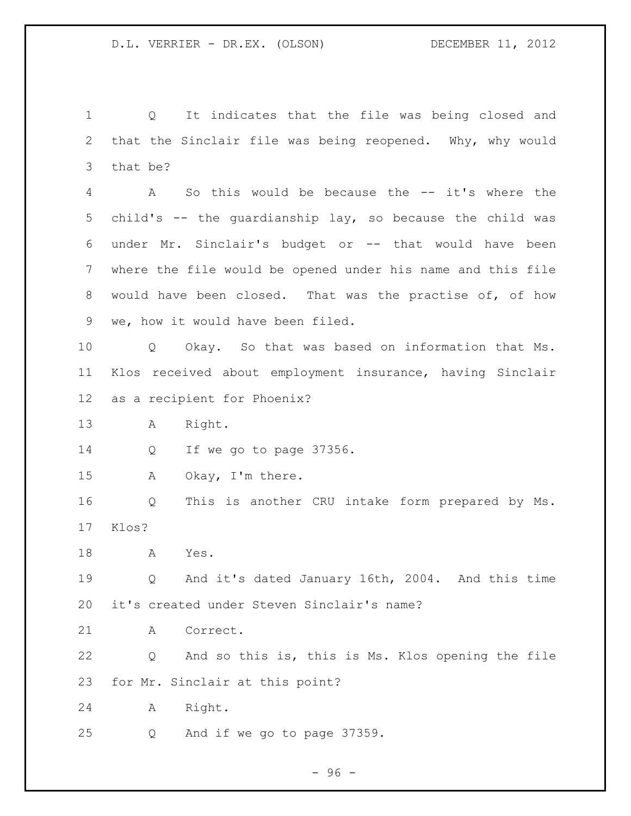Q It indicates that the file was being closed and that the Sinclair file was being reopened. Why, why would that be? A So this would be because the -- it's where the child's -- the guardianship lay, so because the child was under Mr. Sinclair's budget or -- that would have been where the file would be opened under his name and this file would have been closed. That was the practise of, of how we, how it would have been filed. Q Okay. So that was based on information that Ms. Klos received about employment insurance, having Sinclair as a recipient for Phoenix? A Right. Q If we go to page 37356. A Okay, I'm there. Q This is another CRU intake form prepared by Ms. Klos? A Yes. Q And it's dated January 16th, 2004. And this time it's created under Steven Sinclair's name? A Correct. Q And so this is, this is Ms. Klos opening the file for Mr. Sinclair at this point?

A Right.

Q And if we go to page 37359.

- 96 -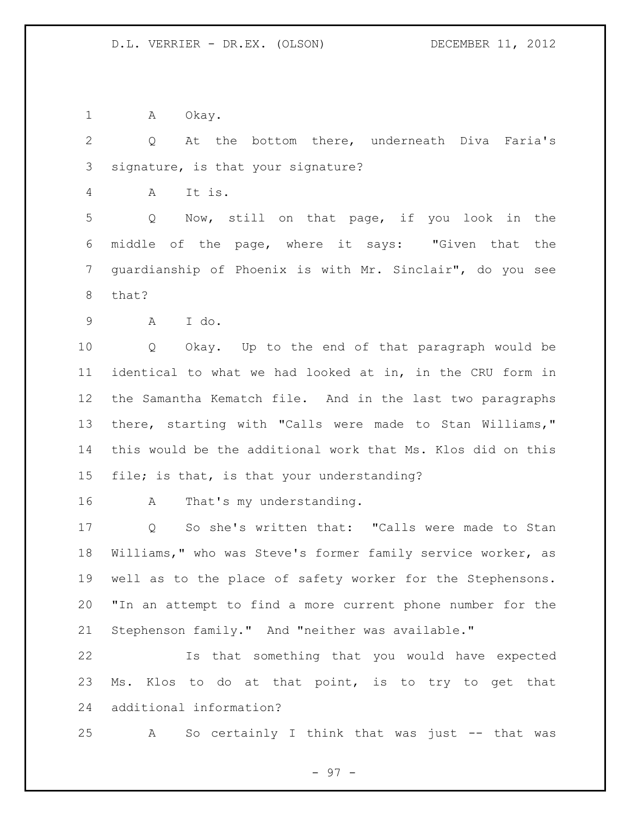1 A Okay.

 Q At the bottom there, underneath Diva Faria's signature, is that your signature?

A It is.

 Q Now, still on that page, if you look in the middle of the page, where it says: "Given that the guardianship of Phoenix is with Mr. Sinclair", do you see that?

A I do.

 Q Okay. Up to the end of that paragraph would be identical to what we had looked at in, in the CRU form in the Samantha Kematch file. And in the last two paragraphs there, starting with "Calls were made to Stan Williams," this would be the additional work that Ms. Klos did on this file; is that, is that your understanding?

16 A That's my understanding.

 Q So she's written that: "Calls were made to Stan Williams," who was Steve's former family service worker, as well as to the place of safety worker for the Stephensons. "In an attempt to find a more current phone number for the Stephenson family." And "neither was available."

 Is that something that you would have expected Ms. Klos to do at that point, is to try to get that additional information?

A So certainly I think that was just -- that was

- 97 -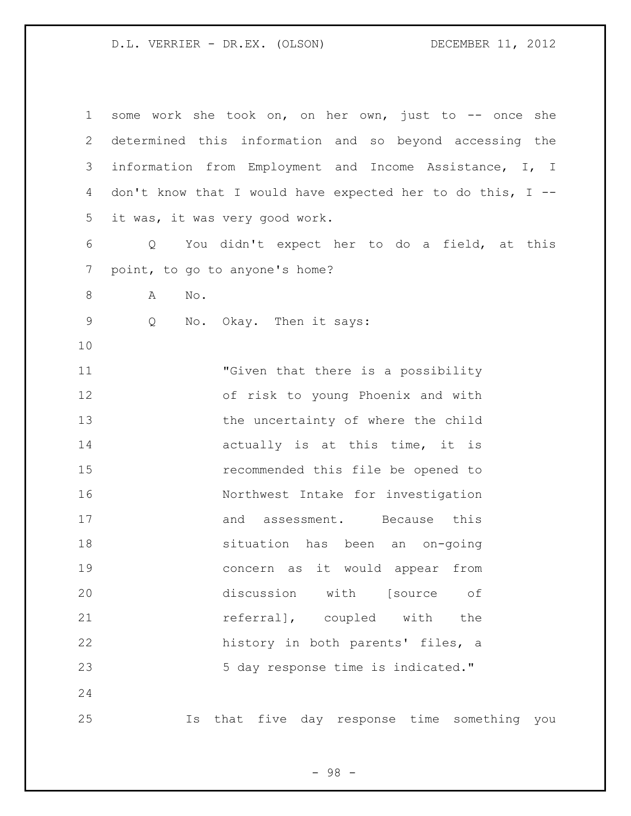| $\mathbf 1$  | some work she took on, on her own, just to -- once she     |
|--------------|------------------------------------------------------------|
| $\mathbf{2}$ | determined this information and so beyond accessing the    |
| 3            | information from Employment and Income Assistance, I, I    |
| 4            | don't know that I would have expected her to do this, I -- |
| 5            | it was, it was very good work.                             |
| 6            | You didn't expect her to do a field, at this<br>Q          |
| 7            | point, to go to anyone's home?                             |
| 8            | No.<br>A                                                   |
| $\mathsf 9$  | No. Okay. Then it says:<br>Q                               |
| 10           |                                                            |
| 11           | "Given that there is a possibility                         |
| 12           | of risk to young Phoenix and with                          |
| 13           | the uncertainty of where the child                         |
| 14           | actually is at this time, it is                            |
| 15           | recommended this file be opened to                         |
| 16           | Northwest Intake for investigation                         |
| 17           | assessment. Because this<br>and                            |
| 18           | situation has been an on-going                             |
| 19           | concern as it would appear from                            |
| 20           | discussion with [source<br>оf                              |
| 21           | referral], coupled with<br>the                             |
| 22           | history in both parents' files, a                          |
| 23           | 5 day response time is indicated."                         |
| 24           |                                                            |
| 25           | five day response time something you<br>that<br>Is         |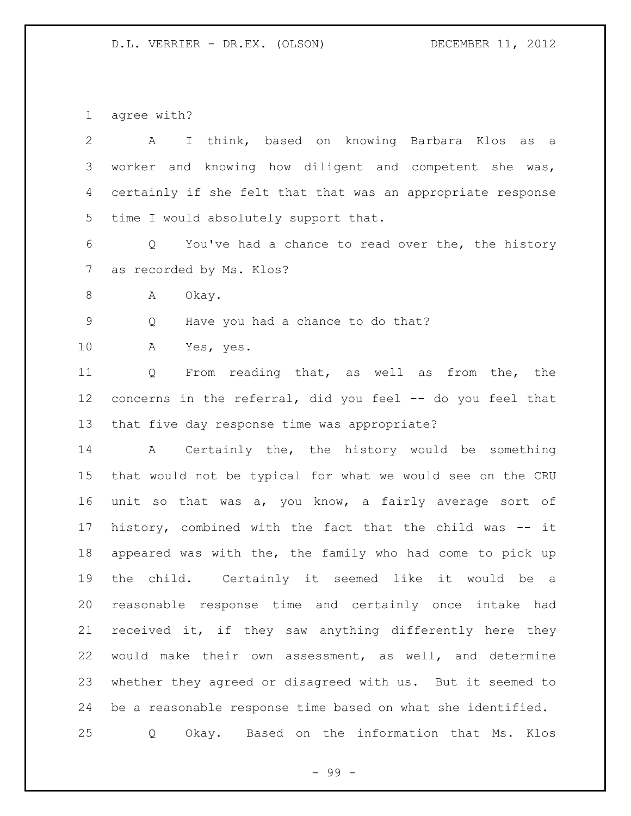agree with?

| $\mathbf{2}$   | I think, based on knowing Barbara Klos<br>A<br>as<br>a      |
|----------------|-------------------------------------------------------------|
| 3              | worker and knowing how diligent and competent she was,      |
| 4              | certainly if she felt that that was an appropriate response |
| 5              | time I would absolutely support that.                       |
| 6              | You've had a chance to read over the, the history<br>Q      |
| $\overline{7}$ | as recorded by Ms. Klos?                                    |
| 8              | Okay.<br>A                                                  |
| $\mathsf 9$    | Have you had a chance to do that?<br>Q                      |
| 10             | Α<br>Yes, yes.                                              |
| 11             | From reading that, as well as from the, the<br>Q            |
| 12             | concerns in the referral, did you feel -- do you feel that  |
| 13             | that five day response time was appropriate?                |
| 14             | A Certainly the, the history would be something             |
| 15             | that would not be typical for what we would see on the CRU  |
| 16             | unit so that was a, you know, a fairly average sort of      |
| 17             | history, combined with the fact that the child was -- it    |
| 18             | appeared was with the, the family who had come to pick up   |
| 19             | child. Certainly it seemed like it would be<br>the<br>a     |
| 20             | reasonable response time and certainly once intake had      |
| 21             | received it, if they saw anything differently here they     |
| 22             | would make their own assessment, as well, and determine     |
| 23             | whether they agreed or disagreed with us. But it seemed to  |
| 24             | be a reasonable response time based on what she identified. |
| 25             | Based on the information that Ms.<br>Okay.<br>Klos<br>Q     |

- 99 -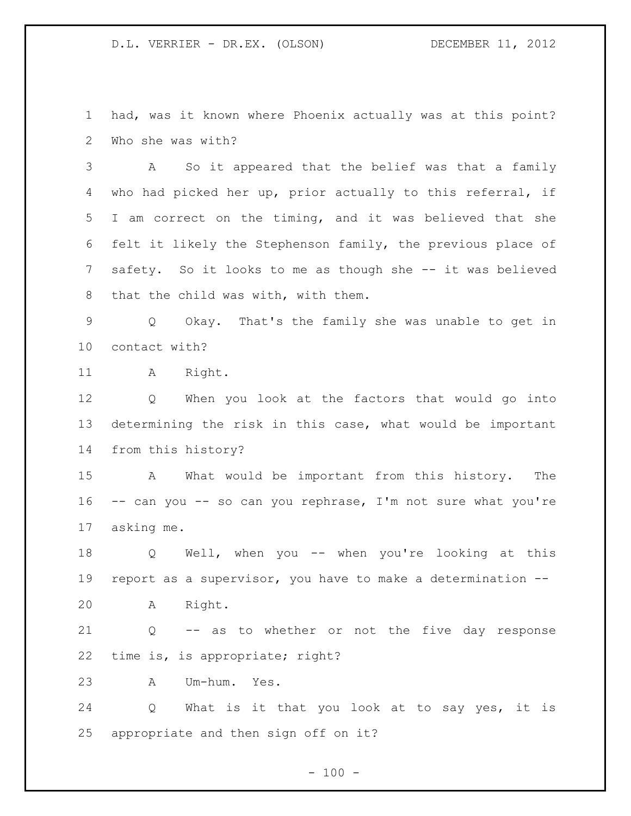had, was it known where Phoenix actually was at this point? Who she was with?

 A So it appeared that the belief was that a family who had picked her up, prior actually to this referral, if I am correct on the timing, and it was believed that she felt it likely the Stephenson family, the previous place of safety. So it looks to me as though she -- it was believed that the child was with, with them.

 Q Okay. That's the family she was unable to get in contact with?

11 A Right.

 Q When you look at the factors that would go into determining the risk in this case, what would be important from this history?

 A What would be important from this history. The -- can you -- so can you rephrase, I'm not sure what you're asking me.

 Q Well, when you -- when you're looking at this report as a supervisor, you have to make a determination --

A Right.

 Q -- as to whether or not the five day response time is, is appropriate; right?

A Um-hum. Yes.

 Q What is it that you look at to say yes, it is appropriate and then sign off on it?

 $- 100 -$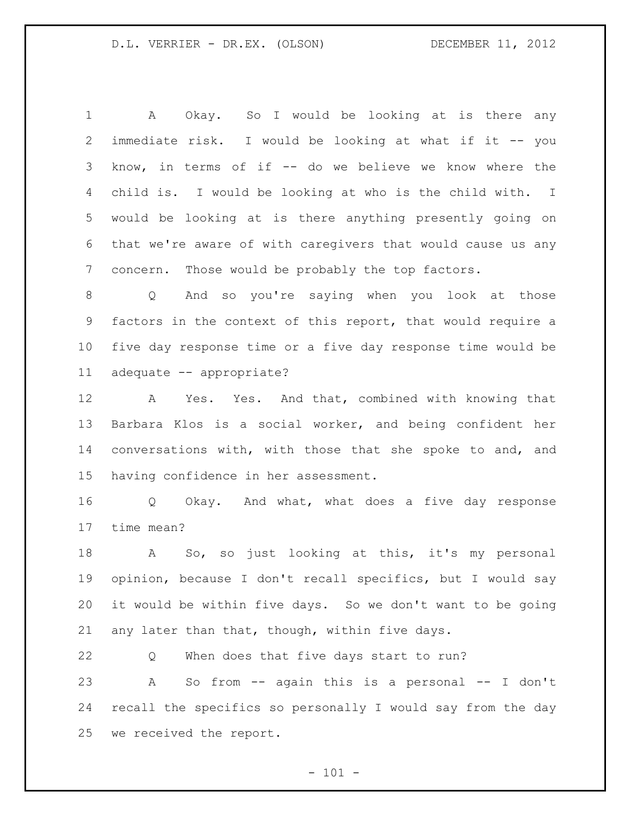A Okay. So I would be looking at is there any immediate risk. I would be looking at what if it -- you know, in terms of if -- do we believe we know where the child is. I would be looking at who is the child with. I would be looking at is there anything presently going on that we're aware of with caregivers that would cause us any concern. Those would be probably the top factors.

 Q And so you're saying when you look at those factors in the context of this report, that would require a five day response time or a five day response time would be adequate -- appropriate?

 A Yes. Yes. And that, combined with knowing that Barbara Klos is a social worker, and being confident her conversations with, with those that she spoke to and, and having confidence in her assessment.

 Q Okay. And what, what does a five day response time mean?

 A So, so just looking at this, it's my personal opinion, because I don't recall specifics, but I would say it would be within five days. So we don't want to be going any later than that, though, within five days.

 Q When does that five days start to run? A So from -- again this is a personal -- I don't recall the specifics so personally I would say from the day we received the report.

 $- 101 -$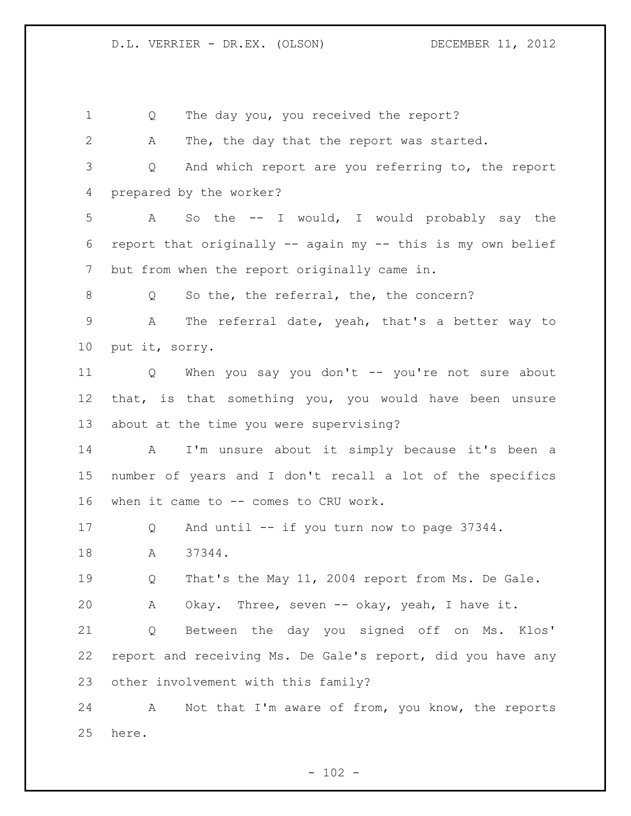Q The day you, you received the report? A The, the day that the report was started. Q And which report are you referring to, the report prepared by the worker? A So the -- I would, I would probably say the report that originally -- again my -- this is my own belief but from when the report originally came in. 8 Q So the, the referral, the, the concern? A The referral date, yeah, that's a better way to put it, sorry. Q When you say you don't -- you're not sure about that, is that something you, you would have been unsure about at the time you were supervising? A I'm unsure about it simply because it's been a number of years and I don't recall a lot of the specifics when it came to -- comes to CRU work. Q And until -- if you turn now to page 37344. 18 A 37344. 19 0 That's the May 11, 2004 report from Ms. De Gale. A Okay. Three, seven -- okay, yeah, I have it. Q Between the day you signed off on Ms. Klos' report and receiving Ms. De Gale's report, did you have any other involvement with this family? A Not that I'm aware of from, you know, the reports here.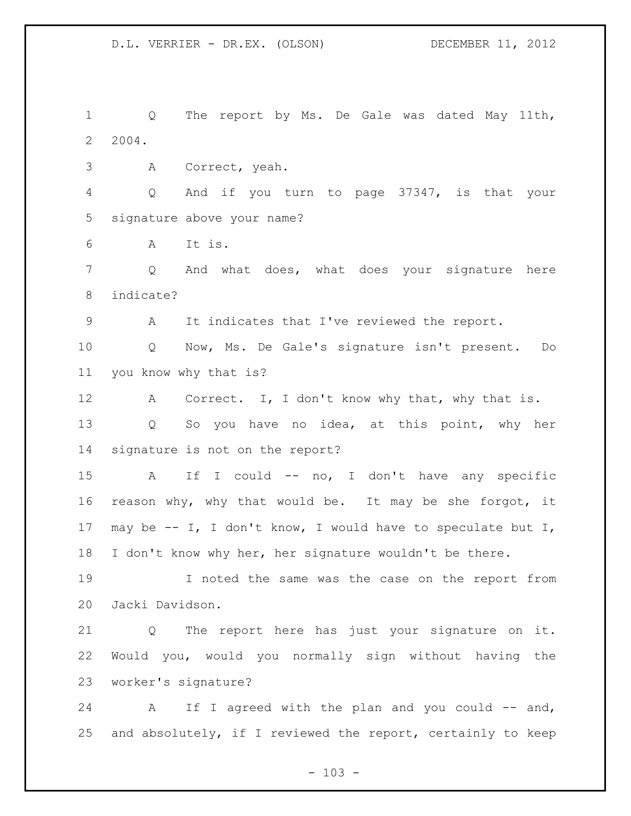Q The report by Ms. De Gale was dated May 11th, 2004.

A Correct, yeah.

 Q And if you turn to page 37347, is that your signature above your name?

A It is.

 Q And what does, what does your signature here indicate?

A It indicates that I've reviewed the report.

 Q Now, Ms. De Gale's signature isn't present. Do you know why that is?

12 A Correct. I, I don't know why that, why that is. Q So you have no idea, at this point, why her signature is not on the report?

 A If I could -- no, I don't have any specific reason why, why that would be. It may be she forgot, it may be -- I, I don't know, I would have to speculate but I, I don't know why her, her signature wouldn't be there.

 I noted the same was the case on the report from Jacki Davidson.

 Q The report here has just your signature on it. Would you, would you normally sign without having the worker's signature?

24 A If I agreed with the plan and you could -- and, and absolutely, if I reviewed the report, certainly to keep

 $- 103 -$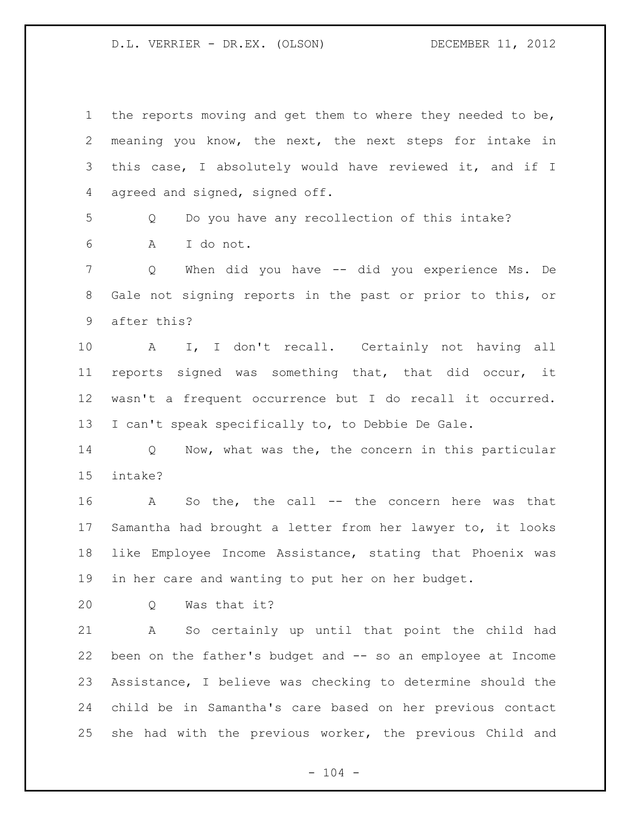| $\mathbf{1}$    | the reports moving and get them to where they needed to be, |
|-----------------|-------------------------------------------------------------|
| 2               | meaning you know, the next, the next steps for intake in    |
| 3               | this case, I absolutely would have reviewed it, and if I    |
| 4               | agreed and signed, signed off.                              |
| 5               | Do you have any recollection of this intake?<br>Q           |
| 6               | A<br>I do not.                                              |
| $\overline{7}$  | When did you have -- did you experience Ms. De<br>Q         |
| 8               | Gale not signing reports in the past or prior to this, or   |
| 9               | after this?                                                 |
| 10              | I, I don't recall. Certainly not having all<br>$\mathbf{A}$ |
| 11              | reports signed was something that, that did occur, it       |
| 12 <sup>°</sup> | wasn't a frequent occurrence but I do recall it occurred.   |
| 13              | I can't speak specifically to, to Debbie De Gale.           |
| 14              | Now, what was the, the concern in this particular<br>Q      |
| 15              | intake?                                                     |
| 16              | So the, the call $--$ the concern here was that<br>A        |
| 17              | Samantha had brought a letter from her lawyer to, it looks  |
| 18              | like Employee Income Assistance, stating that Phoenix was   |
| 19              | in her care and wanting to put her on her budget.           |
| 20              | Was that it?<br>Q                                           |
| 21              | So certainly up until that point the child had<br>Α         |
| 22              | been on the father's budget and -- so an employee at Income |
| 23              | Assistance, I believe was checking to determine should the  |
| 24              | child be in Samantha's care based on her previous contact   |
| 25              | she had with the previous worker, the previous Child and    |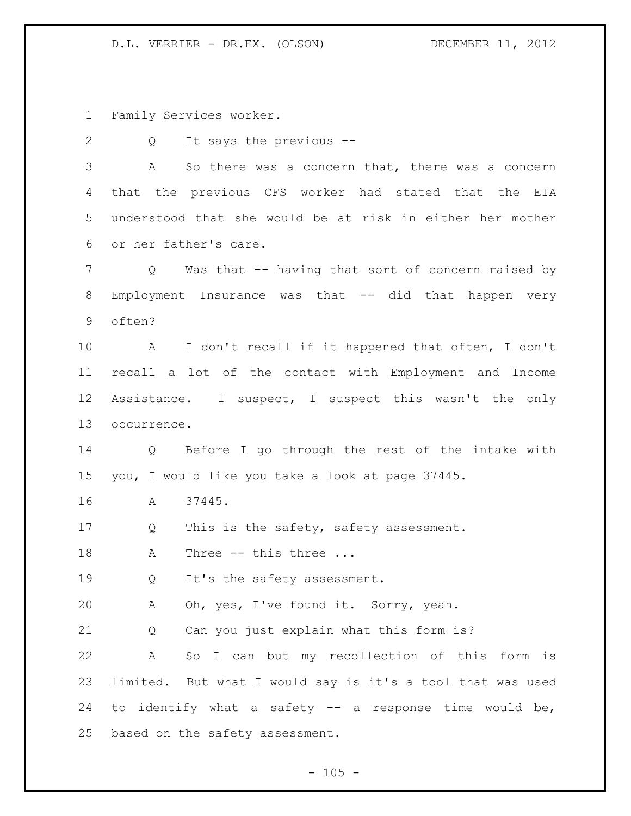Family Services worker.

Q It says the previous --

 A So there was a concern that, there was a concern that the previous CFS worker had stated that the EIA understood that she would be at risk in either her mother or her father's care.

 Q Was that -- having that sort of concern raised by Employment Insurance was that -- did that happen very often?

 A I don't recall if it happened that often, I don't recall a lot of the contact with Employment and Income Assistance. I suspect, I suspect this wasn't the only occurrence.

 Q Before I go through the rest of the intake with you, I would like you take a look at page 37445.

A 37445.

17 Q This is the safety, safety assessment.

18 A Three -- this three ...

Q It's the safety assessment.

A Oh, yes, I've found it. Sorry, yeah.

Q Can you just explain what this form is?

 A So I can but my recollection of this form is limited. But what I would say is it's a tool that was used to identify what a safety -- a response time would be, based on the safety assessment.

 $- 105 -$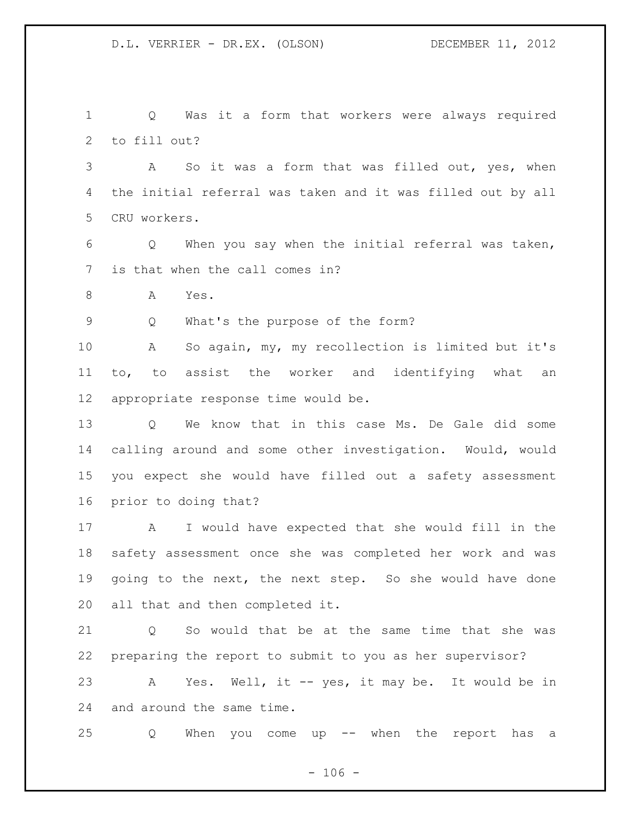Q Was it a form that workers were always required to fill out?

 A So it was a form that was filled out, yes, when the initial referral was taken and it was filled out by all CRU workers.

 Q When you say when the initial referral was taken, is that when the call comes in?

A Yes.

Q What's the purpose of the form?

 A So again, my, my recollection is limited but it's to, to assist the worker and identifying what an appropriate response time would be.

 Q We know that in this case Ms. De Gale did some calling around and some other investigation. Would, would you expect she would have filled out a safety assessment prior to doing that?

 A I would have expected that she would fill in the safety assessment once she was completed her work and was going to the next, the next step. So she would have done all that and then completed it.

21 0 So would that be at the same time that she was preparing the report to submit to you as her supervisor? A Yes. Well, it -- yes, it may be. It would be in and around the same time.

Q When you come up -- when the report has a

 $- 106 -$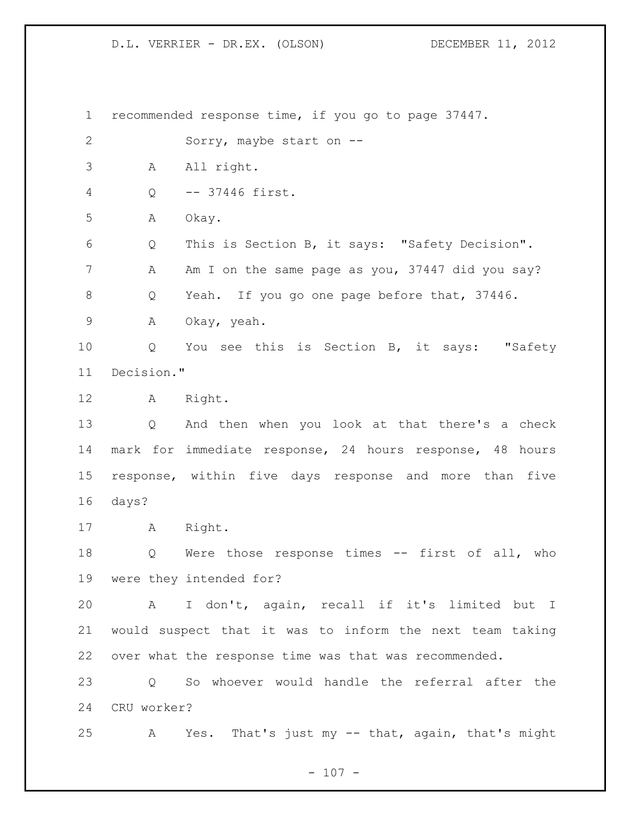recommended response time, if you go to page 37447. Sorry, maybe start on -- A All right. Q -- 37446 first. A Okay. Q This is Section B, it says: "Safety Decision". 7 A Am I on the same page as you, 37447 did you say? Q Yeah. If you go one page before that, 37446. A Okay, yeah. Q You see this is Section B, it says: "Safety Decision." A Right. Q And then when you look at that there's a check mark for immediate response, 24 hours response, 48 hours response, within five days response and more than five days? A Right. Q Were those response times -- first of all, who were they intended for? A I don't, again, recall if it's limited but I would suspect that it was to inform the next team taking over what the response time was that was recommended. Q So whoever would handle the referral after the CRU worker? A Yes. That's just my -- that, again, that's might

 $- 107 -$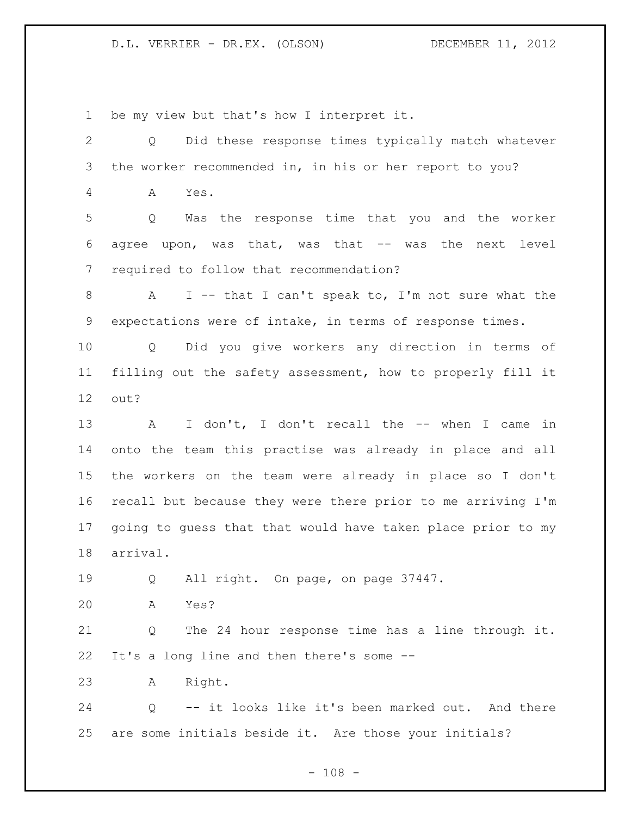be my view but that's how I interpret it.

 Q Did these response times typically match whatever the worker recommended in, in his or her report to you? A Yes. Q Was the response time that you and the worker agree upon, was that, was that -- was the next level required to follow that recommendation? A I -- that I can't speak to, I'm not sure what the expectations were of intake, in terms of response times. Q Did you give workers any direction in terms of filling out the safety assessment, how to properly fill it out? 13 A I don't, I don't recall the -- when I came in onto the team this practise was already in place and all the workers on the team were already in place so I don't recall but because they were there prior to me arriving I'm going to guess that that would have taken place prior to my arrival. Q All right. On page, on page 37447. A Yes? Q The 24 hour response time has a line through it. It's a long line and then there's some -- A Right. Q -- it looks like it's been marked out. And there are some initials beside it. Are those your initials?

 $- 108 -$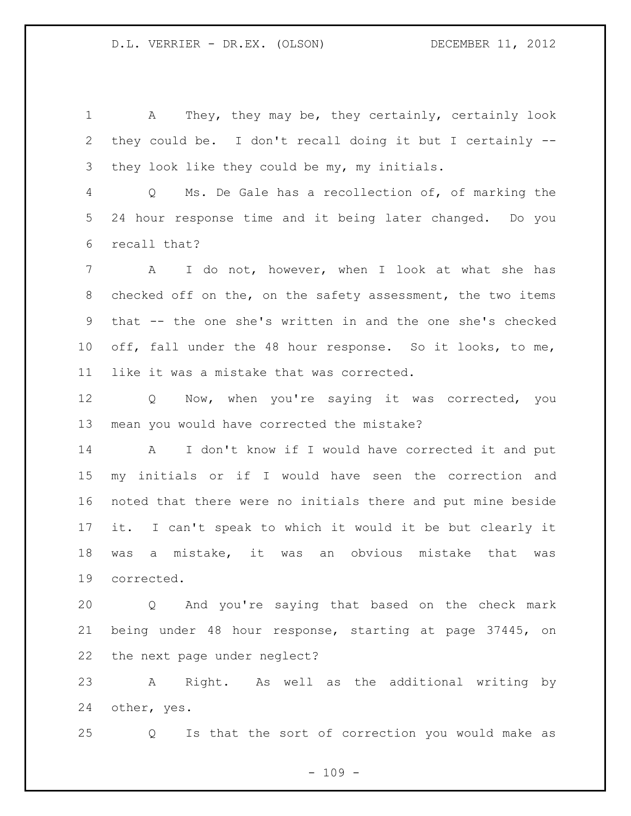A They, they may be, they certainly, certainly look they could be. I don't recall doing it but I certainly -- they look like they could be my, my initials.

 Q Ms. De Gale has a recollection of, of marking the 24 hour response time and it being later changed. Do you recall that?

 A I do not, however, when I look at what she has checked off on the, on the safety assessment, the two items that -- the one she's written in and the one she's checked off, fall under the 48 hour response. So it looks, to me, like it was a mistake that was corrected.

 Q Now, when you're saying it was corrected, you mean you would have corrected the mistake?

 A I don't know if I would have corrected it and put my initials or if I would have seen the correction and noted that there were no initials there and put mine beside it. I can't speak to which it would it be but clearly it was a mistake, it was an obvious mistake that was corrected.

 Q And you're saying that based on the check mark being under 48 hour response, starting at page 37445, on the next page under neglect?

 A Right. As well as the additional writing by other, yes.

Q Is that the sort of correction you would make as

 $- 109 -$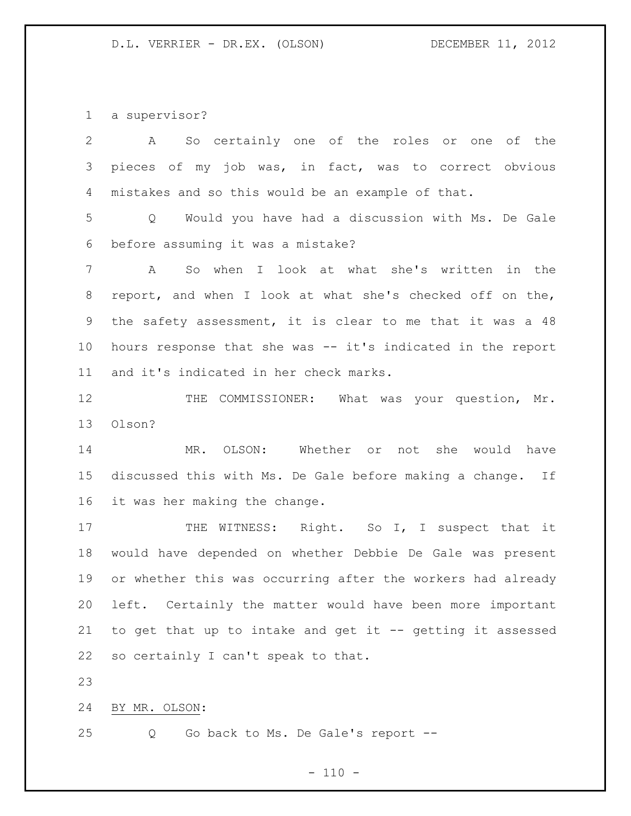a supervisor?

| $\mathbf{2}$ | So certainly one of the roles or one of the<br>A                  |
|--------------|-------------------------------------------------------------------|
| 3            | pieces of my job was, in fact, was to correct obvious             |
| 4            | mistakes and so this would be an example of that.                 |
| 5            | Would you have had a discussion with Ms. De Gale<br>$Q_{\rm max}$ |
| 6            | before assuming it was a mistake?                                 |
| 7            | So when I look at what she's written in the<br>A                  |
| 8            | report, and when I look at what she's checked off on the,         |
| 9            | the safety assessment, it is clear to me that it was a 48         |
| 10           | hours response that she was -- it's indicated in the report       |
| 11           | and it's indicated in her check marks.                            |
| 12           | THE COMMISSIONER: What was your question, Mr.                     |
| 13           | Olson?                                                            |
| 14           | MR. OLSON: Whether or not she would have                          |
| 15           | discussed this with Ms. De Gale before making a change. If        |
| 16           | it was her making the change.                                     |
| 17           | THE WITNESS: Right. So I, I suspect that it                       |
| 18           | would have depended on whether Debbie De Gale was present         |
| 19           | or whether this was occurring after the workers had already       |
| 20           | left. Certainly the matter would have been more important         |
| 21           | to get that up to intake and get it -- getting it assessed        |
| 22           | so certainly I can't speak to that.                               |
| 23           |                                                                   |
| 24           | BY MR. OLSON:                                                     |
| 25           | Go back to Ms. De Gale's report --<br>Q                           |

# - 110 -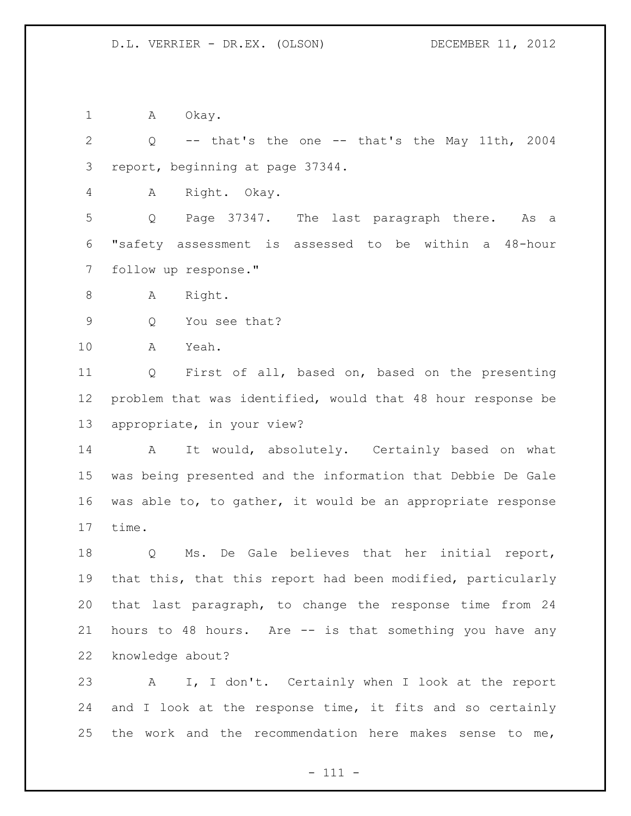1 A Okay.

 Q -- that's the one -- that's the May 11th, 2004 report, beginning at page 37344.

A Right. Okay.

 Q Page 37347. The last paragraph there. As a "safety assessment is assessed to be within a 48-hour follow up response."

8 A Right.

Q You see that?

A Yeah.

 Q First of all, based on, based on the presenting problem that was identified, would that 48 hour response be appropriate, in your view?

14 A It would, absolutely. Certainly based on what was being presented and the information that Debbie De Gale was able to, to gather, it would be an appropriate response time.

 Q Ms. De Gale believes that her initial report, that this, that this report had been modified, particularly that last paragraph, to change the response time from 24 hours to 48 hours. Are -- is that something you have any knowledge about?

 A I, I don't. Certainly when I look at the report 24 and I look at the response time, it fits and so certainly 25 the work and the recommendation here makes sense to me,

- 111 -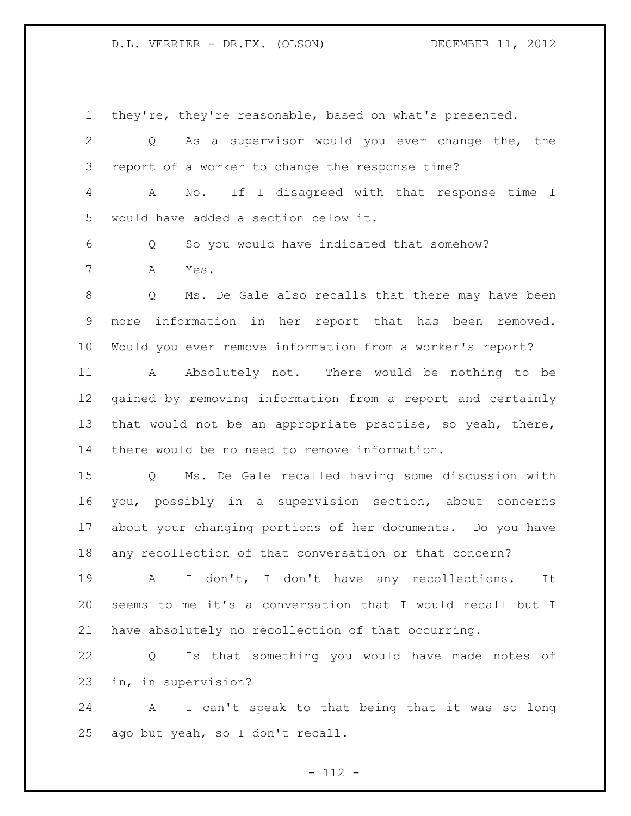they're, they're reasonable, based on what's presented. Q As a supervisor would you ever change the, the report of a worker to change the response time? A No. If I disagreed with that response time I would have added a section below it. Q So you would have indicated that somehow? A Yes. Q Ms. De Gale also recalls that there may have been more information in her report that has been removed. Would you ever remove information from a worker's report? A Absolutely not. There would be nothing to be gained by removing information from a report and certainly that would not be an appropriate practise, so yeah, there, there would be no need to remove information. Q Ms. De Gale recalled having some discussion with you, possibly in a supervision section, about concerns about your changing portions of her documents. Do you have any recollection of that conversation or that concern? A I don't, I don't have any recollections. It seems to me it's a conversation that I would recall but I have absolutely no recollection of that occurring. Q Is that something you would have made notes of in, in supervision?

 A I can't speak to that being that it was so long ago but yeah, so I don't recall.

- 112 -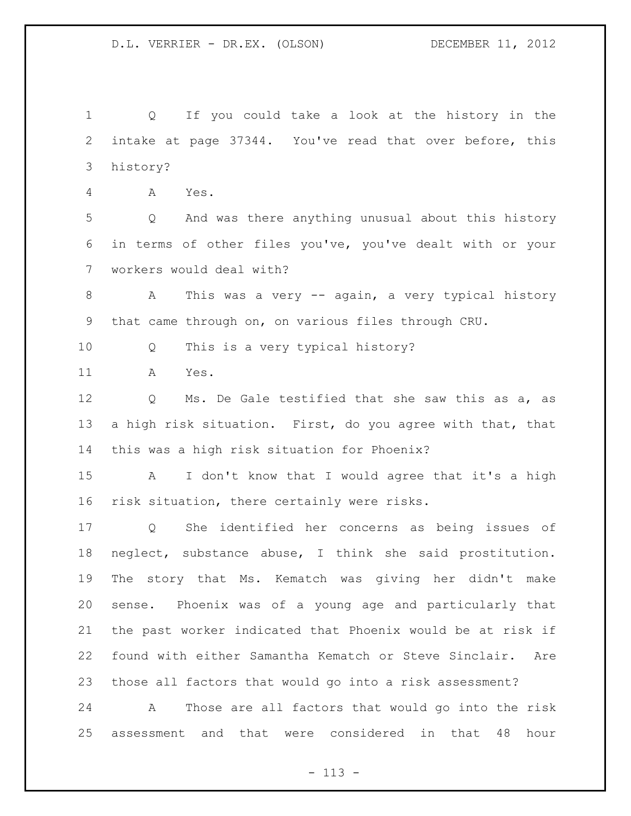Q If you could take a look at the history in the intake at page 37344. You've read that over before, this history?

A Yes.

 Q And was there anything unusual about this history in terms of other files you've, you've dealt with or your workers would deal with?

8 A This was a very -- again, a very typical history that came through on, on various files through CRU.

Q This is a very typical history?

A Yes.

 Q Ms. De Gale testified that she saw this as a, as a high risk situation. First, do you agree with that, that this was a high risk situation for Phoenix?

 A I don't know that I would agree that it's a high risk situation, there certainly were risks.

 Q She identified her concerns as being issues of neglect, substance abuse, I think she said prostitution. The story that Ms. Kematch was giving her didn't make sense. Phoenix was of a young age and particularly that the past worker indicated that Phoenix would be at risk if found with either Samantha Kematch or Steve Sinclair. Are those all factors that would go into a risk assessment?

 A Those are all factors that would go into the risk assessment and that were considered in that 48 hour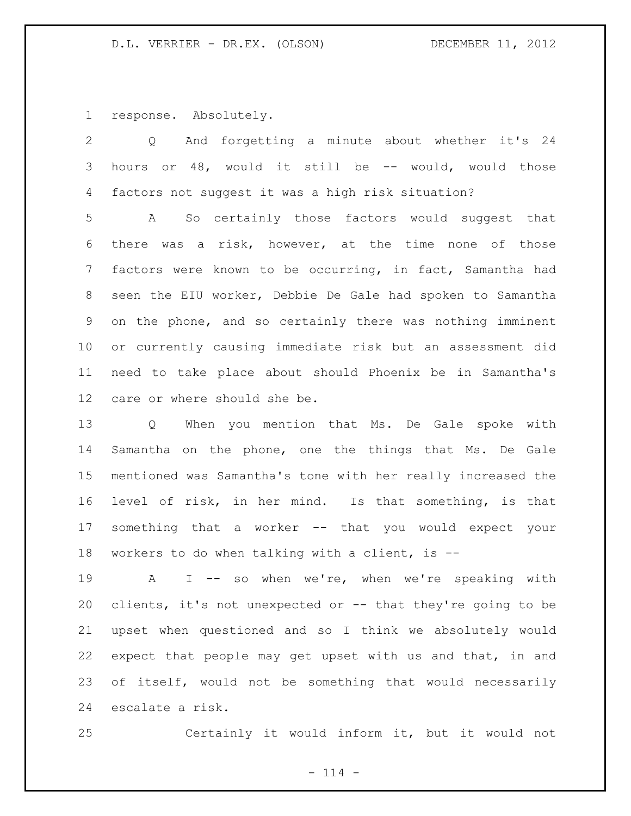response. Absolutely.

 Q And forgetting a minute about whether it's 24 hours or 48, would it still be -- would, would those factors not suggest it was a high risk situation?

 A So certainly those factors would suggest that there was a risk, however, at the time none of those factors were known to be occurring, in fact, Samantha had seen the EIU worker, Debbie De Gale had spoken to Samantha on the phone, and so certainly there was nothing imminent or currently causing immediate risk but an assessment did need to take place about should Phoenix be in Samantha's care or where should she be.

 Q When you mention that Ms. De Gale spoke with Samantha on the phone, one the things that Ms. De Gale mentioned was Samantha's tone with her really increased the level of risk, in her mind. Is that something, is that something that a worker -- that you would expect your workers to do when talking with a client, is --

19 A I -- so when we're, when we're speaking with clients, it's not unexpected or -- that they're going to be upset when questioned and so I think we absolutely would expect that people may get upset with us and that, in and of itself, would not be something that would necessarily escalate a risk.

Certainly it would inform it, but it would not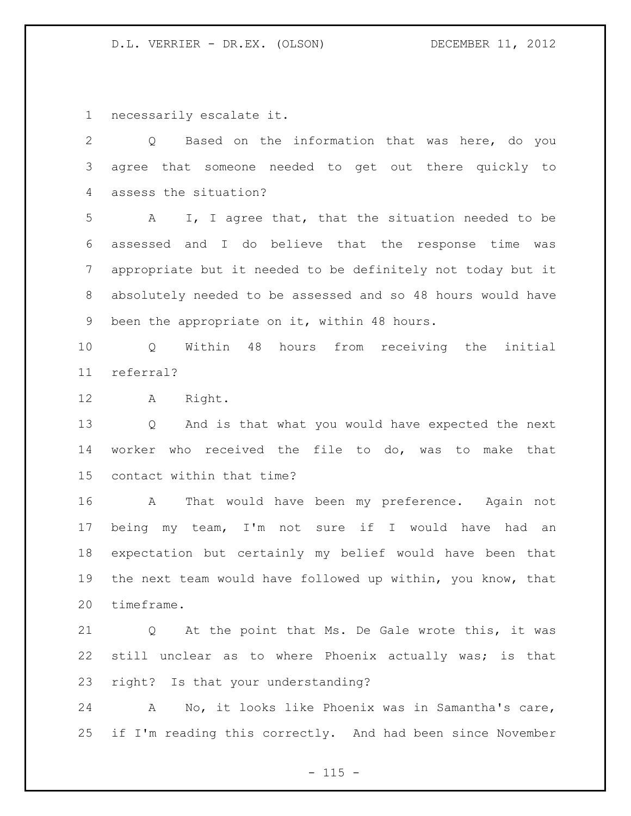necessarily escalate it.

 Q Based on the information that was here, do you agree that someone needed to get out there quickly to assess the situation?

 A I, I agree that, that the situation needed to be assessed and I do believe that the response time was appropriate but it needed to be definitely not today but it absolutely needed to be assessed and so 48 hours would have been the appropriate on it, within 48 hours.

 Q Within 48 hours from receiving the initial referral?

A Right.

 Q And is that what you would have expected the next worker who received the file to do, was to make that contact within that time?

 A That would have been my preference. Again not being my team, I'm not sure if I would have had an expectation but certainly my belief would have been that the next team would have followed up within, you know, that timeframe.

 Q At the point that Ms. De Gale wrote this, it was still unclear as to where Phoenix actually was; is that right? Is that your understanding?

 A No, it looks like Phoenix was in Samantha's care, if I'm reading this correctly. And had been since November

 $- 115 -$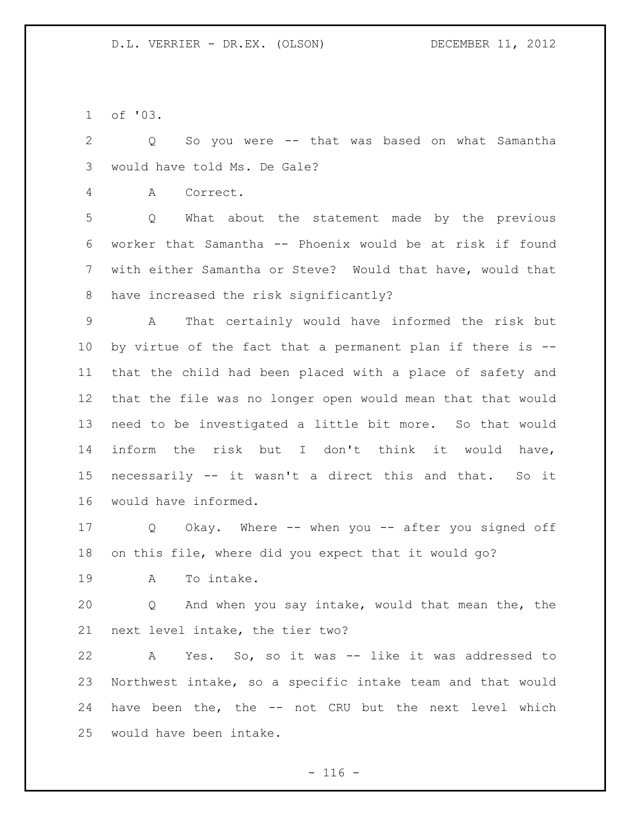of '03.

 Q So you were -- that was based on what Samantha would have told Ms. De Gale?

A Correct.

 Q What about the statement made by the previous worker that Samantha -- Phoenix would be at risk if found with either Samantha or Steve? Would that have, would that have increased the risk significantly?

 A That certainly would have informed the risk but by virtue of the fact that a permanent plan if there is -- that the child had been placed with a place of safety and that the file was no longer open would mean that that would need to be investigated a little bit more. So that would inform the risk but I don't think it would have, necessarily -- it wasn't a direct this and that. So it would have informed.

 Q Okay. Where -- when you -- after you signed off on this file, where did you expect that it would go?

A To intake.

 Q And when you say intake, would that mean the, the next level intake, the tier two?

 A Yes. So, so it was -- like it was addressed to Northwest intake, so a specific intake team and that would have been the, the -- not CRU but the next level which would have been intake.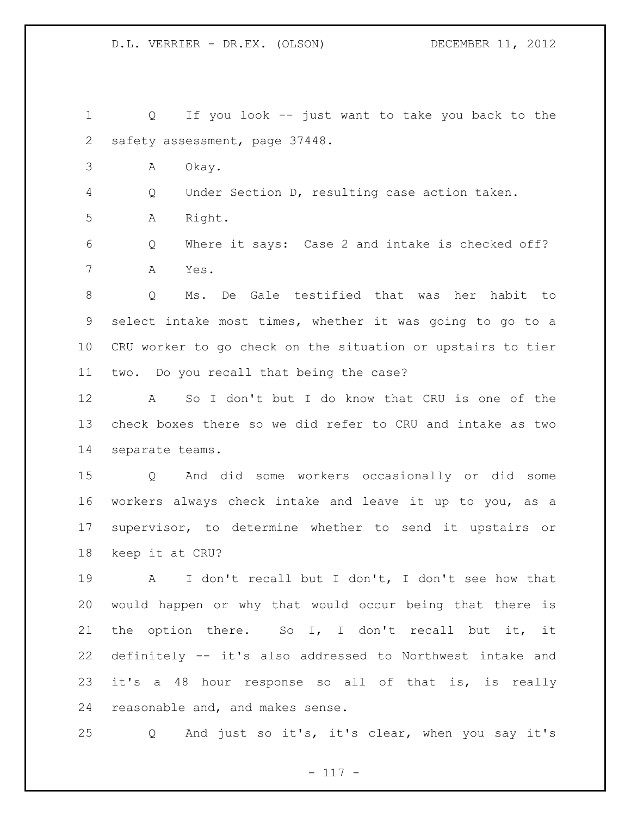Q If you look -- just want to take you back to the safety assessment, page 37448. A Okay. Q Under Section D, resulting case action taken. A Right. Q Where it says: Case 2 and intake is checked off? A Yes. Q Ms. De Gale testified that was her habit to select intake most times, whether it was going to go to a CRU worker to go check on the situation or upstairs to tier two. Do you recall that being the case? A So I don't but I do know that CRU is one of the check boxes there so we did refer to CRU and intake as two separate teams. Q And did some workers occasionally or did some workers always check intake and leave it up to you, as a supervisor, to determine whether to send it upstairs or keep it at CRU? A I don't recall but I don't, I don't see how that would happen or why that would occur being that there is the option there. So I, I don't recall but it, it definitely -- it's also addressed to Northwest intake and

 it's a 48 hour response so all of that is, is really reasonable and, and makes sense.

Q And just so it's, it's clear, when you say it's

- 117 -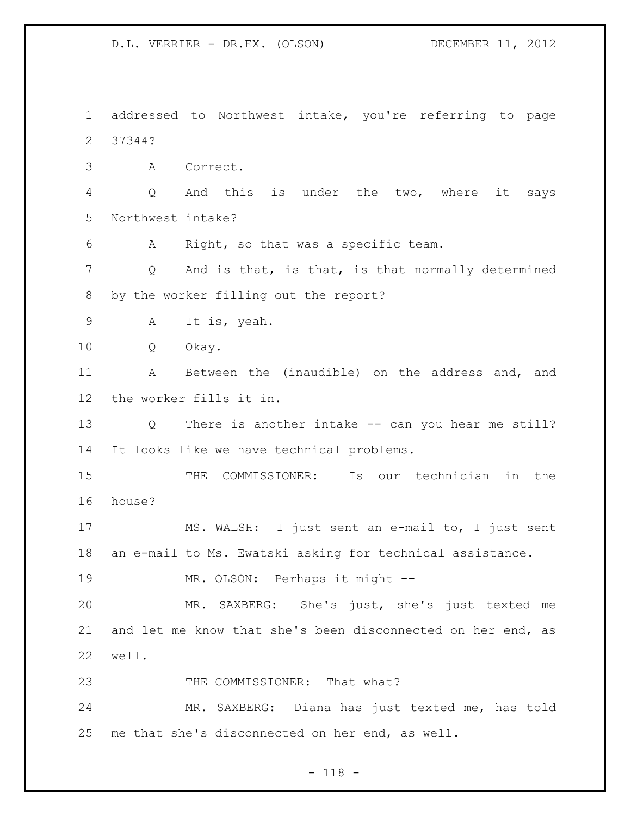addressed to Northwest intake, you're referring to page 37344? A Correct. Q And this is under the two, where it says Northwest intake? A Right, so that was a specific team. Q And is that, is that, is that normally determined by the worker filling out the report? A It is, yeah. Q Okay. A Between the (inaudible) on the address and, and the worker fills it in. Q There is another intake -- can you hear me still? It looks like we have technical problems. THE COMMISSIONER: Is our technician in the house? MS. WALSH: I just sent an e-mail to, I just sent an e-mail to Ms. Ewatski asking for technical assistance. MR. OLSON: Perhaps it might -- MR. SAXBERG: She's just, she's just texted me and let me know that she's been disconnected on her end, as well. 23 THE COMMISSIONER: That what? MR. SAXBERG: Diana has just texted me, has told me that she's disconnected on her end, as well.

## - 118 -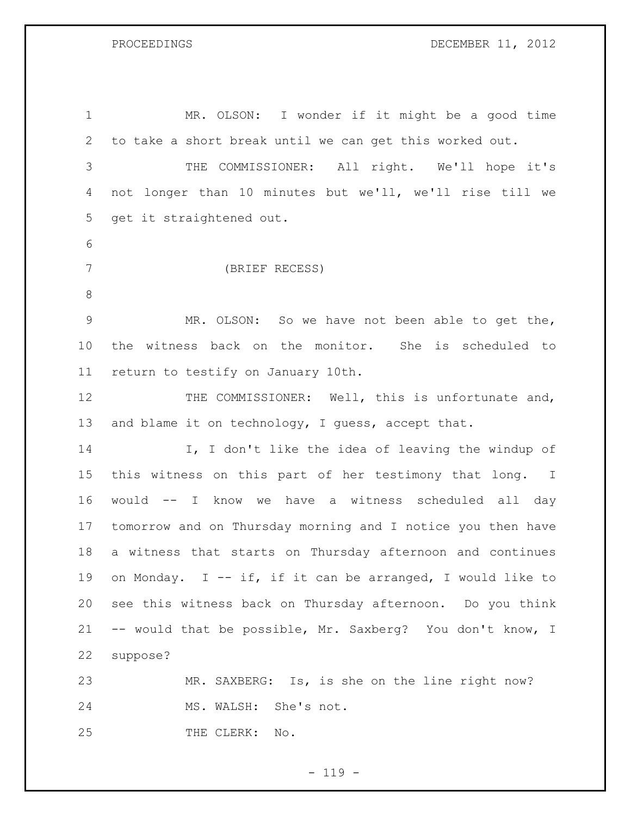PROCEEDINGS DECEMBER 11, 2012

| $\mathbf 1$    | MR. OLSON: I wonder if it might be a good time              |
|----------------|-------------------------------------------------------------|
| $\mathbf{2}$   | to take a short break until we can get this worked out.     |
| 3              | THE COMMISSIONER: All right. We'll hope it's                |
| 4              | not longer than 10 minutes but we'll, we'll rise till we    |
| 5              | get it straightened out.                                    |
| 6              |                                                             |
| $7\phantom{.}$ | (BRIEF RECESS)                                              |
| $\,8\,$        |                                                             |
| $\mathsf 9$    | MR. OLSON: So we have not been able to get the,             |
| 10             | the witness back on the monitor. She is scheduled to        |
| 11             | return to testify on January 10th.                          |
| 12             | THE COMMISSIONER: Well, this is unfortunate and,            |
| 13             | and blame it on technology, I guess, accept that.           |
| 14             | I, I don't like the idea of leaving the windup of           |
| 15             | this witness on this part of her testimony that long. I     |
| 16             | would -- I know we have a witness scheduled all day         |
| 17             | tomorrow and on Thursday morning and I notice you then have |
| 18             | a witness that starts on Thursday afternoon and continues   |
| 19             | on Monday. I -- if, if it can be arranged, I would like to  |
| 20             | see this witness back on Thursday afternoon. Do you think   |
| 21             | -- would that be possible, Mr. Saxberg? You don't know, I   |
| 22             | suppose?                                                    |
| 23             | MR. SAXBERG: Is, is she on the line right now?              |
| 24             | MS. WALSH: She's not.                                       |
| 25             | THE CLERK: No.                                              |

- 119 -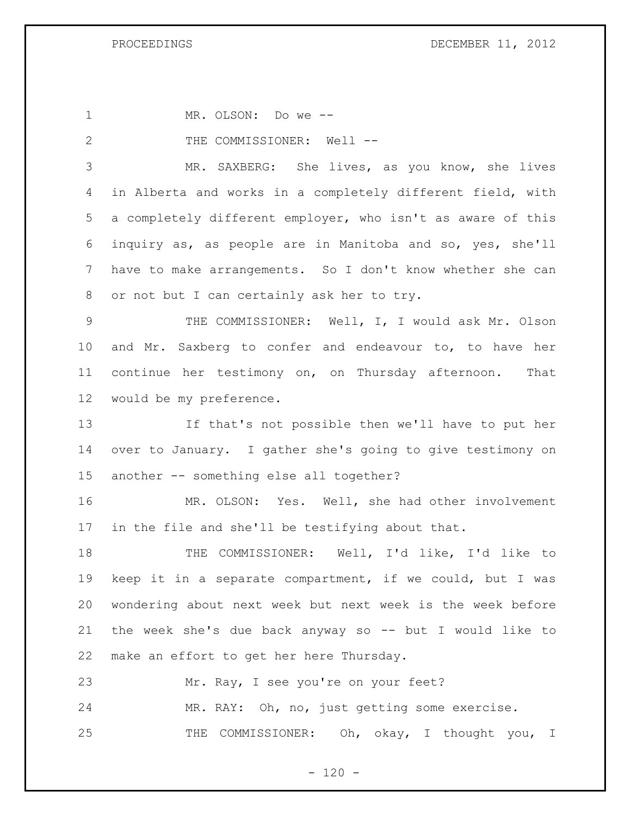MR. OLSON: Do we -- 2 THE COMMISSIONER: Well -- MR. SAXBERG: She lives, as you know, she lives in Alberta and works in a completely different field, with a completely different employer, who isn't as aware of this inquiry as, as people are in Manitoba and so, yes, she'll have to make arrangements. So I don't know whether she can or not but I can certainly ask her to try. THE COMMISSIONER: Well, I, I would ask Mr. Olson and Mr. Saxberg to confer and endeavour to, to have her continue her testimony on, on Thursday afternoon. That would be my preference. If that's not possible then we'll have to put her over to January. I gather she's going to give testimony on another -- something else all together? MR. OLSON: Yes. Well, she had other involvement in the file and she'll be testifying about that. THE COMMISSIONER: Well, I'd like, I'd like to keep it in a separate compartment, if we could, but I was wondering about next week but next week is the week before the week she's due back anyway so -- but I would like to make an effort to get her here Thursday. Mr. Ray, I see you're on your feet? MR. RAY: Oh, no, just getting some exercise. THE COMMISSIONER: Oh, okay, I thought you, I